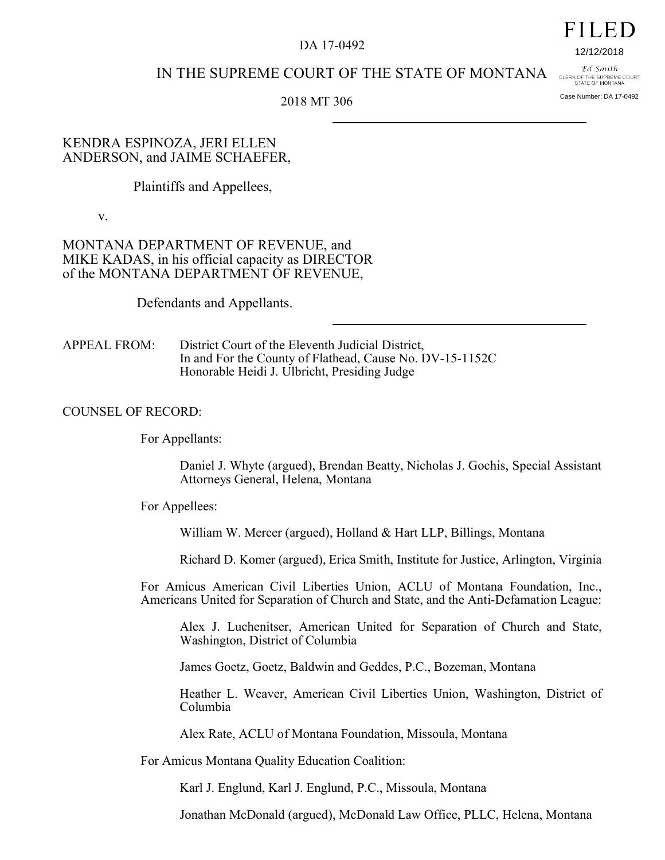#### DA 17-0492

# IN THE SUPREME COURT OF THE STATE OF MONTANA

2018 MT 306

### KENDRA ESPINOZA, JERI ELLEN ANDERSON, and JAIME SCHAEFER,

Plaintiffs and Appellees,

v.

# MONTANA DEPARTMENT OF REVENUE, and MIKE KADAS, in his official capacity as DIRECTOR of the MONTANA DEPARTMENT OF REVENUE,

Defendants and Appellants.

APPEAL FROM: District Court of the Eleventh Judicial District, In and For the County of Flathead, Cause No. DV-15-1152C Honorable Heidi J. Ulbricht, Presiding Judge

# COUNSEL OF RECORD:

For Appellants:

Daniel J. Whyte (argued), Brendan Beatty, Nicholas J. Gochis, Special Assistant Attorneys General, Helena, Montana

For Appellees:

William W. Mercer (argued), Holland & Hart LLP, Billings, Montana

Richard D. Komer (argued), Erica Smith, Institute for Justice, Arlington, Virginia

For Amicus American Civil Liberties Union, ACLU of Montana Foundation, Inc., Americans United for Separation of Church and State, and the Anti-Defamation League:

Alex J. Luchenitser, American United for Separation of Church and State, Washington, District of Columbia

James Goetz, Goetz, Baldwin and Geddes, P.C., Bozeman, Montana

Heather L. Weaver, American Civil Liberties Union, Washington, District of Columbia

Alex Rate, ACLU of Montana Foundation, Missoula, Montana

For Amicus Montana Quality Education Coalition:

Karl J. Englund, Karl J. Englund, P.C., Missoula, Montana

Jonathan McDonald (argued), McDonald Law Office, PLLC, Helena, Montana

#### Ed Smith CLERK OF THE SUPREME COURT<br>STATE OF MONTANA

Case Number: DA 17-0492

12/12/2018

FILED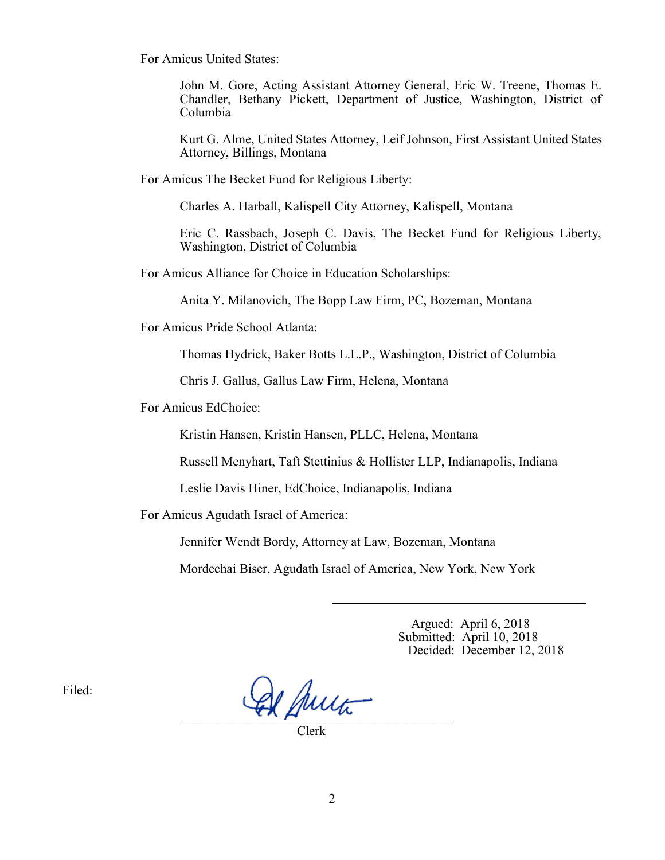For Amicus United States:

John M. Gore, Acting Assistant Attorney General, Eric W. Treene, Thomas E. Chandler, Bethany Pickett, Department of Justice, Washington, District of Columbia

Kurt G. Alme, United States Attorney, Leif Johnson, First Assistant United States Attorney, Billings, Montana

For Amicus The Becket Fund for Religious Liberty:

Charles A. Harball, Kalispell City Attorney, Kalispell, Montana

Eric C. Rassbach, Joseph C. Davis, The Becket Fund for Religious Liberty, Washington, District of Columbia

For Amicus Alliance for Choice in Education Scholarships:

Anita Y. Milanovich, The Bopp Law Firm, PC, Bozeman, Montana

For Amicus Pride School Atlanta:

Thomas Hydrick, Baker Botts L.L.P., Washington, District of Columbia

Chris J. Gallus, Gallus Law Firm, Helena, Montana

For Amicus EdChoice:

Kristin Hansen, Kristin Hansen, PLLC, Helena, Montana

Russell Menyhart, Taft Stettinius & Hollister LLP, Indianapolis, Indiana

Leslie Davis Hiner, EdChoice, Indianapolis, Indiana

For Amicus Agudath Israel of America:

Jennifer Wendt Bordy, Attorney at Law, Bozeman, Montana

Mordechai Biser, Agudath Israel of America, New York, New York

 Argued: April 6, 2018 Submitted: April 10, 2018 Decided: December 12, 2018

Filed:

 $\mathcal{L} \wedge \mu$  as

Clerk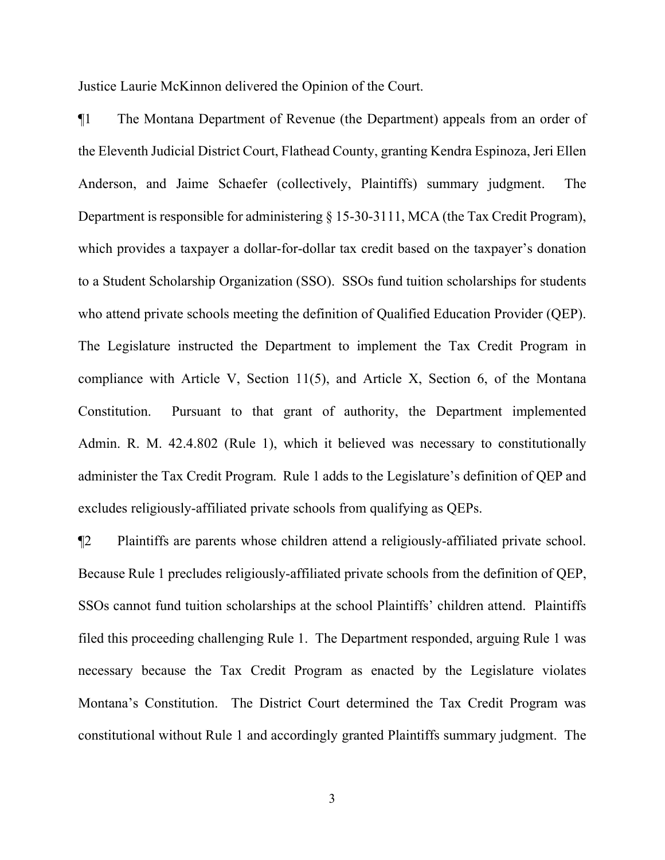Justice Laurie McKinnon delivered the Opinion of the Court.

¶1 The Montana Department of Revenue (the Department) appeals from an order of the Eleventh Judicial District Court, Flathead County, granting Kendra Espinoza, Jeri Ellen Anderson, and Jaime Schaefer (collectively, Plaintiffs) summary judgment. The Department is responsible for administering  $\S$  15-30-3111, MCA (the Tax Credit Program), which provides a taxpayer a dollar-for-dollar tax credit based on the taxpayer's donation to a Student Scholarship Organization (SSO). SSOs fund tuition scholarships for students who attend private schools meeting the definition of Qualified Education Provider (QEP). The Legislature instructed the Department to implement the Tax Credit Program in compliance with Article V, Section 11(5), and Article X, Section 6, of the Montana Constitution. Pursuant to that grant of authority, the Department implemented Admin. R. M. 42.4.802 (Rule 1), which it believed was necessary to constitutionally administer the Tax Credit Program. Rule 1 adds to the Legislature's definition of QEP and excludes religiously-affiliated private schools from qualifying as QEPs.

¶2 Plaintiffs are parents whose children attend a religiously-affiliated private school. Because Rule 1 precludes religiously-affiliated private schools from the definition of QEP, SSOs cannot fund tuition scholarships at the school Plaintiffs' children attend. Plaintiffs filed this proceeding challenging Rule 1. The Department responded, arguing Rule 1 was necessary because the Tax Credit Program as enacted by the Legislature violates Montana's Constitution. The District Court determined the Tax Credit Program was constitutional without Rule 1 and accordingly granted Plaintiffs summary judgment. The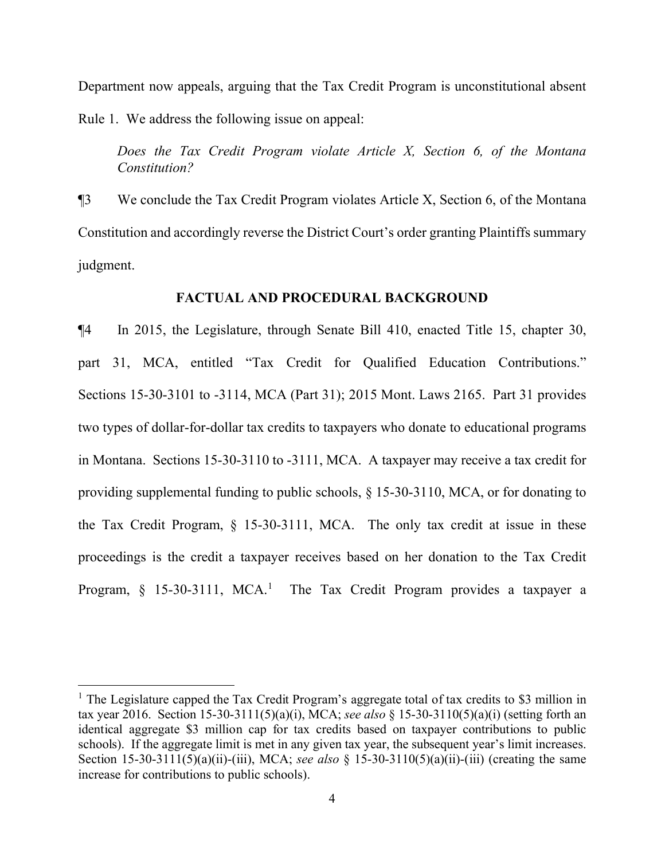Department now appeals, arguing that the Tax Credit Program is unconstitutional absent Rule 1. We address the following issue on appeal:

*Does the Tax Credit Program violate Article X, Section 6, of the Montana Constitution?* 

¶3 We conclude the Tax Credit Program violates Article X, Section 6, of the Montana Constitution and accordingly reverse the District Court's order granting Plaintiffs summary judgment.

#### **FACTUAL AND PROCEDURAL BACKGROUND**

¶4 In 2015, the Legislature, through Senate Bill 410, enacted Title 15, chapter 30, part 31, MCA, entitled "Tax Credit for Qualified Education Contributions." Sections 15-30-3101 to -3114, MCA (Part 31); 2015 Mont. Laws 2165. Part 31 provides two types of dollar-for-dollar tax credits to taxpayers who donate to educational programs in Montana. Sections 15-30-3110 to -3111, MCA. A taxpayer may receive a tax credit for providing supplemental funding to public schools, § 15-30-3110, MCA, or for donating to the Tax Credit Program, § 15-30-3111, MCA. The only tax credit at issue in these proceedings is the credit a taxpayer receives based on her donation to the Tax Credit Program,  $\S$  [1](#page-3-0)5-30-3111, MCA.<sup>1</sup> The Tax Credit Program provides a taxpayer a

<span id="page-3-0"></span><sup>&</sup>lt;sup>1</sup> The Legislature capped the Tax Credit Program's aggregate total of tax credits to \$3 million in tax year 2016. Section 15-30-3111(5)(a)(i), MCA; *see also* § 15-30-3110(5)(a)(i) (setting forth an identical aggregate \$3 million cap for tax credits based on taxpayer contributions to public schools). If the aggregate limit is met in any given tax year, the subsequent year's limit increases. Section 15-30-3111(5)(a)(ii)-(iii), MCA; *see also* § 15-30-3110(5)(a)(ii)-(iii) (creating the same increase for contributions to public schools).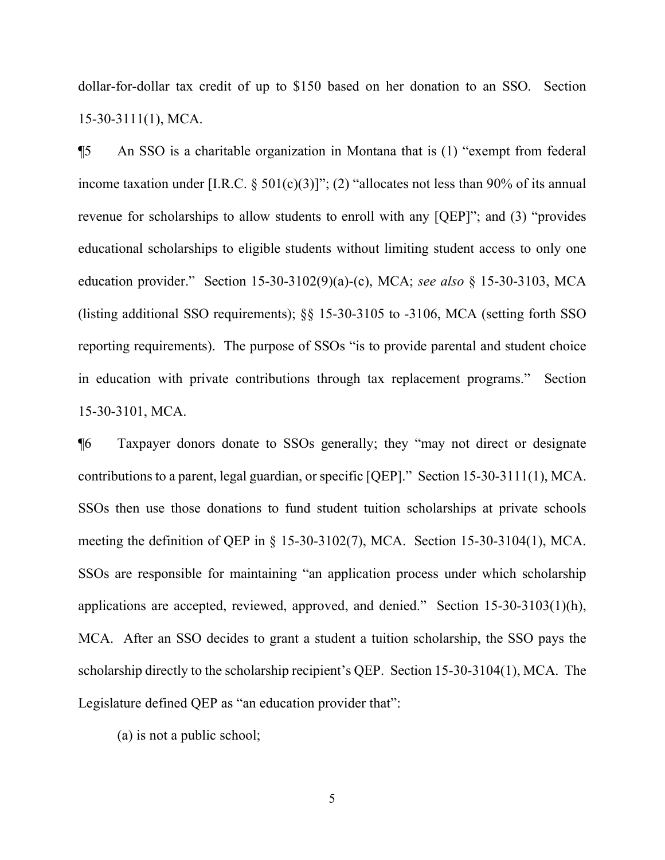dollar-for-dollar tax credit of up to \$150 based on her donation to an SSO. Section 15-30-3111(1), MCA.

¶5 An SSO is a charitable organization in Montana that is (1) "exempt from federal income taxation under [I.R.C.  $\S$  501(c)(3)]"; (2) "allocates not less than 90% of its annual revenue for scholarships to allow students to enroll with any [QEP]"; and (3) "provides educational scholarships to eligible students without limiting student access to only one education provider." Section 15-30-3102(9)(a)-(c), MCA; *see also* § 15-30-3103, MCA (listing additional SSO requirements); §§ 15-30-3105 to -3106, MCA (setting forth SSO reporting requirements). The purpose of SSOs "is to provide parental and student choice in education with private contributions through tax replacement programs." Section 15-30-3101, MCA.

¶6 Taxpayer donors donate to SSOs generally; they "may not direct or designate contributions to a parent, legal guardian, or specific [QEP]." Section 15-30-3111(1), MCA. SSOs then use those donations to fund student tuition scholarships at private schools meeting the definition of QEP in § 15-30-3102(7), MCA. Section 15-30-3104(1), MCA. SSOs are responsible for maintaining "an application process under which scholarship applications are accepted, reviewed, approved, and denied." Section 15-30-3103(1)(h), MCA. After an SSO decides to grant a student a tuition scholarship, the SSO pays the scholarship directly to the scholarship recipient's QEP. Section 15-30-3104(1), MCA. The Legislature defined QEP as "an education provider that":

(a) is not a public school;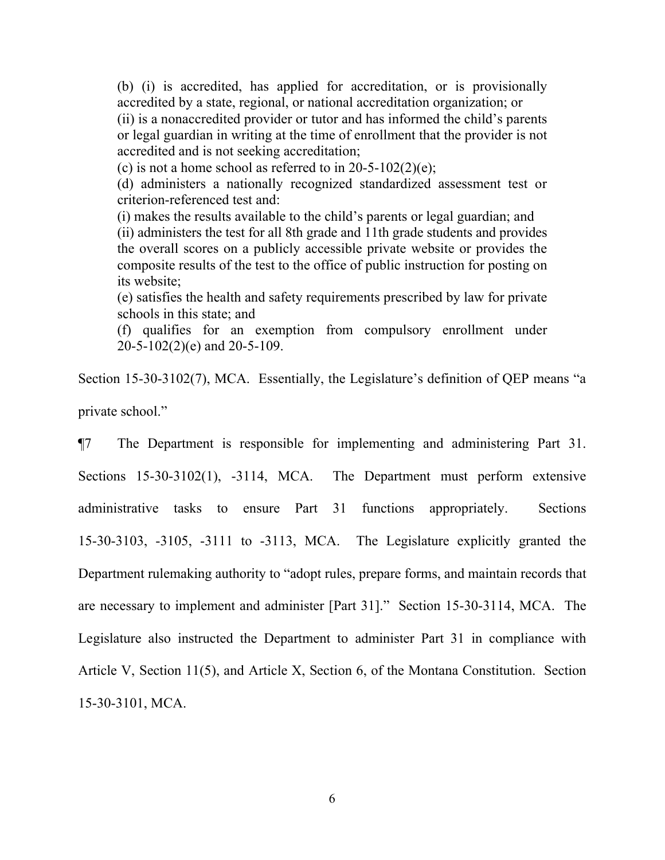(b) (i) is accredited, has applied for accreditation, or is provisionally accredited by a state, regional, or national accreditation organization; or (ii) is a nonaccredited provider or tutor and has informed the child's parents or legal guardian in writing at the time of enrollment that the provider is not accredited and is not seeking accreditation;

(c) is not a home school as referred to in  $20-5-102(2)(e)$ ;

(d) administers a nationally recognized standardized assessment test or criterion-referenced test and:

(i) makes the results available to the child's parents or legal guardian; and (ii) administers the test for all 8th grade and 11th grade students and provides the overall scores on a publicly accessible private website or provides the composite results of the test to the office of public instruction for posting on its website;

(e) satisfies the health and safety requirements prescribed by law for private schools in this state; and

(f) qualifies for an exemption from compulsory enrollment under 20-5-102(2)(e) and 20-5-109.

Section 15-30-3102(7), MCA. Essentially, the Legislature's definition of QEP means "a private school."

¶7 The Department is responsible for implementing and administering Part 31. Sections 15-30-3102(1), -3114, MCA. The Department must perform extensive administrative tasks to ensure Part 31 functions appropriately. Sections 15-30-3103, -3105, -3111 to -3113, MCA. The Legislature explicitly granted the Department rulemaking authority to "adopt rules, prepare forms, and maintain records that are necessary to implement and administer [Part 31]." Section 15-30-3114, MCA. The Legislature also instructed the Department to administer Part 31 in compliance with Article V, Section 11(5), and Article X, Section 6, of the Montana Constitution. Section 15-30-3101, MCA.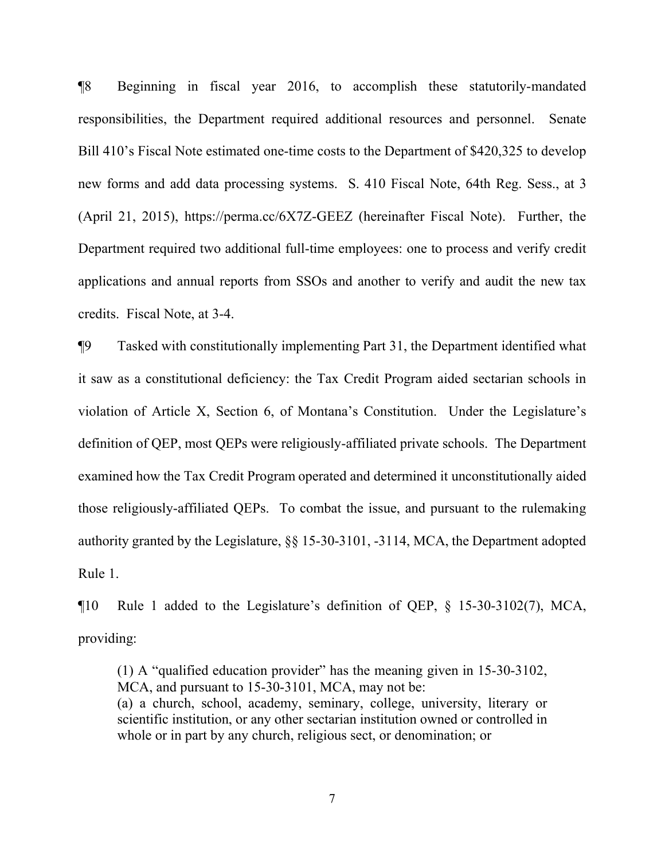¶8 Beginning in fiscal year 2016, to accomplish these statutorily-mandated responsibilities, the Department required additional resources and personnel. Senate Bill 410's Fiscal Note estimated one-time costs to the Department of \$420,325 to develop new forms and add data processing systems. S. 410 Fiscal Note, 64th Reg. Sess., at 3 (April 21, 2015), https://perma.cc/6X7Z-GEEZ (hereinafter Fiscal Note). Further, the Department required two additional full-time employees: one to process and verify credit applications and annual reports from SSOs and another to verify and audit the new tax credits. Fiscal Note, at 3-4.

¶9 Tasked with constitutionally implementing Part 31, the Department identified what it saw as a constitutional deficiency: the Tax Credit Program aided sectarian schools in violation of Article X, Section 6, of Montana's Constitution. Under the Legislature's definition of QEP, most QEPs were religiously-affiliated private schools. The Department examined how the Tax Credit Program operated and determined it unconstitutionally aided those religiously-affiliated QEPs. To combat the issue, and pursuant to the rulemaking authority granted by the Legislature, §§ 15-30-3101, -3114, MCA, the Department adopted Rule 1.

¶10 Rule 1 added to the Legislature's definition of QEP, § 15-30-3102(7), MCA, providing:

(1) A "qualified education provider" has the meaning given in 15-30-3102, MCA, and pursuant to 15-30-3101, MCA, may not be: (a) a church, school, academy, seminary, college, university, literary or scientific institution, or any other sectarian institution owned or controlled in whole or in part by any church, religious sect, or denomination; or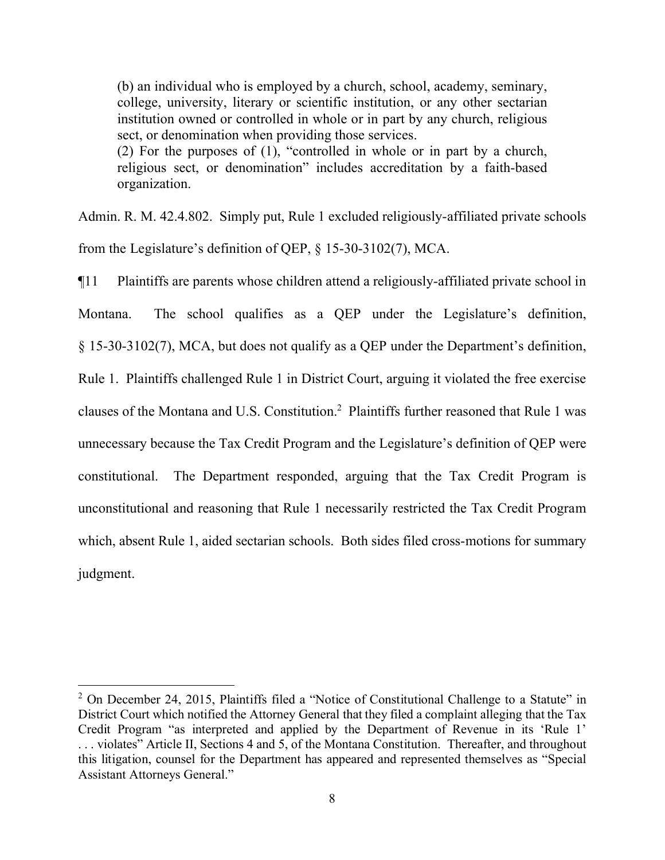(b) an individual who is employed by a church, school, academy, seminary, college, university, literary or scientific institution, or any other sectarian institution owned or controlled in whole or in part by any church, religious sect, or denomination when providing those services. (2) For the purposes of (1), "controlled in whole or in part by a church, religious sect, or denomination" includes accreditation by a faith-based organization.

Admin. R. M. 42.4.802. Simply put, Rule 1 excluded religiously-affiliated private schools from the Legislature's definition of QEP, § 15-30-3102(7), MCA.

¶11 Plaintiffs are parents whose children attend a religiously-affiliated private school in Montana. The school qualifies as a QEP under the Legislature's definition, § 15-30-3102(7), MCA, but does not qualify as a QEP under the Department's definition, Rule 1. Plaintiffs challenged Rule 1 in District Court, arguing it violated the free exercise clauses of the Montana and U.S. Constitution.[2](#page-7-0) Plaintiffs further reasoned that Rule 1 was unnecessary because the Tax Credit Program and the Legislature's definition of QEP were constitutional. The Department responded, arguing that the Tax Credit Program is unconstitutional and reasoning that Rule 1 necessarily restricted the Tax Credit Program which, absent Rule 1, aided sectarian schools. Both sides filed cross-motions for summary judgment.

<span id="page-7-0"></span><sup>&</sup>lt;sup>2</sup> On December 24, 2015, Plaintiffs filed a "Notice of Constitutional Challenge to a Statute" in District Court which notified the Attorney General that they filed a complaint alleging that the Tax Credit Program "as interpreted and applied by the Department of Revenue in its 'Rule 1' . . . violates" Article II, Sections 4 and 5, of the Montana Constitution. Thereafter, and throughout this litigation, counsel for the Department has appeared and represented themselves as "Special Assistant Attorneys General."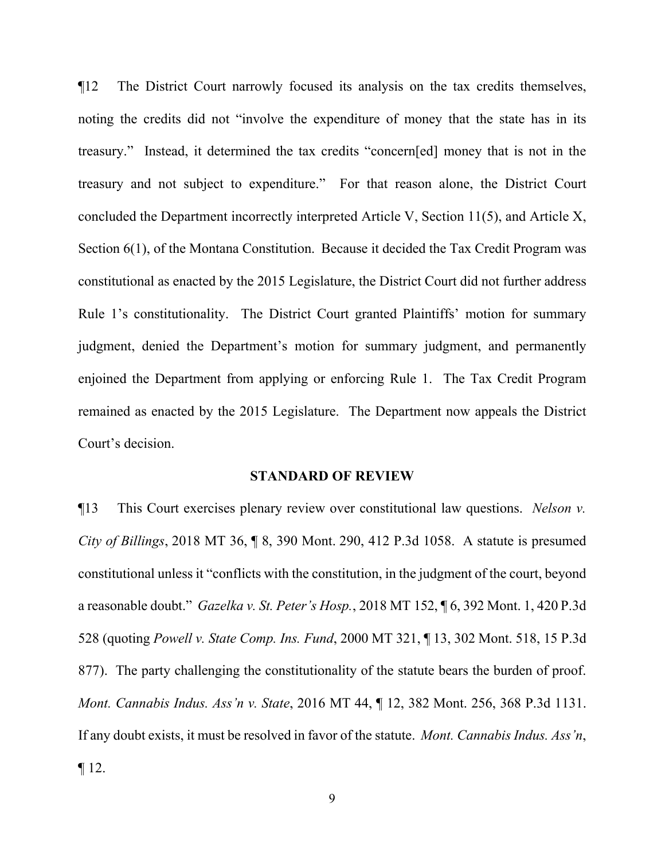¶12 The District Court narrowly focused its analysis on the tax credits themselves, noting the credits did not "involve the expenditure of money that the state has in its treasury." Instead, it determined the tax credits "concern[ed] money that is not in the treasury and not subject to expenditure." For that reason alone, the District Court concluded the Department incorrectly interpreted Article V, Section 11(5), and Article X, Section 6(1), of the Montana Constitution. Because it decided the Tax Credit Program was constitutional as enacted by the 2015 Legislature, the District Court did not further address Rule 1's constitutionality. The District Court granted Plaintiffs' motion for summary judgment, denied the Department's motion for summary judgment, and permanently enjoined the Department from applying or enforcing Rule 1. The Tax Credit Program remained as enacted by the 2015 Legislature. The Department now appeals the District Court's decision.

#### **STANDARD OF REVIEW**

¶13 This Court exercises plenary review over constitutional law questions. *Nelson v. City of Billings*, 2018 MT 36, ¶ 8, 390 Mont. 290, 412 P.3d 1058. A statute is presumed constitutional unless it "conflicts with the constitution, in the judgment of the court, beyond a reasonable doubt." *Gazelka v. St. Peter's Hosp.*, 2018 MT 152, ¶ 6, 392 Mont. 1, 420 P.3d 528 (quoting *Powell v. State Comp. Ins. Fund*, 2000 MT 321, ¶ 13, 302 Mont. 518, 15 P.3d 877). The party challenging the constitutionality of the statute bears the burden of proof. *Mont. Cannabis Indus. Ass'n v. State*, 2016 MT 44, ¶ 12, 382 Mont. 256, 368 P.3d 1131. If any doubt exists, it must be resolved in favor of the statute. *Mont. Cannabis Indus. Ass'n*,  $\P$  12.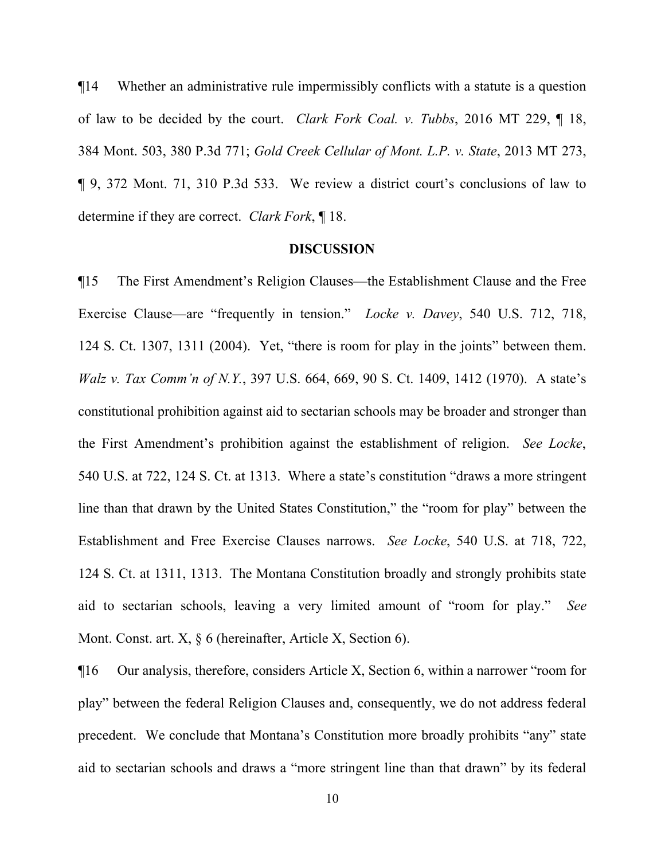¶14 Whether an administrative rule impermissibly conflicts with a statute is a question of law to be decided by the court. *Clark Fork Coal. v. Tubbs*, 2016 MT 229, ¶ 18, 384 Mont. 503, 380 P.3d 771; *Gold Creek Cellular of Mont. L.P. v. State*, 2013 MT 273, ¶ 9, 372 Mont. 71, 310 P.3d 533. We review a district court's conclusions of law to determine if they are correct. *Clark Fork*, ¶ 18.

#### **DISCUSSION**

¶15 The First Amendment's Religion Clauses—the Establishment Clause and the Free Exercise Clause—are "frequently in tension." *Locke v. Davey*, 540 U.S. 712, 718, 124 S. Ct. 1307, 1311 (2004). Yet, "there is room for play in the joints" between them. *Walz v. Tax Comm'n of N.Y.*, 397 U.S. 664, 669, 90 S. Ct. 1409, 1412 (1970). A state's constitutional prohibition against aid to sectarian schools may be broader and stronger than the First Amendment's prohibition against the establishment of religion. *See Locke*, 540 U.S. at 722, 124 S. Ct. at 1313. Where a state's constitution "draws a more stringent line than that drawn by the United States Constitution," the "room for play" between the Establishment and Free Exercise Clauses narrows. *See Locke*, 540 U.S. at 718, 722, 124 S. Ct. at 1311, 1313. The Montana Constitution broadly and strongly prohibits state aid to sectarian schools, leaving a very limited amount of "room for play." *See* Mont. Const. art. X, § 6 (hereinafter, Article X, Section 6).

¶16 Our analysis, therefore, considers Article X, Section 6, within a narrower "room for play" between the federal Religion Clauses and, consequently, we do not address federal precedent. We conclude that Montana's Constitution more broadly prohibits "any" state aid to sectarian schools and draws a "more stringent line than that drawn" by its federal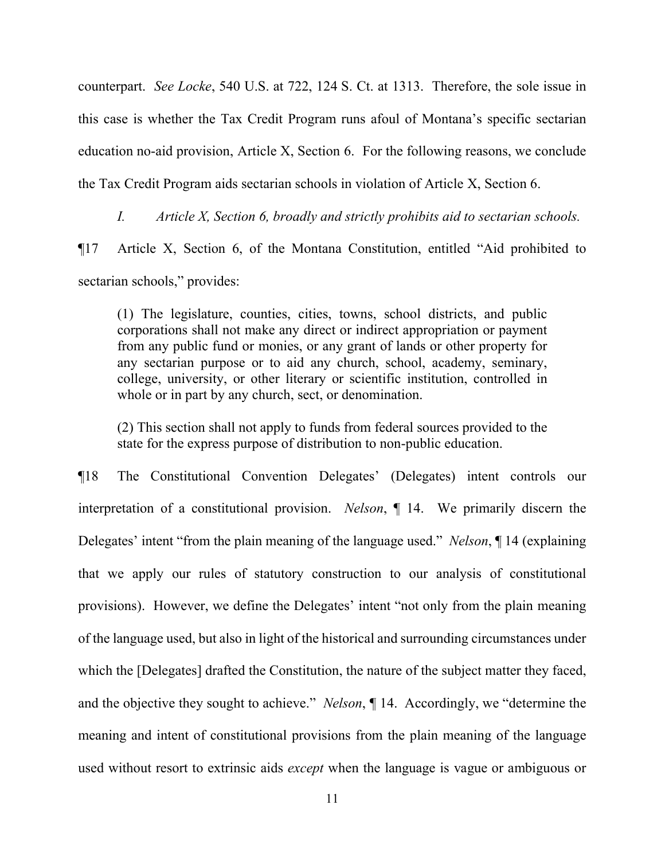counterpart. *See Locke*, 540 U.S. at 722, 124 S. Ct. at 1313. Therefore, the sole issue in this case is whether the Tax Credit Program runs afoul of Montana's specific sectarian education no-aid provision, Article X, Section 6. For the following reasons, we conclude the Tax Credit Program aids sectarian schools in violation of Article X, Section 6.

*I. Article X, Section 6, broadly and strictly prohibits aid to sectarian schools.* 

¶17 Article X, Section 6, of the Montana Constitution, entitled "Aid prohibited to sectarian schools," provides:

(1) The legislature, counties, cities, towns, school districts, and public corporations shall not make any direct or indirect appropriation or payment from any public fund or monies, or any grant of lands or other property for any sectarian purpose or to aid any church, school, academy, seminary, college, university, or other literary or scientific institution, controlled in whole or in part by any church, sect, or denomination.

(2) This section shall not apply to funds from federal sources provided to the state for the express purpose of distribution to non-public education.

¶18 The Constitutional Convention Delegates' (Delegates) intent controls our interpretation of a constitutional provision. *Nelson*, ¶ 14. We primarily discern the Delegates' intent "from the plain meaning of the language used." *Nelson*, ¶ 14 (explaining that we apply our rules of statutory construction to our analysis of constitutional provisions). However, we define the Delegates' intent "not only from the plain meaning of the language used, but also in light of the historical and surrounding circumstances under which the [Delegates] drafted the Constitution, the nature of the subject matter they faced, and the objective they sought to achieve." *Nelson*, ¶ 14. Accordingly, we "determine the meaning and intent of constitutional provisions from the plain meaning of the language used without resort to extrinsic aids *except* when the language is vague or ambiguous or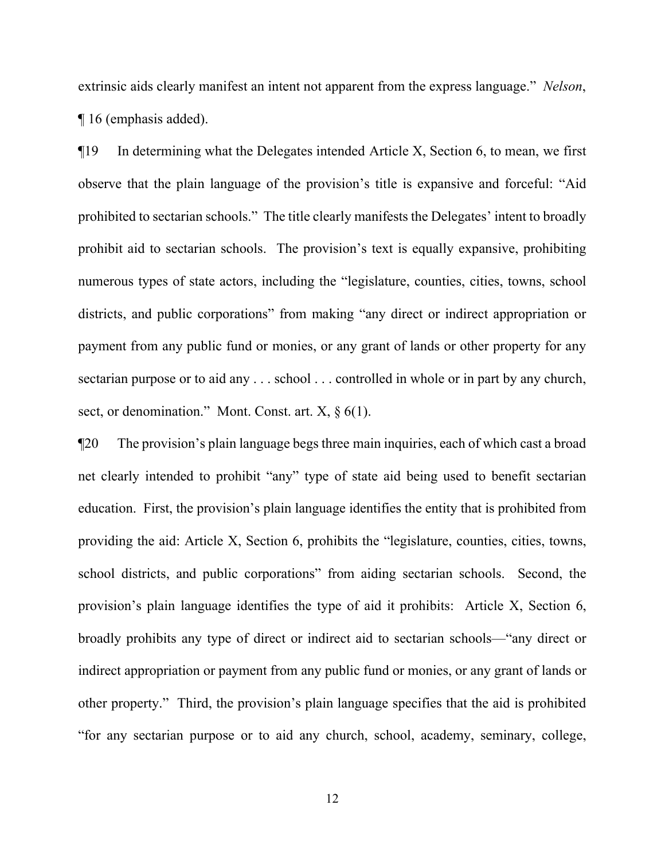extrinsic aids clearly manifest an intent not apparent from the express language." *Nelson*, ¶ 16 (emphasis added).

¶19 In determining what the Delegates intended Article X, Section 6, to mean, we first observe that the plain language of the provision's title is expansive and forceful: "Aid prohibited to sectarian schools." The title clearly manifests the Delegates' intent to broadly prohibit aid to sectarian schools. The provision's text is equally expansive, prohibiting numerous types of state actors, including the "legislature, counties, cities, towns, school districts, and public corporations" from making "any direct or indirect appropriation or payment from any public fund or monies, or any grant of lands or other property for any sectarian purpose or to aid any . . . school . . . controlled in whole or in part by any church, sect, or denomination." Mont. Const. art.  $X$ ,  $\S$  6(1).

¶20 The provision's plain language begs three main inquiries, each of which cast a broad net clearly intended to prohibit "any" type of state aid being used to benefit sectarian education. First, the provision's plain language identifies the entity that is prohibited from providing the aid: Article X, Section 6, prohibits the "legislature, counties, cities, towns, school districts, and public corporations" from aiding sectarian schools. Second, the provision's plain language identifies the type of aid it prohibits: Article X, Section 6, broadly prohibits any type of direct or indirect aid to sectarian schools—"any direct or indirect appropriation or payment from any public fund or monies, or any grant of lands or other property." Third, the provision's plain language specifies that the aid is prohibited "for any sectarian purpose or to aid any church, school, academy, seminary, college,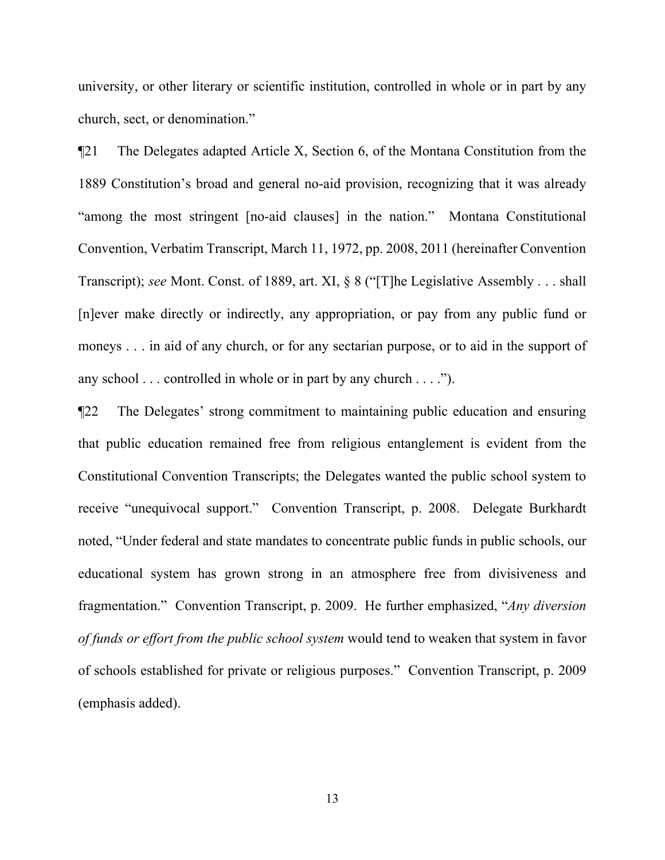university, or other literary or scientific institution, controlled in whole or in part by any church, sect, or denomination."

¶21 The Delegates adapted Article X, Section 6, of the Montana Constitution from the 1889 Constitution's broad and general no-aid provision, recognizing that it was already "among the most stringent [no-aid clauses] in the nation." Montana Constitutional Convention, Verbatim Transcript, March 11, 1972, pp. 2008, 2011 (hereinafter Convention Transcript); *see* Mont. Const. of 1889, art. XI, § 8 ("[T]he Legislative Assembly . . . shall [n]ever make directly or indirectly, any appropriation, or pay from any public fund or moneys . . . in aid of any church, or for any sectarian purpose, or to aid in the support of any school . . . controlled in whole or in part by any church . . . .").

¶22 The Delegates' strong commitment to maintaining public education and ensuring that public education remained free from religious entanglement is evident from the Constitutional Convention Transcripts; the Delegates wanted the public school system to receive "unequivocal support." Convention Transcript, p. 2008. Delegate Burkhardt noted, "Under federal and state mandates to concentrate public funds in public schools, our educational system has grown strong in an atmosphere free from divisiveness and fragmentation." Convention Transcript, p. 2009. He further emphasized, "*Any diversion of funds or effort from the public school system* would tend to weaken that system in favor of schools established for private or religious purposes." Convention Transcript, p. 2009 (emphasis added).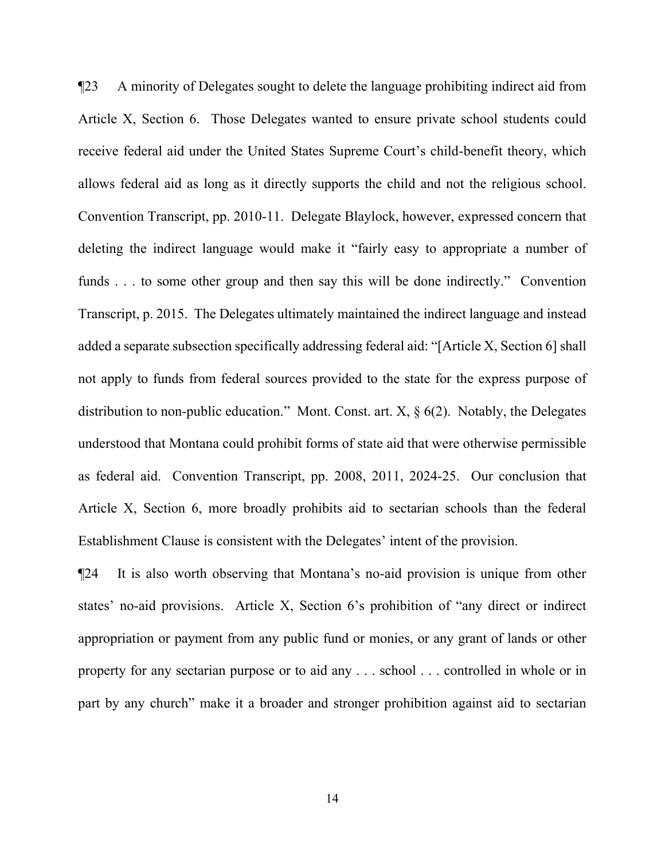¶23 A minority of Delegates sought to delete the language prohibiting indirect aid from Article X, Section 6. Those Delegates wanted to ensure private school students could receive federal aid under the United States Supreme Court's child-benefit theory, which allows federal aid as long as it directly supports the child and not the religious school. Convention Transcript, pp. 2010-11. Delegate Blaylock, however, expressed concern that deleting the indirect language would make it "fairly easy to appropriate a number of funds . . . to some other group and then say this will be done indirectly." Convention Transcript, p. 2015. The Delegates ultimately maintained the indirect language and instead added a separate subsection specifically addressing federal aid: "[Article X, Section 6] shall not apply to funds from federal sources provided to the state for the express purpose of distribution to non-public education." Mont. Const. art. X, § 6(2). Notably, the Delegates understood that Montana could prohibit forms of state aid that were otherwise permissible as federal aid. Convention Transcript, pp. 2008, 2011, 2024-25. Our conclusion that Article X, Section 6, more broadly prohibits aid to sectarian schools than the federal Establishment Clause is consistent with the Delegates' intent of the provision.

¶24 It is also worth observing that Montana's no-aid provision is unique from other states' no-aid provisions. Article X, Section 6's prohibition of "any direct or indirect appropriation or payment from any public fund or monies, or any grant of lands or other property for any sectarian purpose or to aid any . . . school . . . controlled in whole or in part by any church" make it a broader and stronger prohibition against aid to sectarian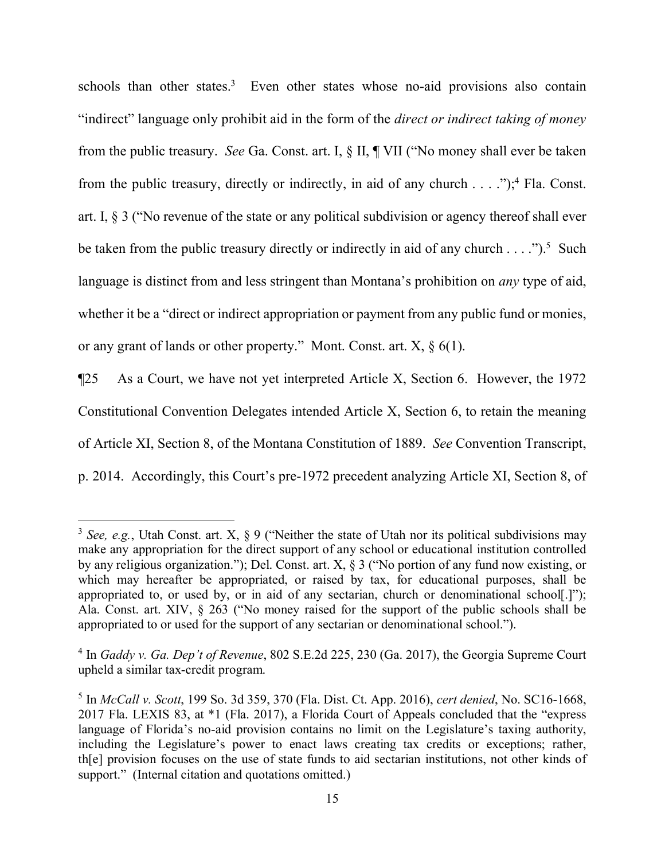schools than other states.<sup>[3](#page-14-0)</sup> Even other states whose no-aid provisions also contain "indirect" language only prohibit aid in the form of the *direct or indirect taking of money* from the public treasury. *See* Ga. Const. art. I, § II, ¶ VII ("No money shall ever be taken from the public treasury, directly or indirectly, in aid of any church  $\dots$ . .");<sup>[4](#page-14-1)</sup> Fla. Const. art. I, § 3 ("No revenue of the state or any political subdivision or agency thereof shall ever be taken from the public treasury directly or indirectly in aid of any church  $\dots$ .").<sup>[5](#page-14-2)</sup> Such language is distinct from and less stringent than Montana's prohibition on *any* type of aid, whether it be a "direct or indirect appropriation or payment from any public fund or monies, or any grant of lands or other property." Mont. Const. art.  $X$ ,  $\S$  6(1).

¶25 As a Court, we have not yet interpreted Article X, Section 6. However, the 1972 Constitutional Convention Delegates intended Article X, Section 6, to retain the meaning of Article XI, Section 8, of the Montana Constitution of 1889. *See* Convention Transcript, p. 2014. Accordingly, this Court's pre-1972 precedent analyzing Article XI, Section 8, of

<span id="page-14-0"></span><sup>3</sup> *See, e.g.*, Utah Const. art. X, § 9 ("Neither the state of Utah nor its political subdivisions may make any appropriation for the direct support of any school or educational institution controlled by any religious organization."); Del. Const. art. X, § 3 ("No portion of any fund now existing, or which may hereafter be appropriated, or raised by tax, for educational purposes, shall be appropriated to, or used by, or in aid of any sectarian, church or denominational school[.]"); Ala. Const. art. XIV, § 263 ("No money raised for the support of the public schools shall be appropriated to or used for the support of any sectarian or denominational school.").

<span id="page-14-1"></span><sup>4</sup> In *Gaddy v. Ga. Dep't of Revenue*, 802 S.E.2d 225, 230 (Ga. 2017), the Georgia Supreme Court upheld a similar tax-credit program.

<span id="page-14-2"></span><sup>5</sup> In *McCall v. Scott*, 199 So. 3d 359, 370 (Fla. Dist. Ct. App. 2016), *cert denied*, No. SC16-1668, 2017 Fla. LEXIS 83, at \*1 (Fla. 2017), a Florida Court of Appeals concluded that the "express language of Florida's no-aid provision contains no limit on the Legislature's taxing authority, including the Legislature's power to enact laws creating tax credits or exceptions; rather, th[e] provision focuses on the use of state funds to aid sectarian institutions, not other kinds of support." (Internal citation and quotations omitted.)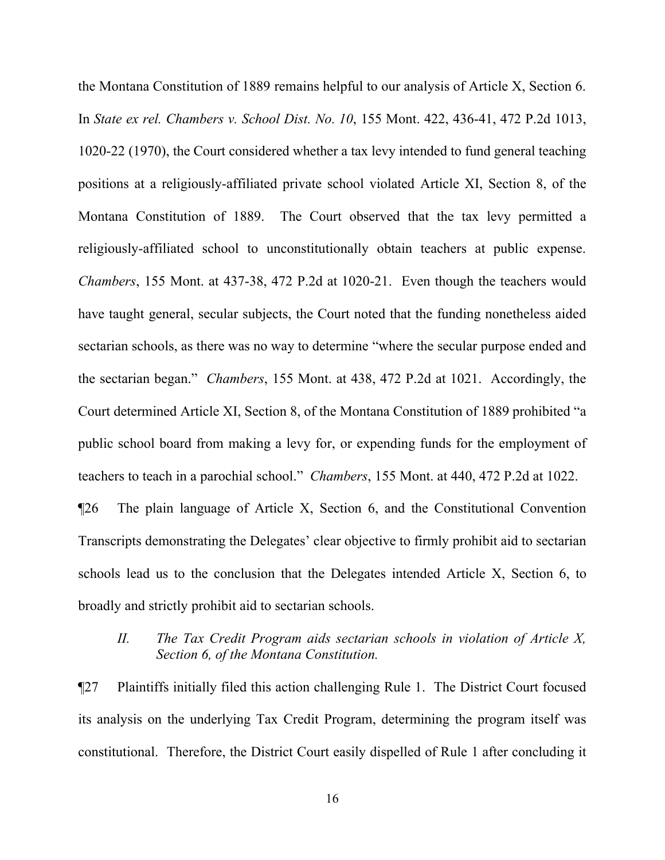the Montana Constitution of 1889 remains helpful to our analysis of Article X, Section 6. In *State ex rel. Chambers v. School Dist. No. 10*, 155 Mont. 422, 436-41, 472 P.2d 1013, 1020-22 (1970), the Court considered whether a tax levy intended to fund general teaching positions at a religiously-affiliated private school violated Article XI, Section 8, of the Montana Constitution of 1889. The Court observed that the tax levy permitted a religiously-affiliated school to unconstitutionally obtain teachers at public expense. *Chambers*, 155 Mont. at 437-38, 472 P.2d at 1020-21. Even though the teachers would have taught general, secular subjects, the Court noted that the funding nonetheless aided sectarian schools, as there was no way to determine "where the secular purpose ended and the sectarian began." *Chambers*, 155 Mont. at 438, 472 P.2d at 1021. Accordingly, the Court determined Article XI, Section 8, of the Montana Constitution of 1889 prohibited "a public school board from making a levy for, or expending funds for the employment of teachers to teach in a parochial school." *Chambers*, 155 Mont. at 440, 472 P.2d at 1022. ¶26 The plain language of Article X, Section 6, and the Constitutional Convention Transcripts demonstrating the Delegates' clear objective to firmly prohibit aid to sectarian

schools lead us to the conclusion that the Delegates intended Article X, Section 6, to broadly and strictly prohibit aid to sectarian schools.

# *II. The Tax Credit Program aids sectarian schools in violation of Article X, Section 6, of the Montana Constitution.*

¶27 Plaintiffs initially filed this action challenging Rule 1. The District Court focused its analysis on the underlying Tax Credit Program, determining the program itself was constitutional. Therefore, the District Court easily dispelled of Rule 1 after concluding it

16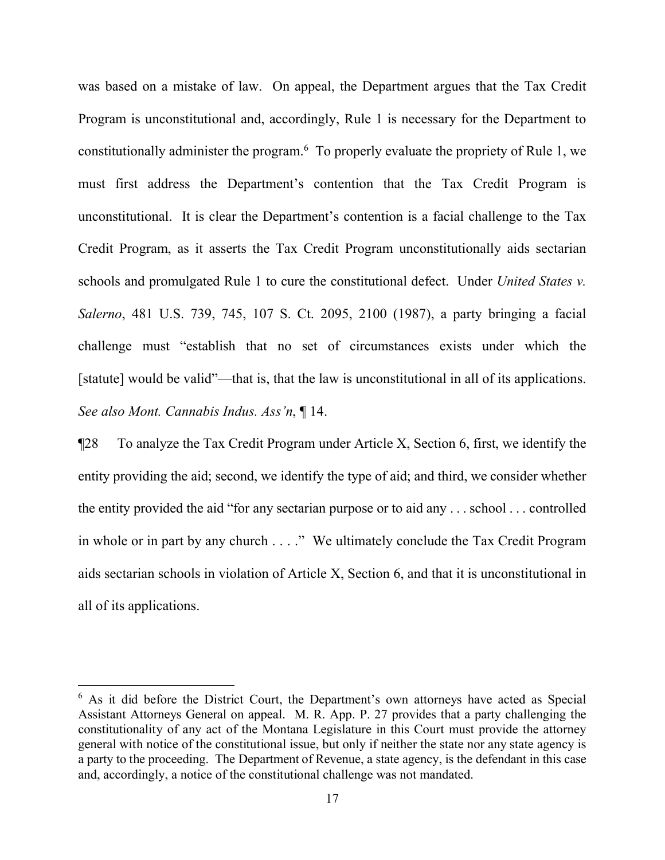was based on a mistake of law. On appeal, the Department argues that the Tax Credit Program is unconstitutional and, accordingly, Rule 1 is necessary for the Department to constitutionally administer the program.<sup>[6](#page-16-0)</sup> To properly evaluate the propriety of Rule 1, we must first address the Department's contention that the Tax Credit Program is unconstitutional. It is clear the Department's contention is a facial challenge to the Tax Credit Program, as it asserts the Tax Credit Program unconstitutionally aids sectarian schools and promulgated Rule 1 to cure the constitutional defect. Under *United States v. Salerno*, 481 U.S. 739, 745, 107 S. Ct. 2095, 2100 (1987), a party bringing a facial challenge must "establish that no set of circumstances exists under which the [statute] would be valid"—that is, that the law is unconstitutional in all of its applications. *See also Mont. Cannabis Indus. Ass'n*, ¶ 14.

¶28 To analyze the Tax Credit Program under Article X, Section 6, first, we identify the entity providing the aid; second, we identify the type of aid; and third, we consider whether the entity provided the aid "for any sectarian purpose or to aid any . . . school . . . controlled in whole or in part by any church . . . ." We ultimately conclude the Tax Credit Program aids sectarian schools in violation of Article X, Section 6, and that it is unconstitutional in all of its applications.

<span id="page-16-0"></span> $6$  As it did before the District Court, the Department's own attorneys have acted as Special Assistant Attorneys General on appeal. M. R. App. P. 27 provides that a party challenging the constitutionality of any act of the Montana Legislature in this Court must provide the attorney general with notice of the constitutional issue, but only if neither the state nor any state agency is a party to the proceeding. The Department of Revenue, a state agency, is the defendant in this case and, accordingly, a notice of the constitutional challenge was not mandated.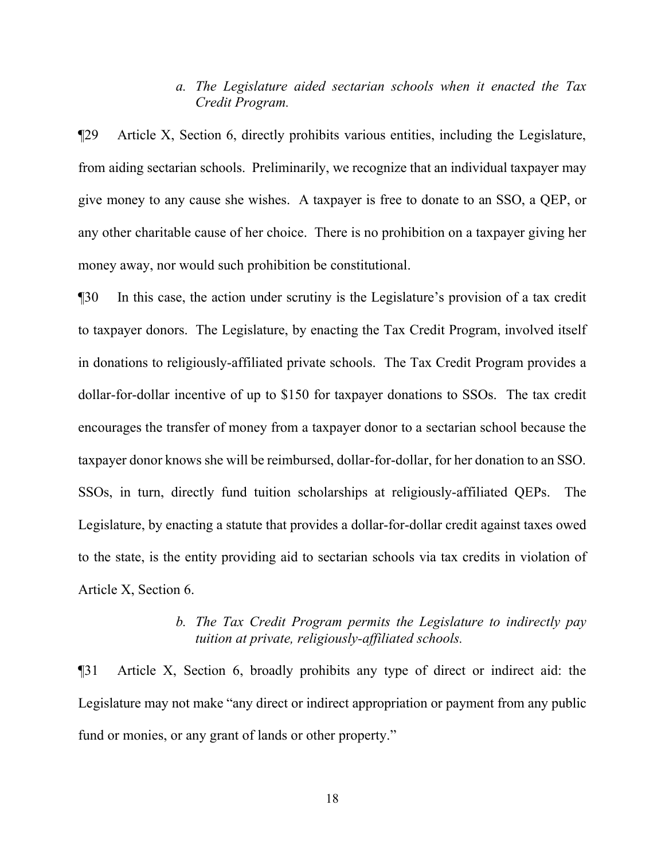# *a. The Legislature aided sectarian schools when it enacted the Tax Credit Program.*

¶29 Article X, Section 6, directly prohibits various entities, including the Legislature, from aiding sectarian schools. Preliminarily, we recognize that an individual taxpayer may give money to any cause she wishes. A taxpayer is free to donate to an SSO, a QEP, or any other charitable cause of her choice. There is no prohibition on a taxpayer giving her money away, nor would such prohibition be constitutional.

¶30 In this case, the action under scrutiny is the Legislature's provision of a tax credit to taxpayer donors. The Legislature, by enacting the Tax Credit Program, involved itself in donations to religiously-affiliated private schools. The Tax Credit Program provides a dollar-for-dollar incentive of up to \$150 for taxpayer donations to SSOs. The tax credit encourages the transfer of money from a taxpayer donor to a sectarian school because the taxpayer donor knows she will be reimbursed, dollar-for-dollar, for her donation to an SSO. SSOs, in turn, directly fund tuition scholarships at religiously-affiliated QEPs. The Legislature, by enacting a statute that provides a dollar-for-dollar credit against taxes owed to the state, is the entity providing aid to sectarian schools via tax credits in violation of Article X, Section 6.

# *b. The Tax Credit Program permits the Legislature to indirectly pay tuition at private, religiously-affiliated schools.*

¶31 Article X, Section 6, broadly prohibits any type of direct or indirect aid: the Legislature may not make "any direct or indirect appropriation or payment from any public fund or monies, or any grant of lands or other property."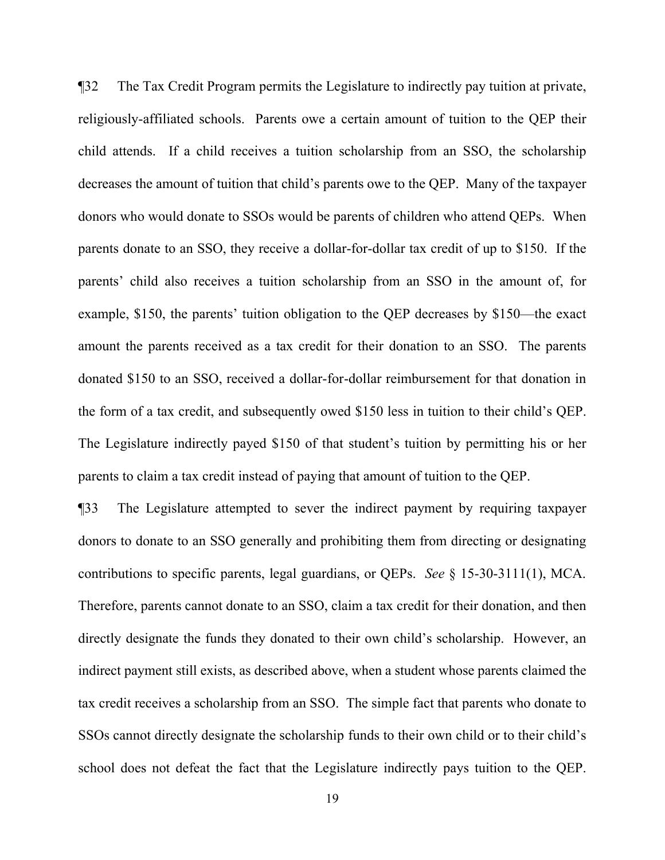¶32 The Tax Credit Program permits the Legislature to indirectly pay tuition at private, religiously-affiliated schools. Parents owe a certain amount of tuition to the QEP their child attends. If a child receives a tuition scholarship from an SSO, the scholarship decreases the amount of tuition that child's parents owe to the QEP. Many of the taxpayer donors who would donate to SSOs would be parents of children who attend QEPs. When parents donate to an SSO, they receive a dollar-for-dollar tax credit of up to \$150. If the parents' child also receives a tuition scholarship from an SSO in the amount of, for example, \$150, the parents' tuition obligation to the QEP decreases by \$150—the exact amount the parents received as a tax credit for their donation to an SSO. The parents donated \$150 to an SSO, received a dollar-for-dollar reimbursement for that donation in the form of a tax credit, and subsequently owed \$150 less in tuition to their child's QEP. The Legislature indirectly payed \$150 of that student's tuition by permitting his or her parents to claim a tax credit instead of paying that amount of tuition to the QEP.

¶33 The Legislature attempted to sever the indirect payment by requiring taxpayer donors to donate to an SSO generally and prohibiting them from directing or designating contributions to specific parents, legal guardians, or QEPs. *See* § 15-30-3111(1), MCA. Therefore, parents cannot donate to an SSO, claim a tax credit for their donation, and then directly designate the funds they donated to their own child's scholarship. However, an indirect payment still exists, as described above, when a student whose parents claimed the tax credit receives a scholarship from an SSO. The simple fact that parents who donate to SSOs cannot directly designate the scholarship funds to their own child or to their child's school does not defeat the fact that the Legislature indirectly pays tuition to the QEP.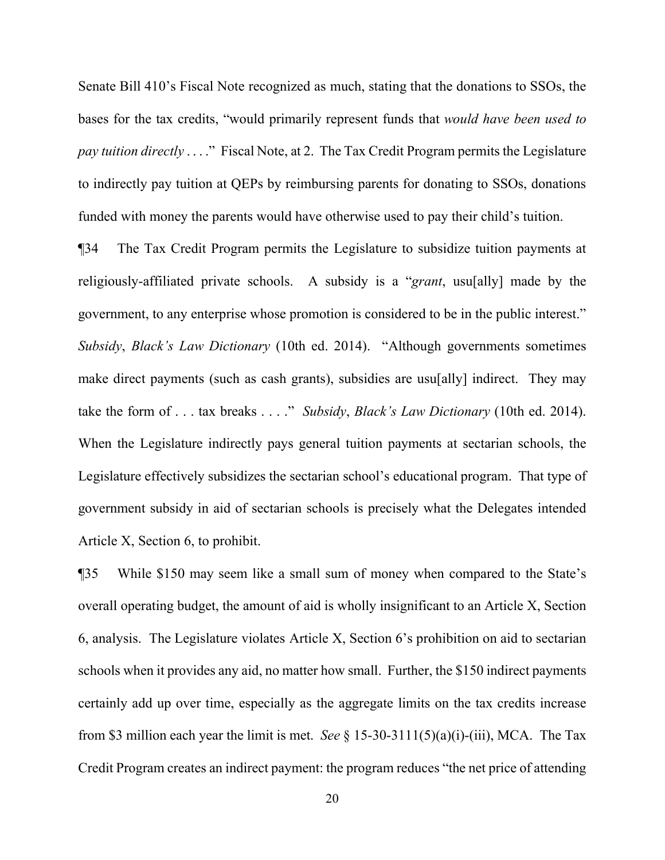Senate Bill 410's Fiscal Note recognized as much, stating that the donations to SSOs, the bases for the tax credits, "would primarily represent funds that *would have been used to pay tuition directly* . . . ." Fiscal Note, at 2. The Tax Credit Program permits the Legislature to indirectly pay tuition at QEPs by reimbursing parents for donating to SSOs, donations funded with money the parents would have otherwise used to pay their child's tuition.

¶34 The Tax Credit Program permits the Legislature to subsidize tuition payments at religiously-affiliated private schools. A subsidy is a "*grant*, usu[ally] made by the government, to any enterprise whose promotion is considered to be in the public interest." *Subsidy*, *Black's Law Dictionary* (10th ed. 2014). "Although governments sometimes make direct payments (such as cash grants), subsidies are usu[ally] indirect. They may take the form of . . . tax breaks . . . ." *Subsidy*, *Black's Law Dictionary* (10th ed. 2014). When the Legislature indirectly pays general tuition payments at sectarian schools, the Legislature effectively subsidizes the sectarian school's educational program. That type of government subsidy in aid of sectarian schools is precisely what the Delegates intended Article X, Section 6, to prohibit.

¶35 While \$150 may seem like a small sum of money when compared to the State's overall operating budget, the amount of aid is wholly insignificant to an Article X, Section 6, analysis. The Legislature violates Article X, Section 6's prohibition on aid to sectarian schools when it provides any aid, no matter how small. Further, the \$150 indirect payments certainly add up over time, especially as the aggregate limits on the tax credits increase from \$3 million each year the limit is met. *See* § 15-30-3111(5)(a)(i)-(iii), MCA. The Tax Credit Program creates an indirect payment: the program reduces "the net price of attending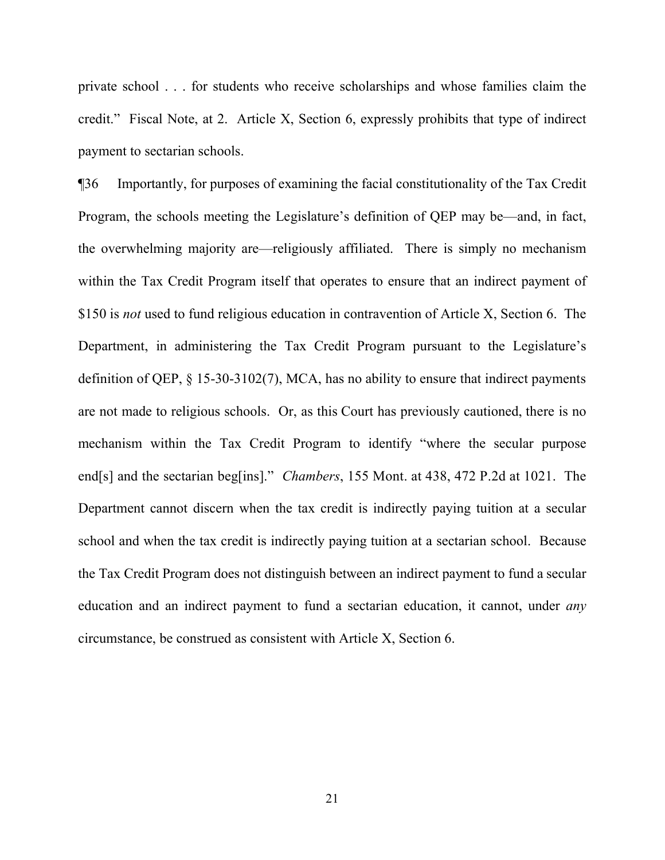private school . . . for students who receive scholarships and whose families claim the credit." Fiscal Note, at 2. Article X, Section 6, expressly prohibits that type of indirect payment to sectarian schools.

¶36 Importantly, for purposes of examining the facial constitutionality of the Tax Credit Program, the schools meeting the Legislature's definition of QEP may be—and, in fact, the overwhelming majority are—religiously affiliated. There is simply no mechanism within the Tax Credit Program itself that operates to ensure that an indirect payment of \$150 is *not* used to fund religious education in contravention of Article X, Section 6. The Department, in administering the Tax Credit Program pursuant to the Legislature's definition of QEP, § 15-30-3102(7), MCA, has no ability to ensure that indirect payments are not made to religious schools. Or, as this Court has previously cautioned, there is no mechanism within the Tax Credit Program to identify "where the secular purpose end[s] and the sectarian beg[ins]." *Chambers*, 155 Mont. at 438, 472 P.2d at 1021. The Department cannot discern when the tax credit is indirectly paying tuition at a secular school and when the tax credit is indirectly paying tuition at a sectarian school. Because the Tax Credit Program does not distinguish between an indirect payment to fund a secular education and an indirect payment to fund a sectarian education, it cannot, under *any* circumstance, be construed as consistent with Article X, Section 6.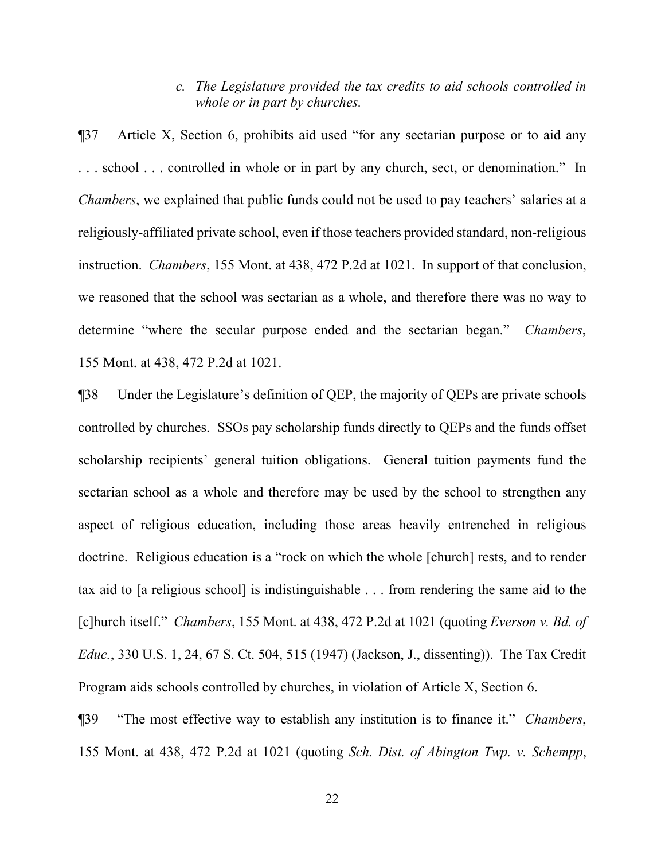# *c. The Legislature provided the tax credits to aid schools controlled in whole or in part by churches.*

¶37 Article X, Section 6, prohibits aid used "for any sectarian purpose or to aid any . . . school . . . controlled in whole or in part by any church, sect, or denomination." In *Chambers*, we explained that public funds could not be used to pay teachers' salaries at a religiously-affiliated private school, even if those teachers provided standard, non-religious instruction. *Chambers*, 155 Mont. at 438, 472 P.2d at 1021. In support of that conclusion, we reasoned that the school was sectarian as a whole, and therefore there was no way to determine "where the secular purpose ended and the sectarian began." *Chambers*, 155 Mont. at 438, 472 P.2d at 1021.

¶38 Under the Legislature's definition of QEP, the majority of QEPs are private schools controlled by churches. SSOs pay scholarship funds directly to QEPs and the funds offset scholarship recipients' general tuition obligations. General tuition payments fund the sectarian school as a whole and therefore may be used by the school to strengthen any aspect of religious education, including those areas heavily entrenched in religious doctrine. Religious education is a "rock on which the whole [church] rests, and to render tax aid to [a religious school] is indistinguishable . . . from rendering the same aid to the [c]hurch itself." *Chambers*, 155 Mont. at 438, 472 P.2d at 1021 (quoting *Everson v. Bd. of Educ.*, 330 U.S. 1, 24, 67 S. Ct. 504, 515 (1947) (Jackson, J., dissenting)). The Tax Credit Program aids schools controlled by churches, in violation of Article X, Section 6.

¶39 "The most effective way to establish any institution is to finance it." *Chambers*, 155 Mont. at 438, 472 P.2d at 1021 (quoting *Sch. Dist. of Abington Twp. v. Schempp*,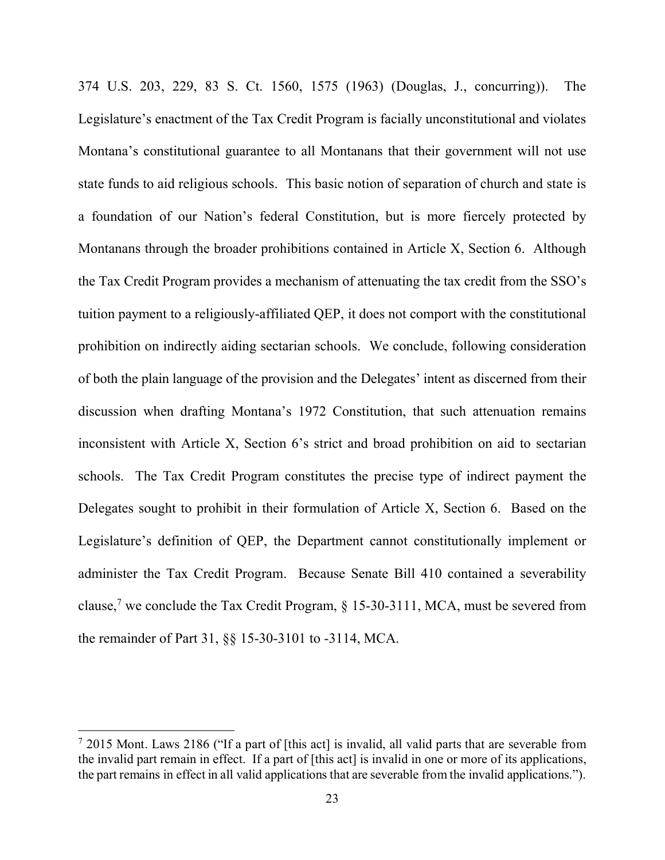374 U.S. 203, 229, 83 S. Ct. 1560, 1575 (1963) (Douglas, J., concurring)). The Legislature's enactment of the Tax Credit Program is facially unconstitutional and violates Montana's constitutional guarantee to all Montanans that their government will not use state funds to aid religious schools. This basic notion of separation of church and state is a foundation of our Nation's federal Constitution, but is more fiercely protected by Montanans through the broader prohibitions contained in Article X, Section 6. Although the Tax Credit Program provides a mechanism of attenuating the tax credit from the SSO's tuition payment to a religiously-affiliated QEP, it does not comport with the constitutional prohibition on indirectly aiding sectarian schools. We conclude, following consideration of both the plain language of the provision and the Delegates' intent as discerned from their discussion when drafting Montana's 1972 Constitution, that such attenuation remains inconsistent with Article X, Section 6's strict and broad prohibition on aid to sectarian schools. The Tax Credit Program constitutes the precise type of indirect payment the Delegates sought to prohibit in their formulation of Article X, Section 6. Based on the Legislature's definition of QEP, the Department cannot constitutionally implement or administer the Tax Credit Program. Because Senate Bill 410 contained a severability clause,<sup>[7](#page-22-0)</sup> we conclude the Tax Credit Program,  $\S$  15-30-3111, MCA, must be severed from the remainder of Part 31, §§ 15-30-3101 to -3114, MCA.

<span id="page-22-0"></span> $7$  2015 Mont. Laws 2186 ("If a part of [this act] is invalid, all valid parts that are severable from the invalid part remain in effect. If a part of [this act] is invalid in one or more of its applications, the part remains in effect in all valid applications that are severable from the invalid applications.").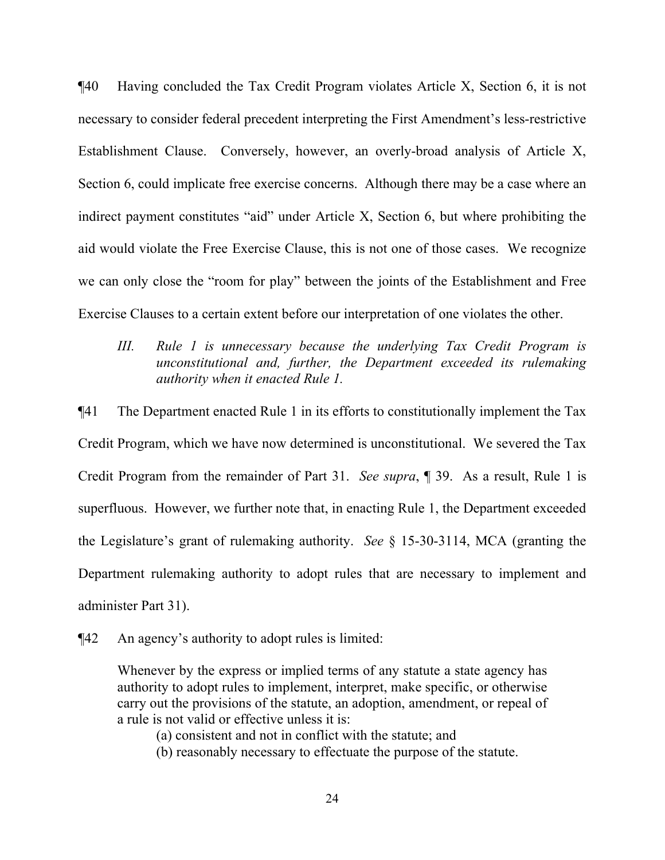¶40 Having concluded the Tax Credit Program violates Article X, Section 6, it is not necessary to consider federal precedent interpreting the First Amendment's less-restrictive Establishment Clause. Conversely, however, an overly-broad analysis of Article X, Section 6, could implicate free exercise concerns. Although there may be a case where an indirect payment constitutes "aid" under Article X, Section 6, but where prohibiting the aid would violate the Free Exercise Clause, this is not one of those cases. We recognize we can only close the "room for play" between the joints of the Establishment and Free Exercise Clauses to a certain extent before our interpretation of one violates the other.

# *III. Rule 1 is unnecessary because the underlying Tax Credit Program is unconstitutional and, further, the Department exceeded its rulemaking authority when it enacted Rule 1.*

¶41 The Department enacted Rule 1 in its efforts to constitutionally implement the Tax Credit Program, which we have now determined is unconstitutional. We severed the Tax Credit Program from the remainder of Part 31. *See supra*, ¶ 39. As a result, Rule 1 is superfluous. However, we further note that, in enacting Rule 1, the Department exceeded the Legislature's grant of rulemaking authority. *See* § 15-30-3114, MCA (granting the Department rulemaking authority to adopt rules that are necessary to implement and administer Part 31).

¶42 An agency's authority to adopt rules is limited:

Whenever by the express or implied terms of any statute a state agency has authority to adopt rules to implement, interpret, make specific, or otherwise carry out the provisions of the statute, an adoption, amendment, or repeal of a rule is not valid or effective unless it is:

(a) consistent and not in conflict with the statute; and

(b) reasonably necessary to effectuate the purpose of the statute.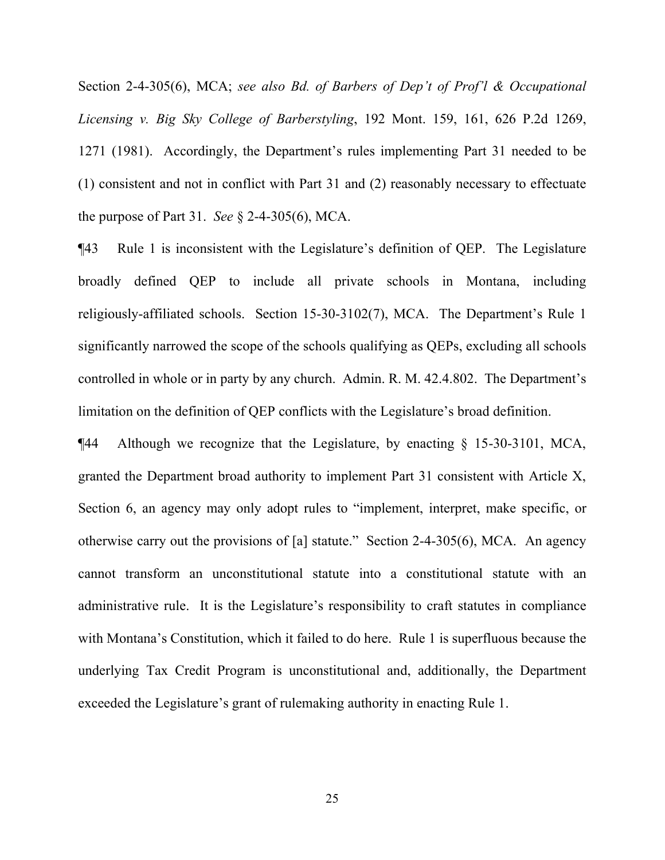Section 2-4-305(6), MCA; *see also Bd. of Barbers of Dep't of Prof'l & Occupational Licensing v. Big Sky College of Barberstyling*, 192 Mont. 159, 161, 626 P.2d 1269, 1271 (1981). Accordingly, the Department's rules implementing Part 31 needed to be (1) consistent and not in conflict with Part 31 and (2) reasonably necessary to effectuate the purpose of Part 31. *See* § 2-4-305(6), MCA.

¶43 Rule 1 is inconsistent with the Legislature's definition of QEP. The Legislature broadly defined QEP to include all private schools in Montana, including religiously-affiliated schools. Section 15-30-3102(7), MCA. The Department's Rule 1 significantly narrowed the scope of the schools qualifying as QEPs, excluding all schools controlled in whole or in party by any church. Admin. R. M. 42.4.802. The Department's limitation on the definition of QEP conflicts with the Legislature's broad definition.

¶44 Although we recognize that the Legislature, by enacting § 15-30-3101, MCA, granted the Department broad authority to implement Part 31 consistent with Article X, Section 6, an agency may only adopt rules to "implement, interpret, make specific, or otherwise carry out the provisions of [a] statute." Section 2-4-305(6), MCA. An agency cannot transform an unconstitutional statute into a constitutional statute with an administrative rule. It is the Legislature's responsibility to craft statutes in compliance with Montana's Constitution, which it failed to do here. Rule 1 is superfluous because the underlying Tax Credit Program is unconstitutional and, additionally, the Department exceeded the Legislature's grant of rulemaking authority in enacting Rule 1.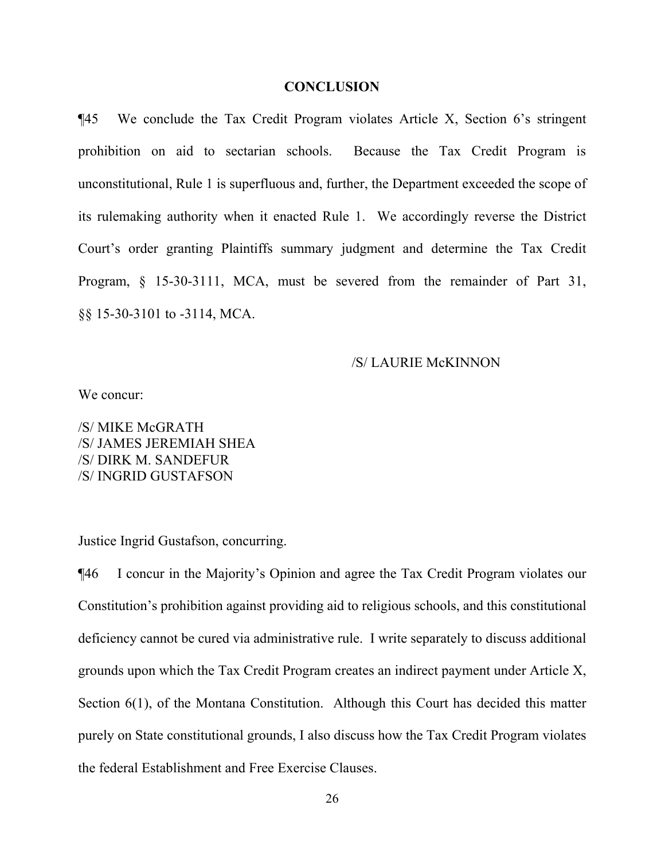#### **CONCLUSION**

¶45 We conclude the Tax Credit Program violates Article X, Section 6's stringent prohibition on aid to sectarian schools. Because the Tax Credit Program is unconstitutional, Rule 1 is superfluous and, further, the Department exceeded the scope of its rulemaking authority when it enacted Rule 1. We accordingly reverse the District Court's order granting Plaintiffs summary judgment and determine the Tax Credit Program, § 15-30-3111, MCA, must be severed from the remainder of Part 31, §§ 15-30-3101 to -3114, MCA.

#### /S/ LAURIE McKINNON

We concur:

/S/ MIKE McGRATH /S/ JAMES JEREMIAH SHEA /S/ DIRK M. SANDEFUR /S/ INGRID GUSTAFSON

Justice Ingrid Gustafson, concurring.

¶46 I concur in the Majority's Opinion and agree the Tax Credit Program violates our Constitution's prohibition against providing aid to religious schools, and this constitutional deficiency cannot be cured via administrative rule. I write separately to discuss additional grounds upon which the Tax Credit Program creates an indirect payment under Article X, Section 6(1), of the Montana Constitution. Although this Court has decided this matter purely on State constitutional grounds, I also discuss how the Tax Credit Program violates the federal Establishment and Free Exercise Clauses.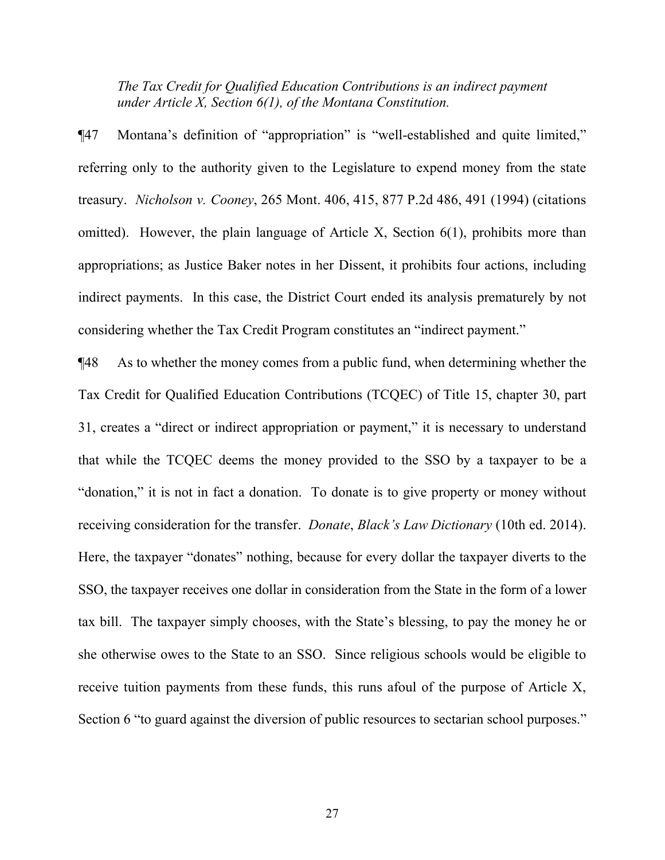*The Tax Credit for Qualified Education Contributions is an indirect payment under Article X, Section 6(1), of the Montana Constitution.*

¶47 Montana's definition of "appropriation" is "well-established and quite limited," referring only to the authority given to the Legislature to expend money from the state treasury. *Nicholson v. Cooney*, 265 Mont. 406, 415, 877 P.2d 486, 491 (1994) (citations omitted). However, the plain language of Article X, Section 6(1), prohibits more than appropriations; as Justice Baker notes in her Dissent, it prohibits four actions, including indirect payments. In this case, the District Court ended its analysis prematurely by not considering whether the Tax Credit Program constitutes an "indirect payment."

¶48 As to whether the money comes from a public fund, when determining whether the Tax Credit for Qualified Education Contributions (TCQEC) of Title 15, chapter 30, part 31, creates a "direct or indirect appropriation or payment," it is necessary to understand that while the TCQEC deems the money provided to the SSO by a taxpayer to be a "donation," it is not in fact a donation. To donate is to give property or money without receiving consideration for the transfer. *Donate*, *Black's Law Dictionary* (10th ed. 2014). Here, the taxpayer "donates" nothing, because for every dollar the taxpayer diverts to the SSO, the taxpayer receives one dollar in consideration from the State in the form of a lower tax bill. The taxpayer simply chooses, with the State's blessing, to pay the money he or she otherwise owes to the State to an SSO. Since religious schools would be eligible to receive tuition payments from these funds, this runs afoul of the purpose of Article X, Section 6 "to guard against the diversion of public resources to sectarian school purposes."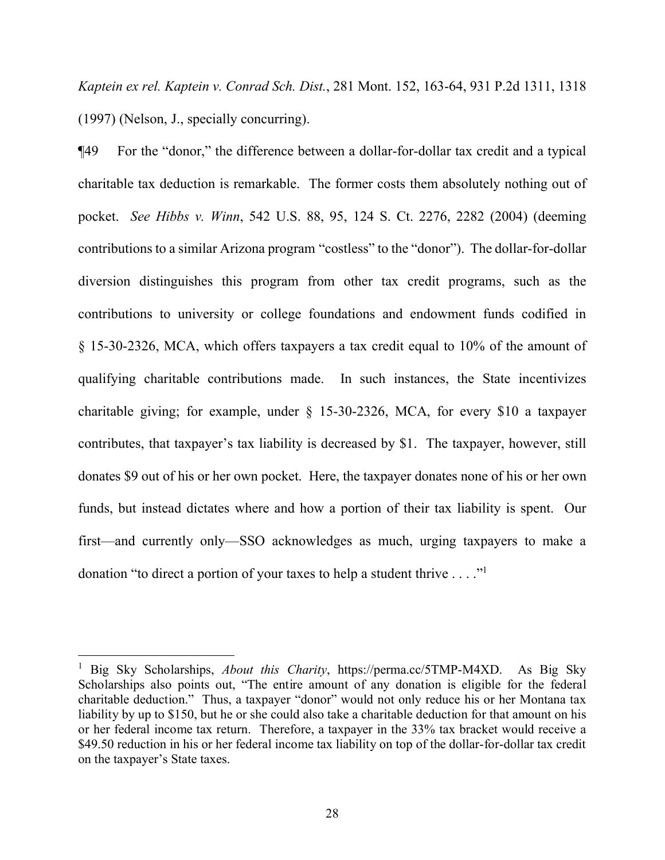*Kaptein ex rel. Kaptein v. Conrad Sch. Dist.*, 281 Mont. 152, 163-64, 931 P.2d 1311, 1318 (1997) (Nelson, J., specially concurring).

¶49 For the "donor," the difference between a dollar-for-dollar tax credit and a typical charitable tax deduction is remarkable. The former costs them absolutely nothing out of pocket. *See Hibbs v. Winn*, 542 U.S. 88, 95, 124 S. Ct. 2276, 2282 (2004) (deeming contributions to a similar Arizona program "costless" to the "donor"). The dollar-for-dollar diversion distinguishes this program from other tax credit programs, such as the contributions to university or college foundations and endowment funds codified in § 15-30-2326, MCA, which offers taxpayers a tax credit equal to 10% of the amount of qualifying charitable contributions made. In such instances, the State incentivizes charitable giving; for example, under § 15-30-2326, MCA, for every \$10 a taxpayer contributes, that taxpayer's tax liability is decreased by \$1. The taxpayer, however, still donates \$9 out of his or her own pocket. Here, the taxpayer donates none of his or her own funds, but instead dictates where and how a portion of their tax liability is spent. Our first—and currently only—SSO acknowledges as much, urging taxpayers to make a donation "to direct a portion of your taxes to help a student thrive  $\dots$ ."

<span id="page-27-0"></span><sup>1</sup> Big Sky Scholarships, *About this Charity*, https://perma.cc/5TMP-M4XD. As Big Sky Scholarships also points out, "The entire amount of any donation is eligible for the federal charitable deduction." Thus, a taxpayer "donor" would not only reduce his or her Montana tax liability by up to \$150, but he or she could also take a charitable deduction for that amount on his or her federal income tax return. Therefore, a taxpayer in the 33% tax bracket would receive a \$49.50 reduction in his or her federal income tax liability on top of the dollar-for-dollar tax credit on the taxpayer's State taxes.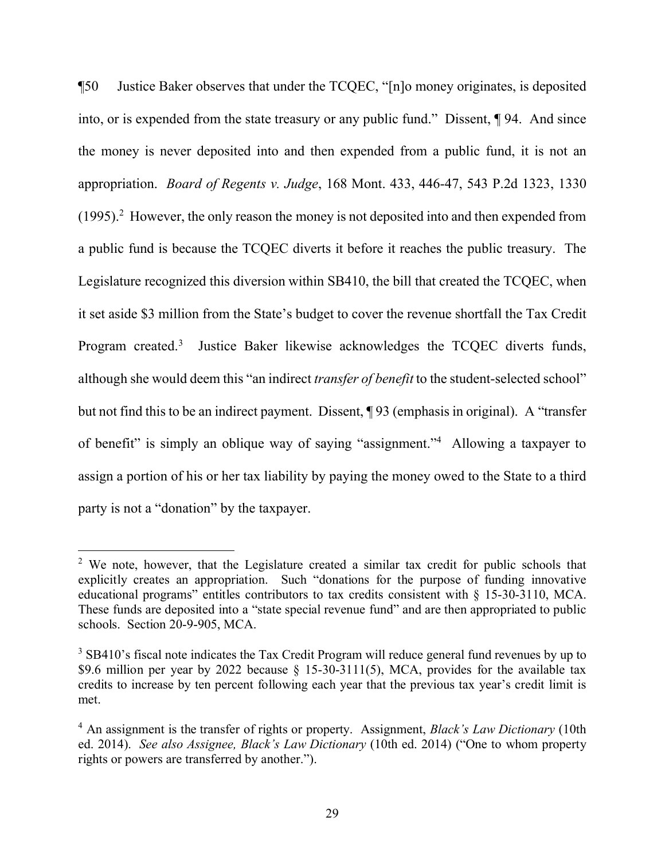¶50 Justice Baker observes that under the TCQEC, "[n]o money originates, is deposited into, or is expended from the state treasury or any public fund." Dissent, ¶ 94. And since the money is never deposited into and then expended from a public fund, it is not an appropriation. *Board of Regents v. Judge*, 168 Mont. 433, 446-47, 543 P.2d 1323, 1330 (1995). [2](#page-28-0) However, the only reason the money is not deposited into and then expended from a public fund is because the TCQEC diverts it before it reaches the public treasury. The Legislature recognized this diversion within SB410, the bill that created the TCQEC, when it set aside \$3 million from the State's budget to cover the revenue shortfall the Tax Credit Program created.<sup>[3](#page-28-1)</sup> Justice Baker likewise acknowledges the TCQEC diverts funds, although she would deem this "an indirect *transfer of benefit* to the student-selected school" but not find this to be an indirect payment. Dissent, ¶ 93 (emphasis in original). A "transfer of benefit" is simply an oblique way of saying "assignment."[4](#page-28-2) Allowing a taxpayer to assign a portion of his or her tax liability by paying the money owed to the State to a third party is not a "donation" by the taxpayer.

<span id="page-28-0"></span> $2$  We note, however, that the Legislature created a similar tax credit for public schools that explicitly creates an appropriation. Such "donations for the purpose of funding innovative educational programs" entitles contributors to tax credits consistent with § 15-30-3110, MCA. These funds are deposited into a "state special revenue fund" and are then appropriated to public schools. Section 20-9-905, MCA.

<span id="page-28-1"></span><sup>&</sup>lt;sup>3</sup> SB410's fiscal note indicates the Tax Credit Program will reduce general fund revenues by up to \$9.6 million per year by 2022 because § 15-30-3111(5), MCA, provides for the available tax credits to increase by ten percent following each year that the previous tax year's credit limit is met.

<span id="page-28-2"></span><sup>4</sup> An assignment is the transfer of rights or property. Assignment, *Black's Law Dictionary* (10th ed. 2014). *See also Assignee, Black's Law Dictionary* (10th ed. 2014) ("One to whom property rights or powers are transferred by another.").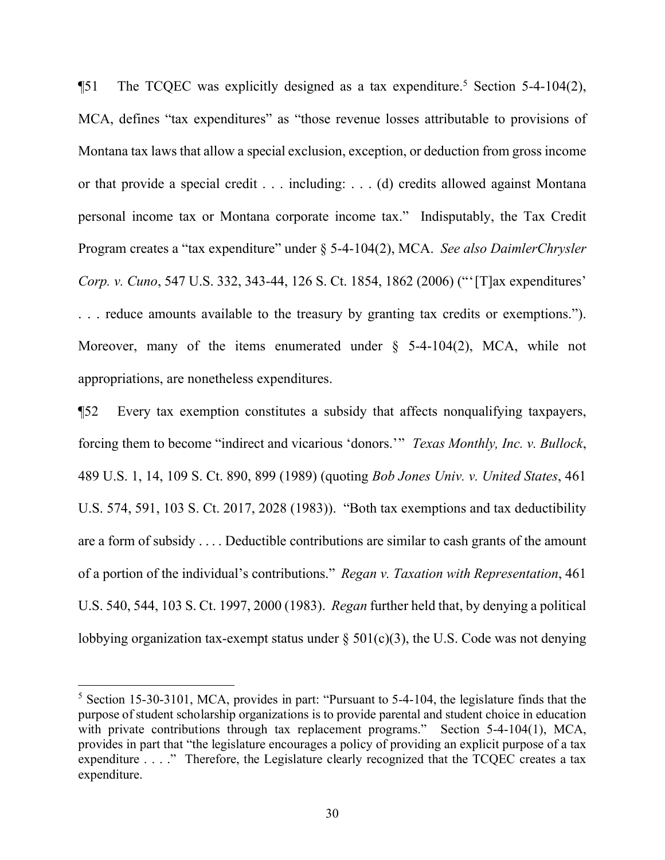**The TCQEC** was explicitly designed as a tax expenditure.<sup>[5](#page-29-0)</sup> Section 5-4-104(2), MCA, defines "tax expenditures" as "those revenue losses attributable to provisions of Montana tax laws that allow a special exclusion, exception, or deduction from gross income or that provide a special credit . . . including: . . . (d) credits allowed against Montana personal income tax or Montana corporate income tax." Indisputably, the Tax Credit Program creates a "tax expenditure" under § 5-4-104(2), MCA. *See also DaimlerChrysler Corp. v. Cuno*, 547 U.S. 332, 343-44, 126 S. Ct. 1854, 1862 (2006) ("'[T]ax expenditures' . . . reduce amounts available to the treasury by granting tax credits or exemptions."). Moreover, many of the items enumerated under  $\S$  5-4-104(2), MCA, while not appropriations, are nonetheless expenditures.

¶52 Every tax exemption constitutes a subsidy that affects nonqualifying taxpayers, forcing them to become "indirect and vicarious 'donors.'" *Texas Monthly, Inc. v. Bullock*, 489 U.S. 1, 14, 109 S. Ct. 890, 899 (1989) (quoting *Bob Jones Univ. v. United States*, 461 U.S. 574, 591, 103 S. Ct. 2017, 2028 (1983)). "Both tax exemptions and tax deductibility are a form of subsidy . . . . Deductible contributions are similar to cash grants of the amount of a portion of the individual's contributions." *Regan v. Taxation with Representation*, 461 U.S. 540, 544, 103 S. Ct. 1997, 2000 (1983). *Regan* further held that, by denying a political lobbying organization tax-exempt status under  $\S$  501(c)(3), the U.S. Code was not denying

<span id="page-29-0"></span> $5$  Section 15-30-3101, MCA, provides in part: "Pursuant to 5-4-104, the legislature finds that the purpose of student scholarship organizations is to provide parental and student choice in education with private contributions through tax replacement programs." Section 5-4-104(1), MCA, provides in part that "the legislature encourages a policy of providing an explicit purpose of a tax expenditure . . . ." Therefore, the Legislature clearly recognized that the TCQEC creates a tax expenditure.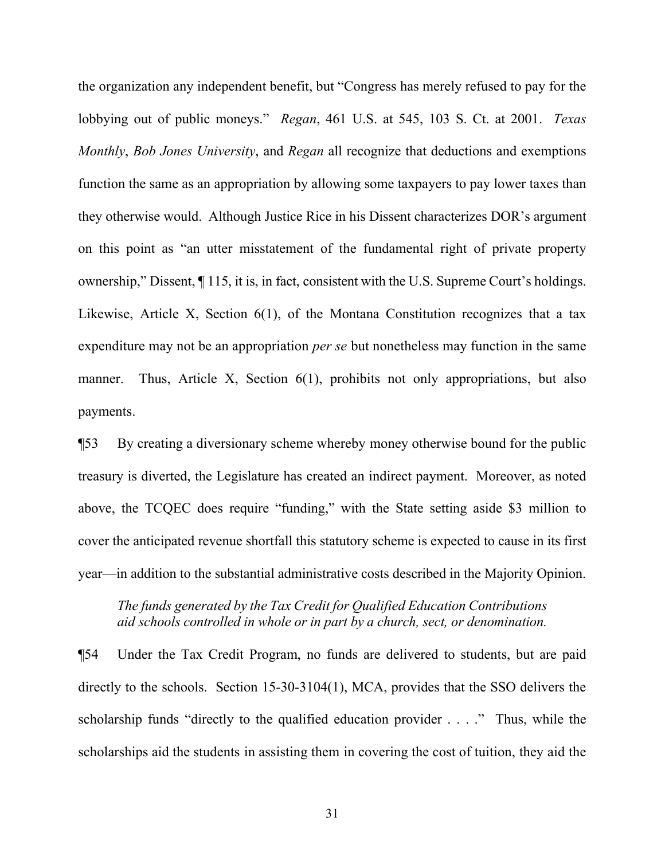the organization any independent benefit, but "Congress has merely refused to pay for the lobbying out of public moneys." *Regan*, 461 U.S. at 545, 103 S. Ct. at 2001. *Texas Monthly*, *Bob Jones University*, and *Regan* all recognize that deductions and exemptions function the same as an appropriation by allowing some taxpayers to pay lower taxes than they otherwise would. Although Justice Rice in his Dissent characterizes DOR's argument on this point as "an utter misstatement of the fundamental right of private property ownership," Dissent, ¶ 115, it is, in fact, consistent with the U.S. Supreme Court's holdings. Likewise, Article X, Section 6(1), of the Montana Constitution recognizes that a tax expenditure may not be an appropriation *per se* but nonetheless may function in the same manner. Thus, Article X, Section 6(1), prohibits not only appropriations, but also payments.

¶53 By creating a diversionary scheme whereby money otherwise bound for the public treasury is diverted, the Legislature has created an indirect payment. Moreover, as noted above, the TCQEC does require "funding," with the State setting aside \$3 million to cover the anticipated revenue shortfall this statutory scheme is expected to cause in its first year—in addition to the substantial administrative costs described in the Majority Opinion.

# *The funds generated by the Tax Credit for Qualified Education Contributions aid schools controlled in whole or in part by a church, sect, or denomination.*

¶54 Under the Tax Credit Program, no funds are delivered to students, but are paid directly to the schools. Section 15-30-3104(1), MCA, provides that the SSO delivers the scholarship funds "directly to the qualified education provider . . . ." Thus, while the scholarships aid the students in assisting them in covering the cost of tuition, they aid the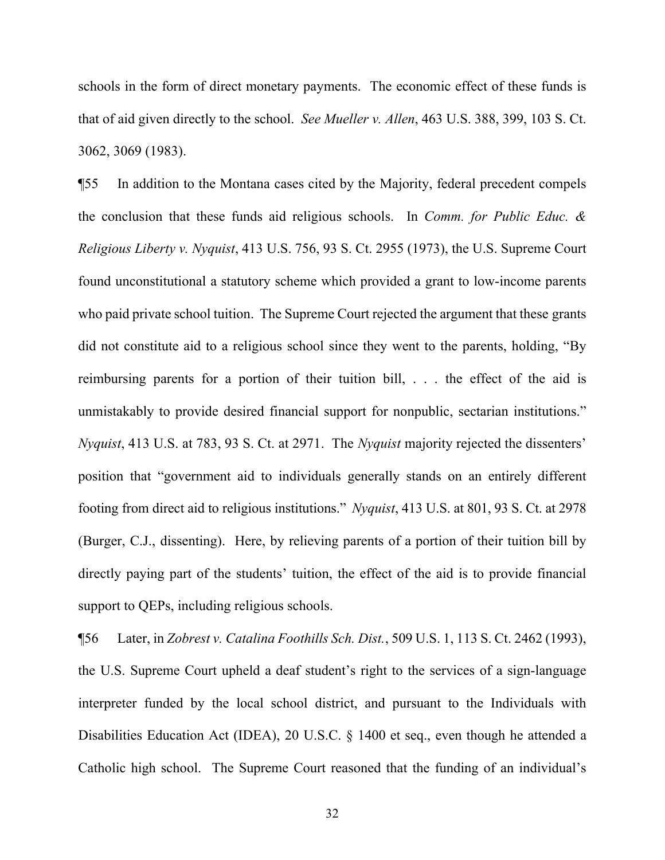schools in the form of direct monetary payments. The economic effect of these funds is that of aid given directly to the school. *See Mueller v. Allen*, 463 U.S. 388, 399, 103 S. Ct. 3062, 3069 (1983).

¶55 In addition to the Montana cases cited by the Majority, federal precedent compels the conclusion that these funds aid religious schools. In *Comm. for Public Educ. & Religious Liberty v. Nyquist*, 413 U.S. 756, 93 S. Ct. 2955 (1973), the U.S. Supreme Court found unconstitutional a statutory scheme which provided a grant to low-income parents who paid private school tuition. The Supreme Court rejected the argument that these grants did not constitute aid to a religious school since they went to the parents, holding, "By reimbursing parents for a portion of their tuition bill, . . . the effect of the aid is unmistakably to provide desired financial support for nonpublic, sectarian institutions." *Nyquist*, 413 U.S. at 783, 93 S. Ct. at 2971. The *Nyquist* majority rejected the dissenters' position that "government aid to individuals generally stands on an entirely different footing from direct aid to religious institutions." *Nyquist*, 413 U.S. at 801, 93 S. Ct. at 2978 (Burger, C.J., dissenting). Here, by relieving parents of a portion of their tuition bill by directly paying part of the students' tuition, the effect of the aid is to provide financial support to QEPs, including religious schools.

¶56 Later, in *Zobrest v. Catalina Foothills Sch. Dist.*, 509 U.S. 1, 113 S. Ct. 2462 (1993), the U.S. Supreme Court upheld a deaf student's right to the services of a sign-language interpreter funded by the local school district, and pursuant to the Individuals with Disabilities Education Act (IDEA), 20 U.S.C. § 1400 et seq., even though he attended a Catholic high school. The Supreme Court reasoned that the funding of an individual's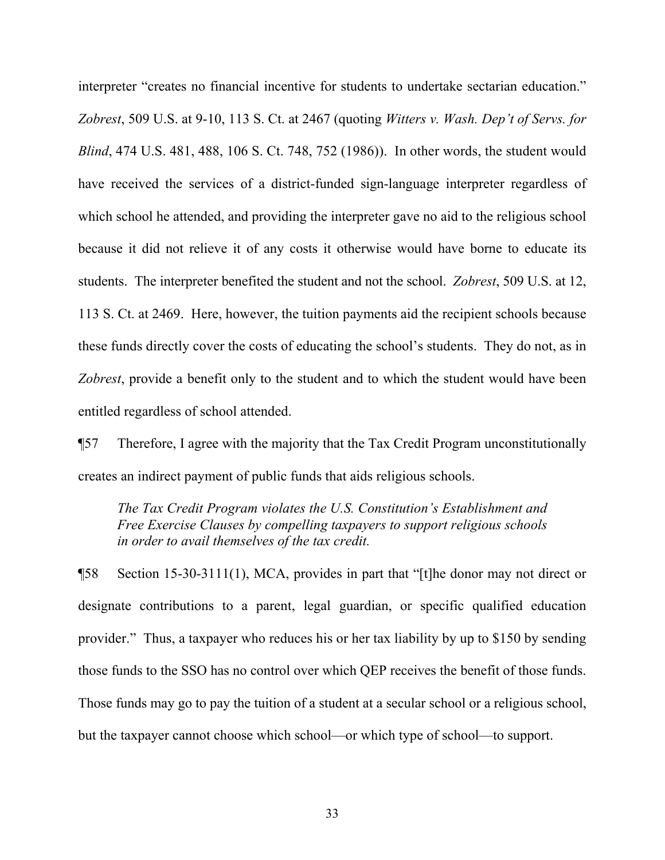interpreter "creates no financial incentive for students to undertake sectarian education." *Zobrest*, 509 U.S. at 9-10, 113 S. Ct. at 2467 (quoting *Witters v. Wash. Dep't of Servs. for Blind*, 474 U.S. 481, 488, 106 S. Ct. 748, 752 (1986)). In other words, the student would have received the services of a district-funded sign-language interpreter regardless of which school he attended, and providing the interpreter gave no aid to the religious school because it did not relieve it of any costs it otherwise would have borne to educate its students. The interpreter benefited the student and not the school. *Zobrest*, 509 U.S. at 12, 113 S. Ct. at 2469. Here, however, the tuition payments aid the recipient schools because these funds directly cover the costs of educating the school's students. They do not, as in *Zobrest*, provide a benefit only to the student and to which the student would have been entitled regardless of school attended.

¶57 Therefore, I agree with the majority that the Tax Credit Program unconstitutionally creates an indirect payment of public funds that aids religious schools.

*The Tax Credit Program violates the U.S. Constitution's Establishment and Free Exercise Clauses by compelling taxpayers to support religious schools in order to avail themselves of the tax credit.*

¶58 Section 15-30-3111(1), MCA, provides in part that "[t]he donor may not direct or designate contributions to a parent, legal guardian, or specific qualified education provider." Thus, a taxpayer who reduces his or her tax liability by up to \$150 by sending those funds to the SSO has no control over which QEP receives the benefit of those funds. Those funds may go to pay the tuition of a student at a secular school or a religious school, but the taxpayer cannot choose which school—or which type of school—to support.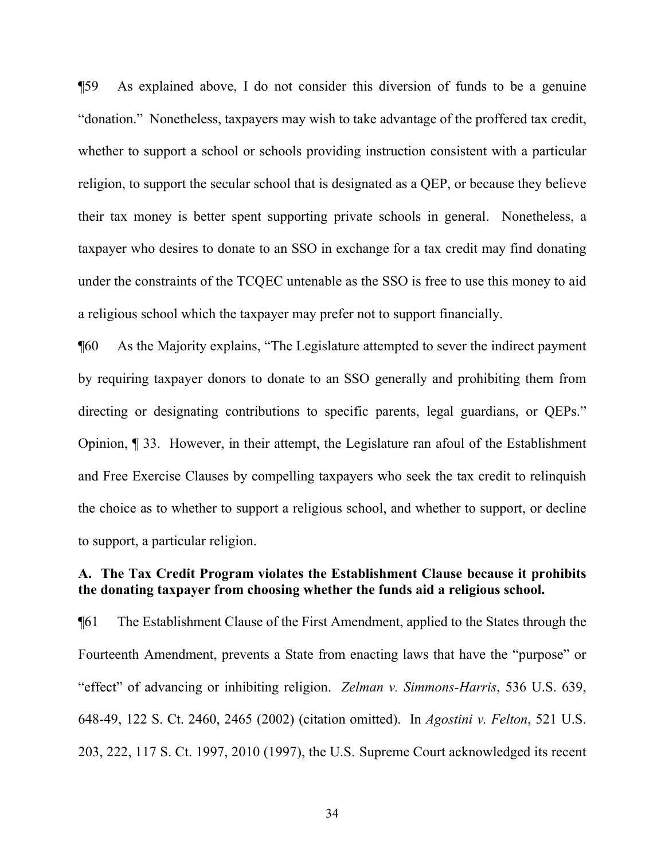¶59 As explained above, I do not consider this diversion of funds to be a genuine "donation." Nonetheless, taxpayers may wish to take advantage of the proffered tax credit, whether to support a school or schools providing instruction consistent with a particular religion, to support the secular school that is designated as a QEP, or because they believe their tax money is better spent supporting private schools in general. Nonetheless, a taxpayer who desires to donate to an SSO in exchange for a tax credit may find donating under the constraints of the TCQEC untenable as the SSO is free to use this money to aid a religious school which the taxpayer may prefer not to support financially.

¶60 As the Majority explains, "The Legislature attempted to sever the indirect payment by requiring taxpayer donors to donate to an SSO generally and prohibiting them from directing or designating contributions to specific parents, legal guardians, or QEPs." Opinion, ¶ 33. However, in their attempt, the Legislature ran afoul of the Establishment and Free Exercise Clauses by compelling taxpayers who seek the tax credit to relinquish the choice as to whether to support a religious school, and whether to support, or decline to support, a particular religion.

# **A. The Tax Credit Program violates the Establishment Clause because it prohibits the donating taxpayer from choosing whether the funds aid a religious school.**

¶61 The Establishment Clause of the First Amendment, applied to the States through the Fourteenth Amendment, prevents a State from enacting laws that have the "purpose" or "effect" of advancing or inhibiting religion. *Zelman v. Simmons-Harris*, 536 U.S. 639, 648-49, 122 S. Ct. 2460, 2465 (2002) (citation omitted). In *Agostini v. Felton*, 521 U.S. 203, 222, 117 S. Ct. 1997, 2010 (1997), the U.S. Supreme Court acknowledged its recent

34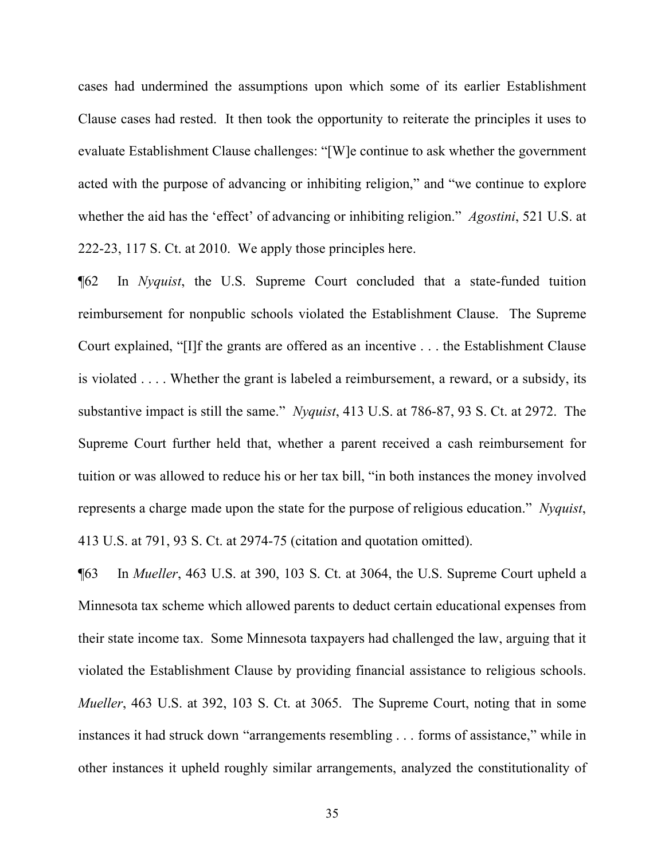cases had undermined the assumptions upon which some of its earlier Establishment Clause cases had rested. It then took the opportunity to reiterate the principles it uses to evaluate Establishment Clause challenges: "[W]e continue to ask whether the government acted with the purpose of advancing or inhibiting religion," and "we continue to explore whether the aid has the 'effect' of advancing or inhibiting religion." *Agostini*, 521 U.S. at 222-23, 117 S. Ct. at 2010. We apply those principles here.

¶62 In *Nyquist*, the U.S. Supreme Court concluded that a state-funded tuition reimbursement for nonpublic schools violated the Establishment Clause. The Supreme Court explained, "[I]f the grants are offered as an incentive . . . the Establishment Clause is violated . . . . Whether the grant is labeled a reimbursement, a reward, or a subsidy, its substantive impact is still the same." *Nyquist*, 413 U.S. at 786-87, 93 S. Ct. at 2972. The Supreme Court further held that, whether a parent received a cash reimbursement for tuition or was allowed to reduce his or her tax bill, "in both instances the money involved represents a charge made upon the state for the purpose of religious education." *Nyquist*, 413 U.S. at 791, 93 S. Ct. at 2974-75 (citation and quotation omitted).

¶63 In *Mueller*, 463 U.S. at 390, 103 S. Ct. at 3064, the U.S. Supreme Court upheld a Minnesota tax scheme which allowed parents to deduct certain educational expenses from their state income tax. Some Minnesota taxpayers had challenged the law, arguing that it violated the Establishment Clause by providing financial assistance to religious schools. *Mueller*, 463 U.S. at 392, 103 S. Ct. at 3065. The Supreme Court, noting that in some instances it had struck down "arrangements resembling . . . forms of assistance," while in other instances it upheld roughly similar arrangements, analyzed the constitutionality of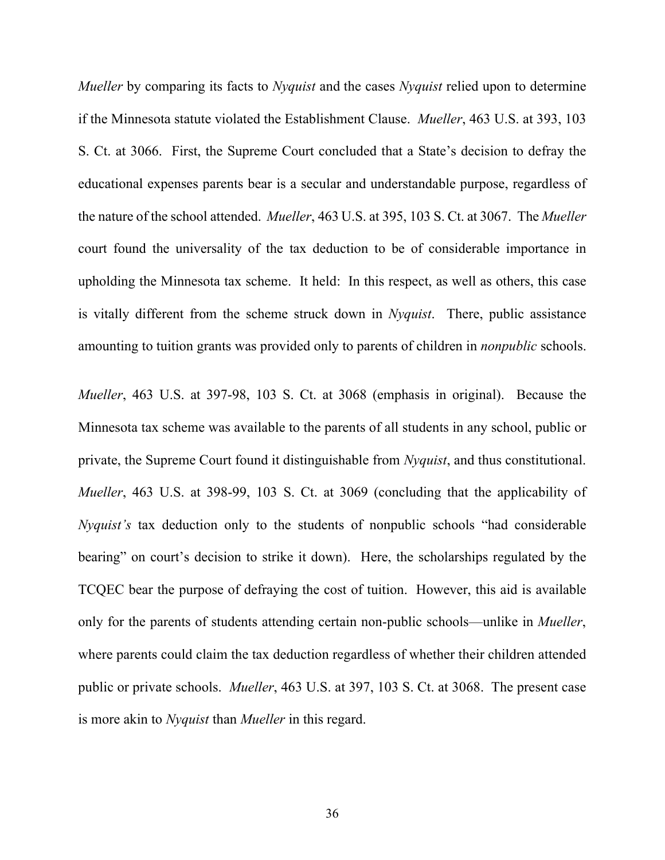*Mueller* by comparing its facts to *Nyquist* and the cases *Nyquist* relied upon to determine if the Minnesota statute violated the Establishment Clause. *Mueller*, 463 U.S. at 393, 103 S. Ct. at 3066. First, the Supreme Court concluded that a State's decision to defray the educational expenses parents bear is a secular and understandable purpose, regardless of the nature of the school attended. *Mueller*, 463 U.S. at 395, 103 S. Ct. at 3067. The *Mueller*  court found the universality of the tax deduction to be of considerable importance in upholding the Minnesota tax scheme. It held: In this respect, as well as others, this case is vitally different from the scheme struck down in *Nyquist*. There, public assistance amounting to tuition grants was provided only to parents of children in *nonpublic* schools.

*Mueller*, 463 U.S. at 397-98, 103 S. Ct. at 3068 (emphasis in original). Because the Minnesota tax scheme was available to the parents of all students in any school, public or private, the Supreme Court found it distinguishable from *Nyquist*, and thus constitutional. *Mueller*, 463 U.S. at 398-99, 103 S. Ct. at 3069 (concluding that the applicability of *Nyquist's* tax deduction only to the students of nonpublic schools "had considerable bearing" on court's decision to strike it down). Here, the scholarships regulated by the TCQEC bear the purpose of defraying the cost of tuition. However, this aid is available only for the parents of students attending certain non-public schools—unlike in *Mueller*, where parents could claim the tax deduction regardless of whether their children attended public or private schools. *Mueller*, 463 U.S. at 397, 103 S. Ct. at 3068. The present case is more akin to *Nyquist* than *Mueller* in this regard.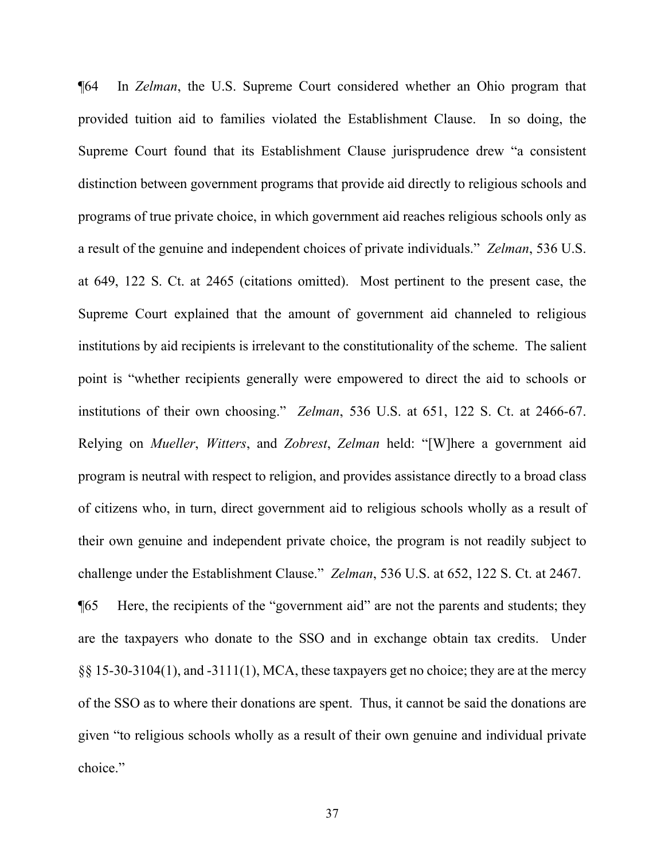¶64 In *Zelman*, the U.S. Supreme Court considered whether an Ohio program that provided tuition aid to families violated the Establishment Clause. In so doing, the Supreme Court found that its Establishment Clause jurisprudence drew "a consistent distinction between government programs that provide aid directly to religious schools and programs of true private choice, in which government aid reaches religious schools only as a result of the genuine and independent choices of private individuals." *Zelman*, 536 U.S. at 649, 122 S. Ct. at 2465 (citations omitted). Most pertinent to the present case, the Supreme Court explained that the amount of government aid channeled to religious institutions by aid recipients is irrelevant to the constitutionality of the scheme. The salient point is "whether recipients generally were empowered to direct the aid to schools or institutions of their own choosing." *Zelman*, 536 U.S. at 651, 122 S. Ct. at 2466-67. Relying on *Mueller*, *Witters*, and *Zobrest*, *Zelman* held: "[W]here a government aid program is neutral with respect to religion, and provides assistance directly to a broad class of citizens who, in turn, direct government aid to religious schools wholly as a result of their own genuine and independent private choice, the program is not readily subject to challenge under the Establishment Clause." *Zelman*, 536 U.S. at 652, 122 S. Ct. at 2467.

¶65 Here, the recipients of the "government aid" are not the parents and students; they are the taxpayers who donate to the SSO and in exchange obtain tax credits. Under §§ 15-30-3104(1), and -3111(1), MCA, these taxpayers get no choice; they are at the mercy of the SSO as to where their donations are spent. Thus, it cannot be said the donations are given "to religious schools wholly as a result of their own genuine and individual private choice."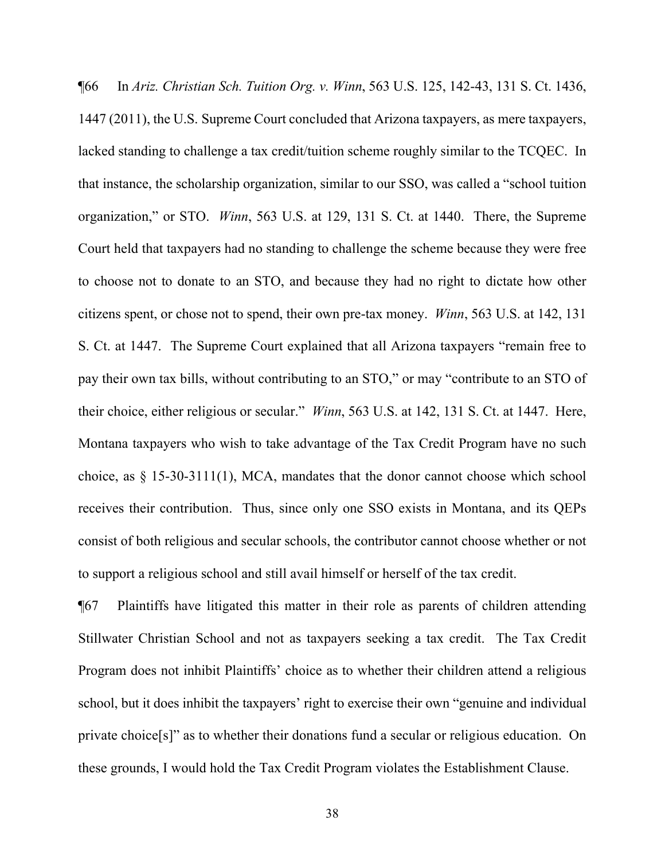¶66 In *Ariz. Christian Sch. Tuition Org. v. Winn*, 563 U.S. 125, 142-43, 131 S. Ct. 1436, 1447 (2011), the U.S. Supreme Court concluded that Arizona taxpayers, as mere taxpayers, lacked standing to challenge a tax credit/tuition scheme roughly similar to the TCQEC. In that instance, the scholarship organization, similar to our SSO, was called a "school tuition organization," or STO. *Winn*, 563 U.S. at 129, 131 S. Ct. at 1440. There, the Supreme Court held that taxpayers had no standing to challenge the scheme because they were free to choose not to donate to an STO, and because they had no right to dictate how other citizens spent, or chose not to spend, their own pre-tax money. *Winn*, 563 U.S. at 142, 131 S. Ct. at 1447. The Supreme Court explained that all Arizona taxpayers "remain free to pay their own tax bills, without contributing to an STO," or may "contribute to an STO of their choice, either religious or secular." *Winn*, 563 U.S. at 142, 131 S. Ct. at 1447. Here, Montana taxpayers who wish to take advantage of the Tax Credit Program have no such choice, as § 15-30-3111(1), MCA, mandates that the donor cannot choose which school receives their contribution. Thus, since only one SSO exists in Montana, and its QEPs consist of both religious and secular schools, the contributor cannot choose whether or not to support a religious school and still avail himself or herself of the tax credit.

¶67 Plaintiffs have litigated this matter in their role as parents of children attending Stillwater Christian School and not as taxpayers seeking a tax credit. The Tax Credit Program does not inhibit Plaintiffs' choice as to whether their children attend a religious school, but it does inhibit the taxpayers' right to exercise their own "genuine and individual private choice[s]" as to whether their donations fund a secular or religious education. On these grounds, I would hold the Tax Credit Program violates the Establishment Clause.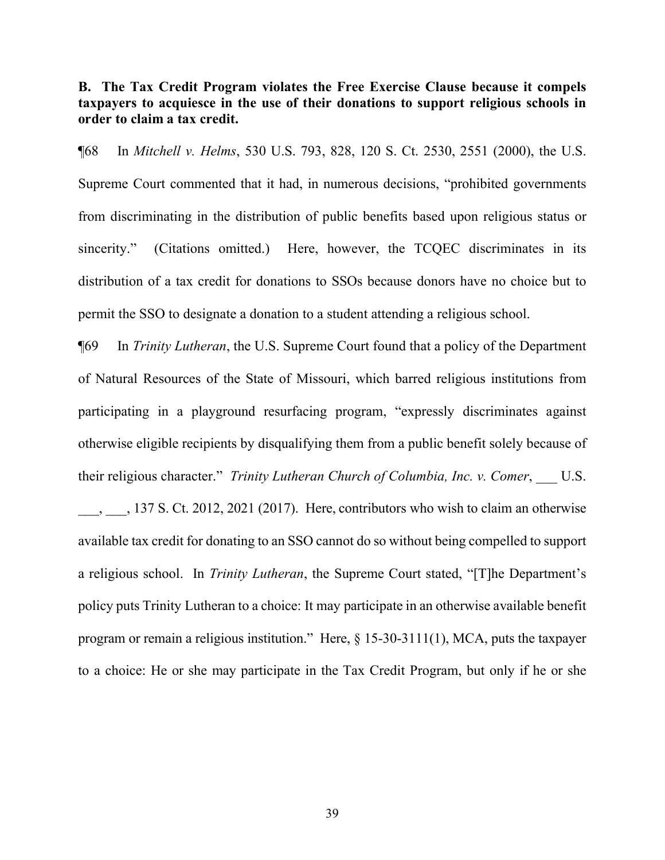# **B. The Tax Credit Program violates the Free Exercise Clause because it compels taxpayers to acquiesce in the use of their donations to support religious schools in order to claim a tax credit.**

¶68 In *Mitchell v. Helms*, 530 U.S. 793, 828, 120 S. Ct. 2530, 2551 (2000), the U.S. Supreme Court commented that it had, in numerous decisions, "prohibited governments from discriminating in the distribution of public benefits based upon religious status or sincerity." (Citations omitted.) Here, however, the TCQEC discriminates in its distribution of a tax credit for donations to SSOs because donors have no choice but to permit the SSO to designate a donation to a student attending a religious school.

¶69 In *Trinity Lutheran*, the U.S. Supreme Court found that a policy of the Department of Natural Resources of the State of Missouri, which barred religious institutions from participating in a playground resurfacing program, "expressly discriminates against otherwise eligible recipients by disqualifying them from a public benefit solely because of their religious character." *Trinity Lutheran Church of Columbia, Inc. v. Comer*, \_\_\_ U.S.

\_\_\_, \_\_\_, 137 S. Ct. 2012, 2021 (2017). Here, contributors who wish to claim an otherwise available tax credit for donating to an SSO cannot do so without being compelled to support a religious school. In *Trinity Lutheran*, the Supreme Court stated, "[T]he Department's policy puts Trinity Lutheran to a choice: It may participate in an otherwise available benefit program or remain a religious institution." Here, § 15-30-3111(1), MCA, puts the taxpayer to a choice: He or she may participate in the Tax Credit Program, but only if he or she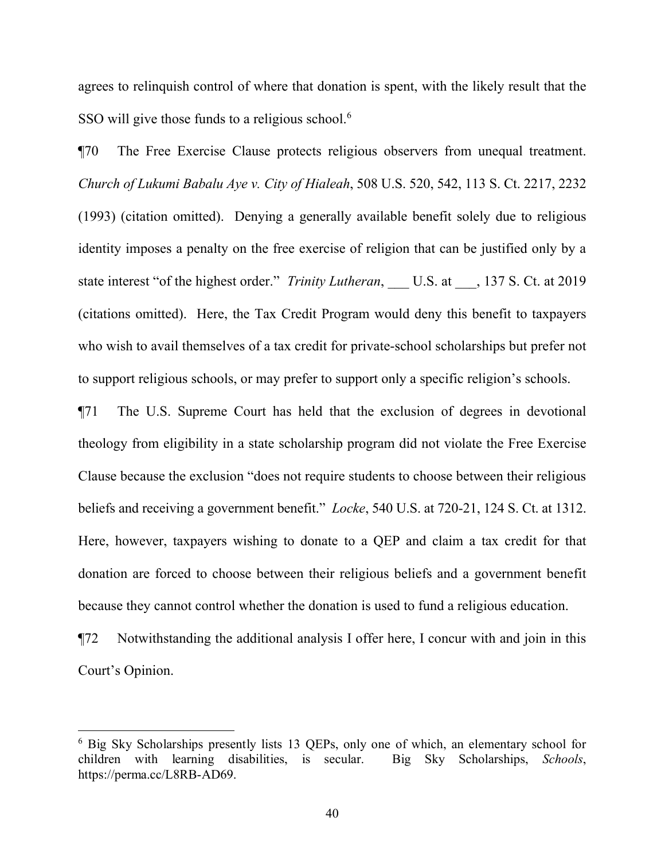agrees to relinquish control of where that donation is spent, with the likely result that the SSO will give those funds to a religious school.<sup>[6](#page-39-0)</sup>

¶70 The Free Exercise Clause protects religious observers from unequal treatment. *Church of Lukumi Babalu Aye v. City of Hialeah*, 508 U.S. 520, 542, 113 S. Ct. 2217, 2232 (1993) (citation omitted). Denying a generally available benefit solely due to religious identity imposes a penalty on the free exercise of religion that can be justified only by a state interest "of the highest order." *Trinity Lutheran*, U.S. at , 137 S. Ct. at 2019 (citations omitted). Here, the Tax Credit Program would deny this benefit to taxpayers who wish to avail themselves of a tax credit for private-school scholarships but prefer not to support religious schools, or may prefer to support only a specific religion's schools.

¶71 The U.S. Supreme Court has held that the exclusion of degrees in devotional theology from eligibility in a state scholarship program did not violate the Free Exercise Clause because the exclusion "does not require students to choose between their religious beliefs and receiving a government benefit." *Locke*, 540 U.S. at 720-21, 124 S. Ct. at 1312. Here, however, taxpayers wishing to donate to a QEP and claim a tax credit for that donation are forced to choose between their religious beliefs and a government benefit because they cannot control whether the donation is used to fund a religious education.

¶72 Notwithstanding the additional analysis I offer here, I concur with and join in this Court's Opinion.

<span id="page-39-0"></span><sup>6</sup> Big Sky Scholarships presently lists 13 QEPs, only one of which, an elementary school for children with learning disabilities, is secular. Big Sky Scholarships, *Schools*, https://perma.cc/L8RB-AD69.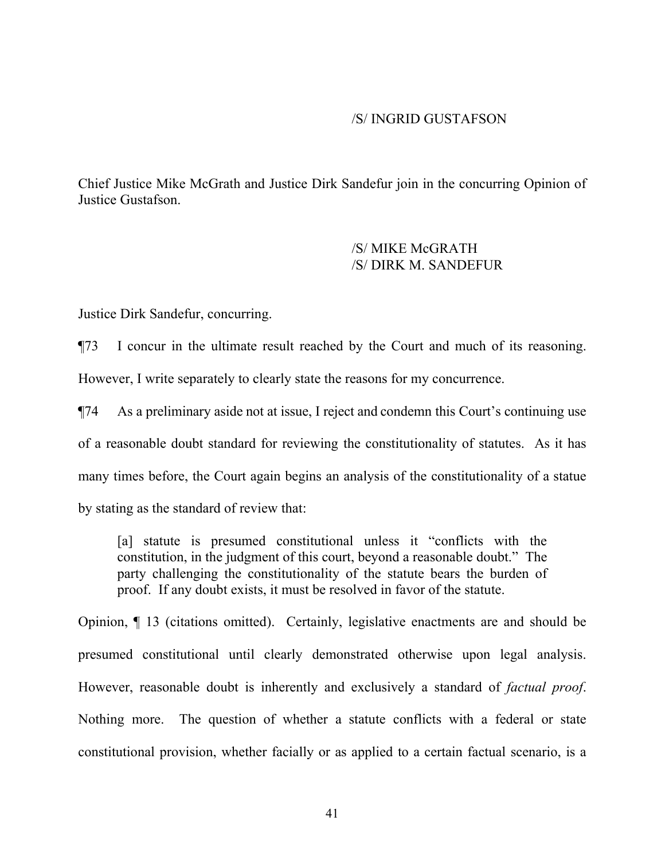#### /S/ INGRID GUSTAFSON

Chief Justice Mike McGrath and Justice Dirk Sandefur join in the concurring Opinion of Justice Gustafson.

> /S/ MIKE McGRATH /S/ DIRK M. SANDEFUR

Justice Dirk Sandefur, concurring.

¶73 I concur in the ultimate result reached by the Court and much of its reasoning. However, I write separately to clearly state the reasons for my concurrence.

¶74 As a preliminary aside not at issue, I reject and condemn this Court's continuing use of a reasonable doubt standard for reviewing the constitutionality of statutes. As it has many times before, the Court again begins an analysis of the constitutionality of a statue

by stating as the standard of review that:

[a] statute is presumed constitutional unless it "conflicts with the constitution, in the judgment of this court, beyond a reasonable doubt." The party challenging the constitutionality of the statute bears the burden of proof. If any doubt exists, it must be resolved in favor of the statute.

Opinion, ¶ 13 (citations omitted). Certainly, legislative enactments are and should be presumed constitutional until clearly demonstrated otherwise upon legal analysis. However, reasonable doubt is inherently and exclusively a standard of *factual proof*. Nothing more. The question of whether a statute conflicts with a federal or state constitutional provision, whether facially or as applied to a certain factual scenario, is a

41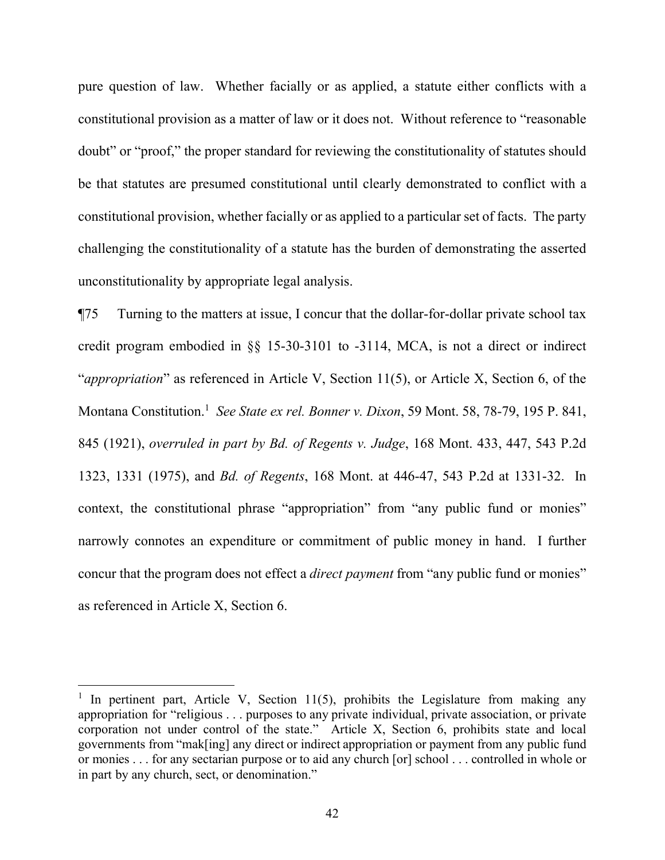pure question of law. Whether facially or as applied, a statute either conflicts with a constitutional provision as a matter of law or it does not. Without reference to "reasonable doubt" or "proof," the proper standard for reviewing the constitutionality of statutes should be that statutes are presumed constitutional until clearly demonstrated to conflict with a constitutional provision, whether facially or as applied to a particular set of facts. The party challenging the constitutionality of a statute has the burden of demonstrating the asserted unconstitutionality by appropriate legal analysis.

¶75 Turning to the matters at issue, I concur that the dollar-for-dollar private school tax credit program embodied in §§ 15-30-3101 to -3114, MCA, is not a direct or indirect "*appropriation*" as referenced in Article V, Section 11(5), or Article X, Section 6, of the Montana Constitution. [1](#page-41-0) *See State ex rel. Bonner v. Dixon*, 59 Mont. 58, 78-79, 195 P. 841, 845 (1921), *overruled in part by Bd. of Regents v. Judge*, 168 Mont. 433, 447, 543 P.2d 1323, 1331 (1975), and *Bd. of Regents*, 168 Mont. at 446-47, 543 P.2d at 1331-32. In context, the constitutional phrase "appropriation" from "any public fund or monies" narrowly connotes an expenditure or commitment of public money in hand. I further concur that the program does not effect a *direct payment* from "any public fund or monies" as referenced in Article X, Section 6.

<span id="page-41-0"></span><sup>&</sup>lt;sup>1</sup> In pertinent part, Article V, Section 11(5), prohibits the Legislature from making any appropriation for "religious . . . purposes to any private individual, private association, or private corporation not under control of the state." Article X, Section 6, prohibits state and local governments from "mak[ing] any direct or indirect appropriation or payment from any public fund or monies . . . for any sectarian purpose or to aid any church [or] school . . . controlled in whole or in part by any church, sect, or denomination."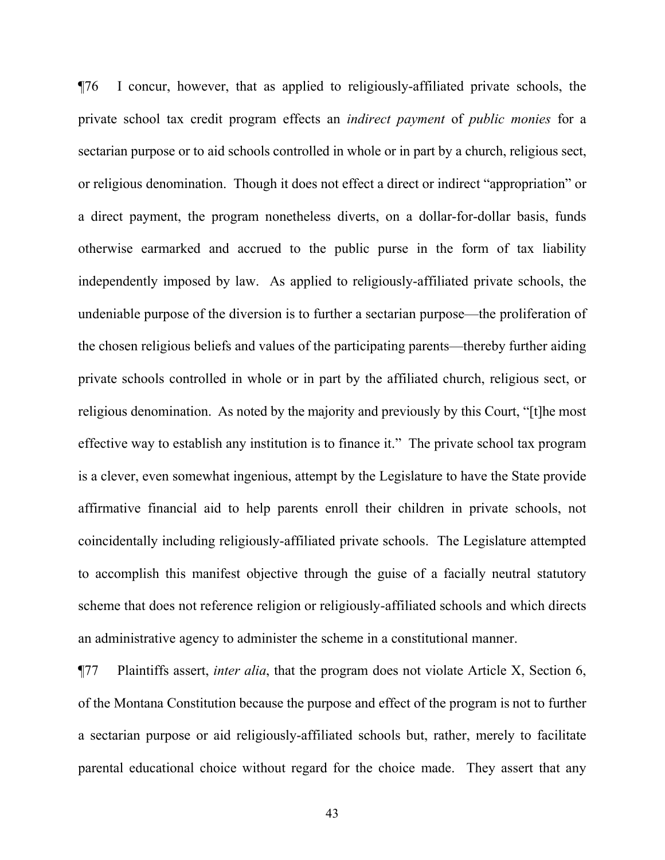¶76 I concur, however, that as applied to religiously-affiliated private schools, the private school tax credit program effects an *indirect payment* of *public monies* for a sectarian purpose or to aid schools controlled in whole or in part by a church, religious sect, or religious denomination. Though it does not effect a direct or indirect "appropriation" or a direct payment, the program nonetheless diverts, on a dollar-for-dollar basis, funds otherwise earmarked and accrued to the public purse in the form of tax liability independently imposed by law. As applied to religiously-affiliated private schools, the undeniable purpose of the diversion is to further a sectarian purpose—the proliferation of the chosen religious beliefs and values of the participating parents—thereby further aiding private schools controlled in whole or in part by the affiliated church, religious sect, or religious denomination. As noted by the majority and previously by this Court, "[t]he most effective way to establish any institution is to finance it." The private school tax program is a clever, even somewhat ingenious, attempt by the Legislature to have the State provide affirmative financial aid to help parents enroll their children in private schools, not coincidentally including religiously-affiliated private schools. The Legislature attempted to accomplish this manifest objective through the guise of a facially neutral statutory scheme that does not reference religion or religiously-affiliated schools and which directs an administrative agency to administer the scheme in a constitutional manner.

¶77 Plaintiffs assert, *inter alia*, that the program does not violate Article X, Section 6, of the Montana Constitution because the purpose and effect of the program is not to further a sectarian purpose or aid religiously-affiliated schools but, rather, merely to facilitate parental educational choice without regard for the choice made. They assert that any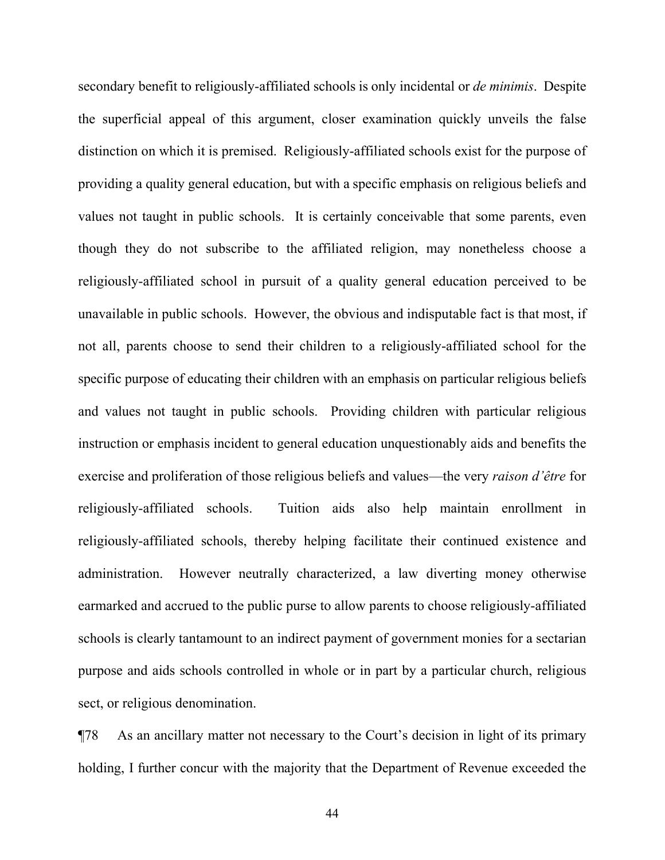secondary benefit to religiously-affiliated schools is only incidental or *de minimis*. Despite the superficial appeal of this argument, closer examination quickly unveils the false distinction on which it is premised. Religiously-affiliated schools exist for the purpose of providing a quality general education, but with a specific emphasis on religious beliefs and values not taught in public schools. It is certainly conceivable that some parents, even though they do not subscribe to the affiliated religion, may nonetheless choose a religiously-affiliated school in pursuit of a quality general education perceived to be unavailable in public schools. However, the obvious and indisputable fact is that most, if not all, parents choose to send their children to a religiously-affiliated school for the specific purpose of educating their children with an emphasis on particular religious beliefs and values not taught in public schools. Providing children with particular religious instruction or emphasis incident to general education unquestionably aids and benefits the exercise and proliferation of those religious beliefs and values—the very *raison d'être* for religiously-affiliated schools. Tuition aids also help maintain enrollment in religiously-affiliated schools, thereby helping facilitate their continued existence and administration. However neutrally characterized, a law diverting money otherwise earmarked and accrued to the public purse to allow parents to choose religiously-affiliated schools is clearly tantamount to an indirect payment of government monies for a sectarian purpose and aids schools controlled in whole or in part by a particular church, religious sect, or religious denomination.

¶78 As an ancillary matter not necessary to the Court's decision in light of its primary holding, I further concur with the majority that the Department of Revenue exceeded the

44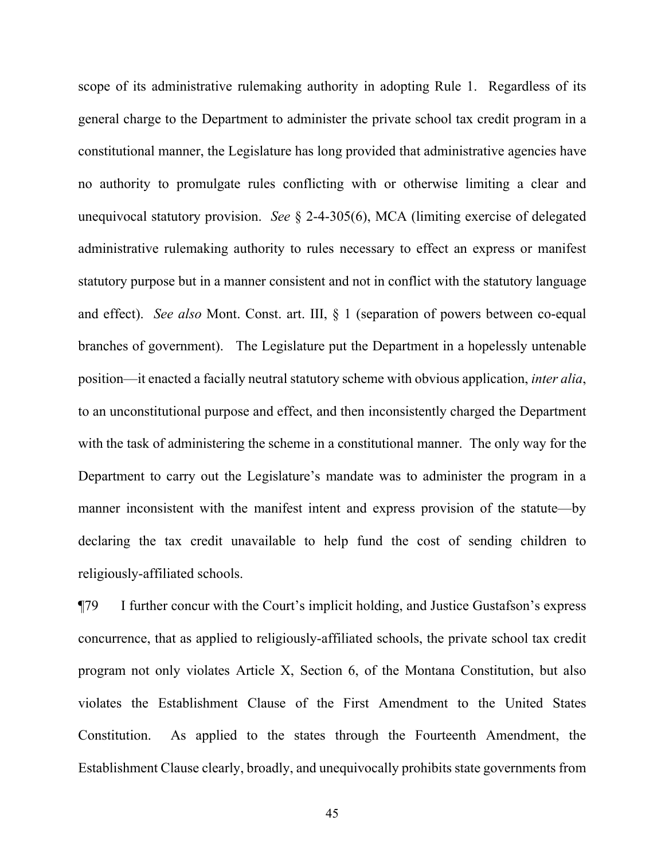scope of its administrative rulemaking authority in adopting Rule 1. Regardless of its general charge to the Department to administer the private school tax credit program in a constitutional manner, the Legislature has long provided that administrative agencies have no authority to promulgate rules conflicting with or otherwise limiting a clear and unequivocal statutory provision. *See* § 2-4-305(6), MCA (limiting exercise of delegated administrative rulemaking authority to rules necessary to effect an express or manifest statutory purpose but in a manner consistent and not in conflict with the statutory language and effect). *See also* Mont. Const. art. III, § 1 (separation of powers between co-equal branches of government). The Legislature put the Department in a hopelessly untenable position—it enacted a facially neutral statutory scheme with obvious application, *inter alia*, to an unconstitutional purpose and effect, and then inconsistently charged the Department with the task of administering the scheme in a constitutional manner. The only way for the Department to carry out the Legislature's mandate was to administer the program in a manner inconsistent with the manifest intent and express provision of the statute—by declaring the tax credit unavailable to help fund the cost of sending children to religiously-affiliated schools.

¶79 I further concur with the Court's implicit holding, and Justice Gustafson's express concurrence, that as applied to religiously-affiliated schools, the private school tax credit program not only violates Article X, Section 6, of the Montana Constitution, but also violates the Establishment Clause of the First Amendment to the United States Constitution. As applied to the states through the Fourteenth Amendment, the Establishment Clause clearly, broadly, and unequivocally prohibits state governments from

45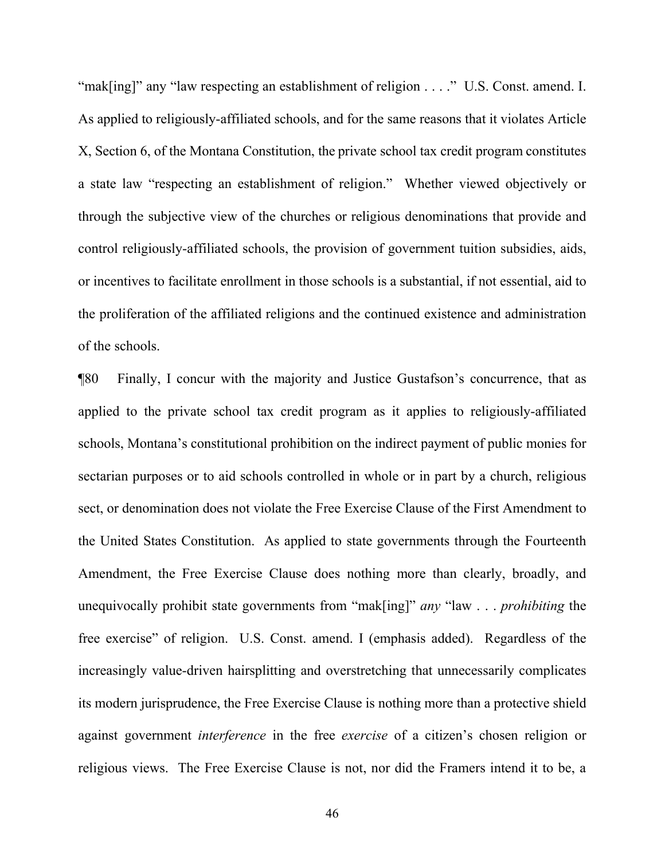"mak[ing]" any "law respecting an establishment of religion . . . ." U.S. Const. amend. I. As applied to religiously-affiliated schools, and for the same reasons that it violates Article X, Section 6, of the Montana Constitution, the private school tax credit program constitutes a state law "respecting an establishment of religion." Whether viewed objectively or through the subjective view of the churches or religious denominations that provide and control religiously-affiliated schools, the provision of government tuition subsidies, aids, or incentives to facilitate enrollment in those schools is a substantial, if not essential, aid to the proliferation of the affiliated religions and the continued existence and administration of the schools.

¶80 Finally, I concur with the majority and Justice Gustafson's concurrence, that as applied to the private school tax credit program as it applies to religiously-affiliated schools, Montana's constitutional prohibition on the indirect payment of public monies for sectarian purposes or to aid schools controlled in whole or in part by a church, religious sect, or denomination does not violate the Free Exercise Clause of the First Amendment to the United States Constitution. As applied to state governments through the Fourteenth Amendment, the Free Exercise Clause does nothing more than clearly, broadly, and unequivocally prohibit state governments from "mak[ing]" *any* "law . . . *prohibiting* the free exercise" of religion. U.S. Const. amend. I (emphasis added). Regardless of the increasingly value-driven hairsplitting and overstretching that unnecessarily complicates its modern jurisprudence, the Free Exercise Clause is nothing more than a protective shield against government *interference* in the free *exercise* of a citizen's chosen religion or religious views. The Free Exercise Clause is not, nor did the Framers intend it to be, a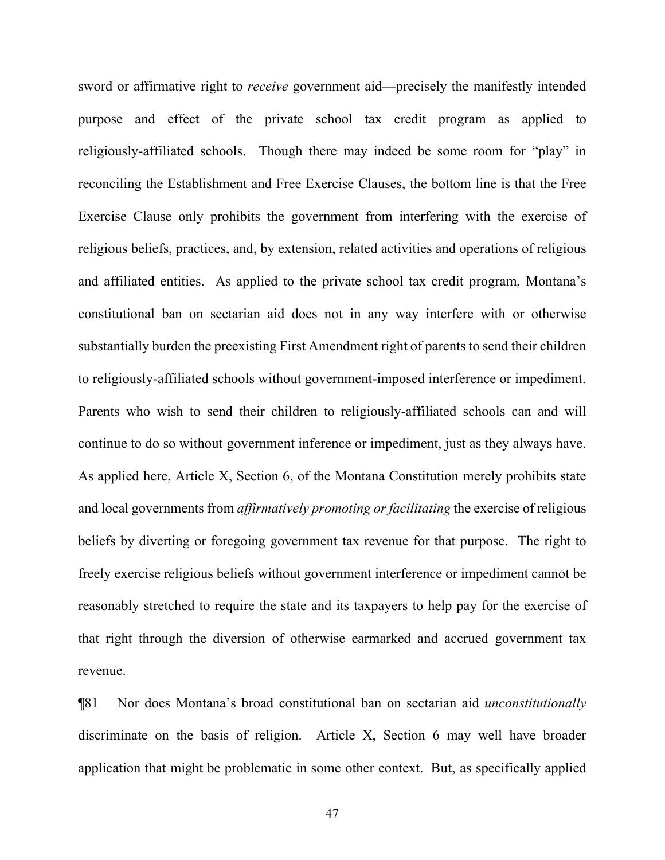sword or affirmative right to *receive* government aid—precisely the manifestly intended purpose and effect of the private school tax credit program as applied to religiously-affiliated schools. Though there may indeed be some room for "play" in reconciling the Establishment and Free Exercise Clauses, the bottom line is that the Free Exercise Clause only prohibits the government from interfering with the exercise of religious beliefs, practices, and, by extension, related activities and operations of religious and affiliated entities. As applied to the private school tax credit program, Montana's constitutional ban on sectarian aid does not in any way interfere with or otherwise substantially burden the preexisting First Amendment right of parents to send their children to religiously-affiliated schools without government-imposed interference or impediment. Parents who wish to send their children to religiously-affiliated schools can and will continue to do so without government inference or impediment, just as they always have. As applied here, Article X, Section 6, of the Montana Constitution merely prohibits state and local governments from *affirmatively promoting or facilitating* the exercise of religious beliefs by diverting or foregoing government tax revenue for that purpose. The right to freely exercise religious beliefs without government interference or impediment cannot be reasonably stretched to require the state and its taxpayers to help pay for the exercise of that right through the diversion of otherwise earmarked and accrued government tax revenue.

¶81 Nor does Montana's broad constitutional ban on sectarian aid *unconstitutionally* discriminate on the basis of religion. Article X, Section 6 may well have broader application that might be problematic in some other context. But, as specifically applied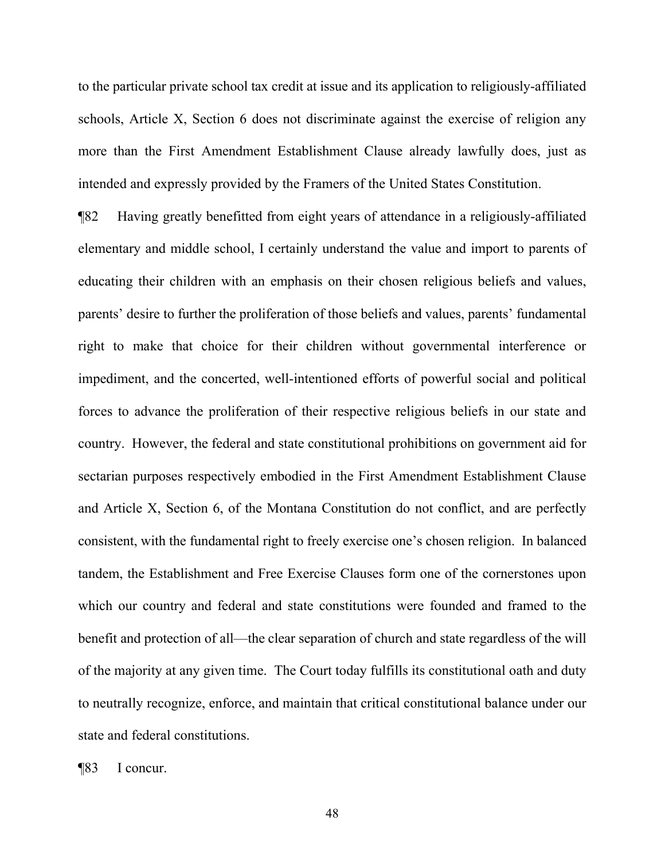to the particular private school tax credit at issue and its application to religiously-affiliated schools, Article X, Section 6 does not discriminate against the exercise of religion any more than the First Amendment Establishment Clause already lawfully does, just as intended and expressly provided by the Framers of the United States Constitution.

¶82 Having greatly benefitted from eight years of attendance in a religiously-affiliated elementary and middle school, I certainly understand the value and import to parents of educating their children with an emphasis on their chosen religious beliefs and values, parents' desire to further the proliferation of those beliefs and values, parents' fundamental right to make that choice for their children without governmental interference or impediment, and the concerted, well-intentioned efforts of powerful social and political forces to advance the proliferation of their respective religious beliefs in our state and country. However, the federal and state constitutional prohibitions on government aid for sectarian purposes respectively embodied in the First Amendment Establishment Clause and Article X, Section 6, of the Montana Constitution do not conflict, and are perfectly consistent, with the fundamental right to freely exercise one's chosen religion. In balanced tandem, the Establishment and Free Exercise Clauses form one of the cornerstones upon which our country and federal and state constitutions were founded and framed to the benefit and protection of all—the clear separation of church and state regardless of the will of the majority at any given time. The Court today fulfills its constitutional oath and duty to neutrally recognize, enforce, and maintain that critical constitutional balance under our state and federal constitutions.

¶83 I concur.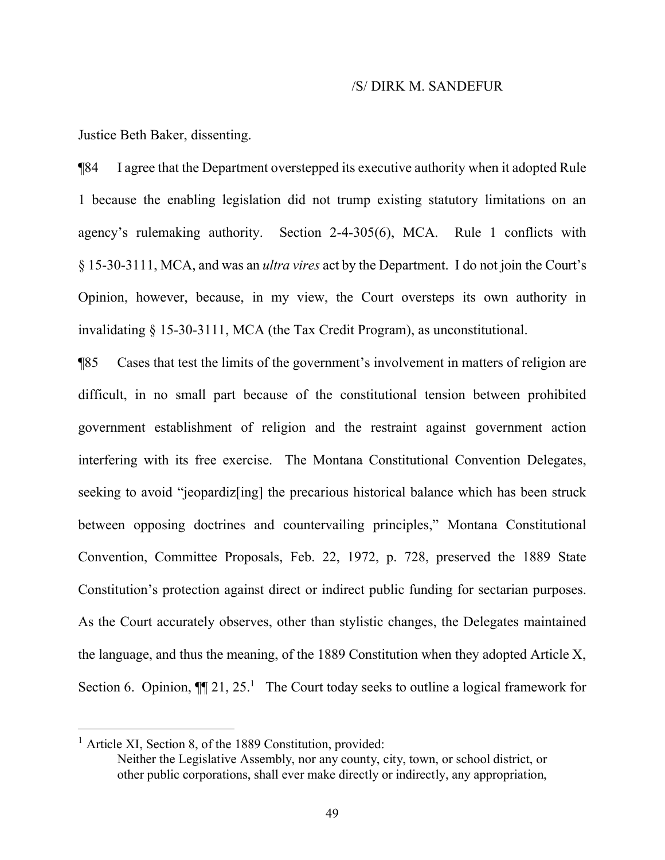#### /S/ DIRK M. SANDEFUR

Justice Beth Baker, dissenting.

¶84 I agree that the Department overstepped its executive authority when it adopted Rule 1 because the enabling legislation did not trump existing statutory limitations on an agency's rulemaking authority. Section 2-4-305(6), MCA. Rule 1 conflicts with § 15-30-3111, MCA, and was an *ultra vires* act by the Department. I do not join the Court's Opinion, however, because, in my view, the Court oversteps its own authority in invalidating § 15-30-3111, MCA (the Tax Credit Program), as unconstitutional.

¶85 Cases that test the limits of the government's involvement in matters of religion are difficult, in no small part because of the constitutional tension between prohibited government establishment of religion and the restraint against government action interfering with its free exercise. The Montana Constitutional Convention Delegates, seeking to avoid "jeopardiz[ing] the precarious historical balance which has been struck between opposing doctrines and countervailing principles," Montana Constitutional Convention, Committee Proposals, Feb. 22, 1972, p. 728, preserved the 1889 State Constitution's protection against direct or indirect public funding for sectarian purposes. As the Court accurately observes, other than stylistic changes, the Delegates maintained the language, and thus the meaning, of the 1889 Constitution when they adopted Article X, Section 6. Opinion,  $\P$ [2[1](#page-48-0), 25.<sup>1</sup> The Court today seeks to outline a logical framework for

<span id="page-48-0"></span><sup>&</sup>lt;sup>1</sup> Article XI, Section 8, of the 1889 Constitution, provided:

Neither the Legislative Assembly, nor any county, city, town, or school district, or other public corporations, shall ever make directly or indirectly, any appropriation,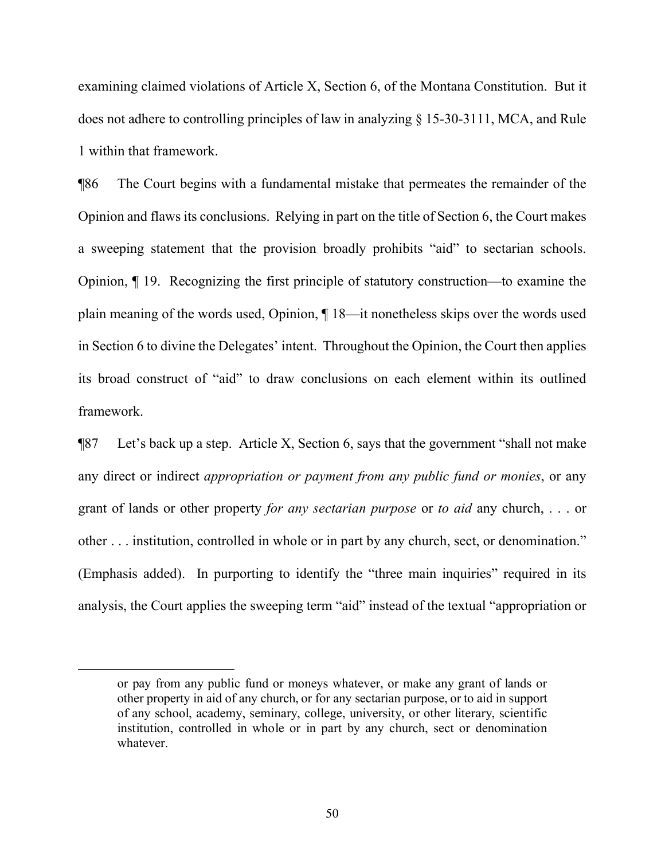examining claimed violations of Article X, Section 6, of the Montana Constitution. But it does not adhere to controlling principles of law in analyzing § 15-30-3111, MCA, and Rule 1 within that framework.

¶86 The Court begins with a fundamental mistake that permeates the remainder of the Opinion and flaws its conclusions. Relying in part on the title of Section 6, the Court makes a sweeping statement that the provision broadly prohibits "aid" to sectarian schools. Opinion, ¶ 19. Recognizing the first principle of statutory construction—to examine the plain meaning of the words used, Opinion, ¶ 18—it nonetheless skips over the words used in Section 6 to divine the Delegates' intent. Throughout the Opinion, the Court then applies its broad construct of "aid" to draw conclusions on each element within its outlined framework.

¶87 Let's back up a step. Article X, Section 6, says that the government "shall not make any direct or indirect *appropriation or payment from any public fund or monies*, or any grant of lands or other property *for any sectarian purpose* or *to aid* any church, . . . or other . . . institution, controlled in whole or in part by any church, sect, or denomination." (Emphasis added). In purporting to identify the "three main inquiries" required in its analysis, the Court applies the sweeping term "aid" instead of the textual "appropriation or

or pay from any public fund or moneys whatever, or make any grant of lands or other property in aid of any church, or for any sectarian purpose, or to aid in support of any school, academy, seminary, college, university, or other literary, scientific institution, controlled in whole or in part by any church, sect or denomination whatever.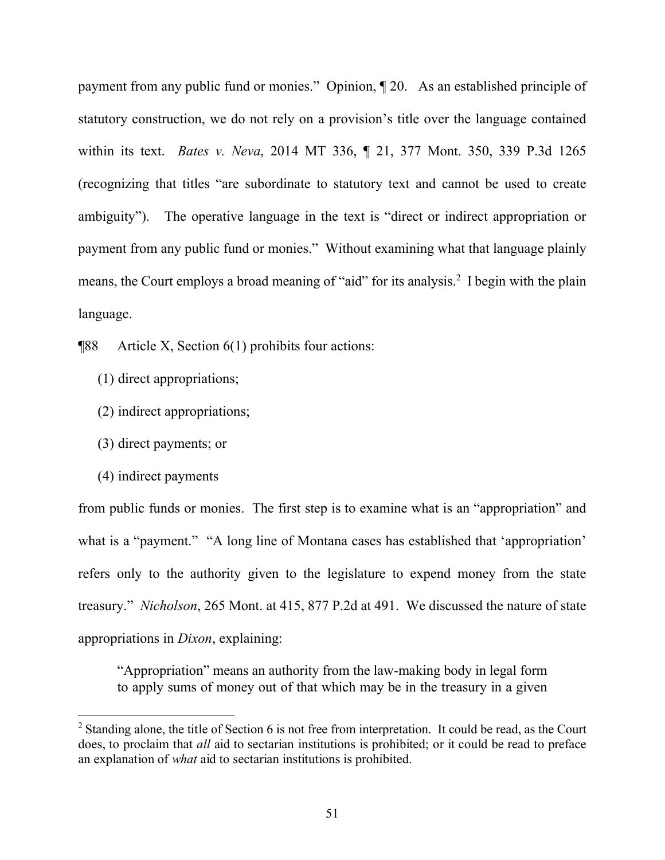payment from any public fund or monies." Opinion, ¶ 20. As an established principle of statutory construction, we do not rely on a provision's title over the language contained within its text. *Bates v. Neva*, 2014 MT 336, ¶ 21, 377 Mont. 350, 339 P.3d 1265 (recognizing that titles "are subordinate to statutory text and cannot be used to create ambiguity"). The operative language in the text is "direct or indirect appropriation or payment from any public fund or monies." Without examining what that language plainly means, the Court employs a broad meaning of "aid" for its analysis.<sup>[2](#page-50-0)</sup> I begin with the plain language.

¶88 Article X, Section 6(1) prohibits four actions:

- (1) direct appropriations;
- (2) indirect appropriations;
- (3) direct payments; or
- (4) indirect payments

 $\overline{a}$ 

from public funds or monies. The first step is to examine what is an "appropriation" and what is a "payment." "A long line of Montana cases has established that 'appropriation' refers only to the authority given to the legislature to expend money from the state treasury." *Nicholson*, 265 Mont. at 415, 877 P.2d at 491. We discussed the nature of state appropriations in *Dixon*, explaining:

"Appropriation" means an authority from the law-making body in legal form to apply sums of money out of that which may be in the treasury in a given

<span id="page-50-0"></span><sup>&</sup>lt;sup>2</sup> Standing alone, the title of Section 6 is not free from interpretation. It could be read, as the Court does, to proclaim that *all* aid to sectarian institutions is prohibited; or it could be read to preface an explanation of *what* aid to sectarian institutions is prohibited.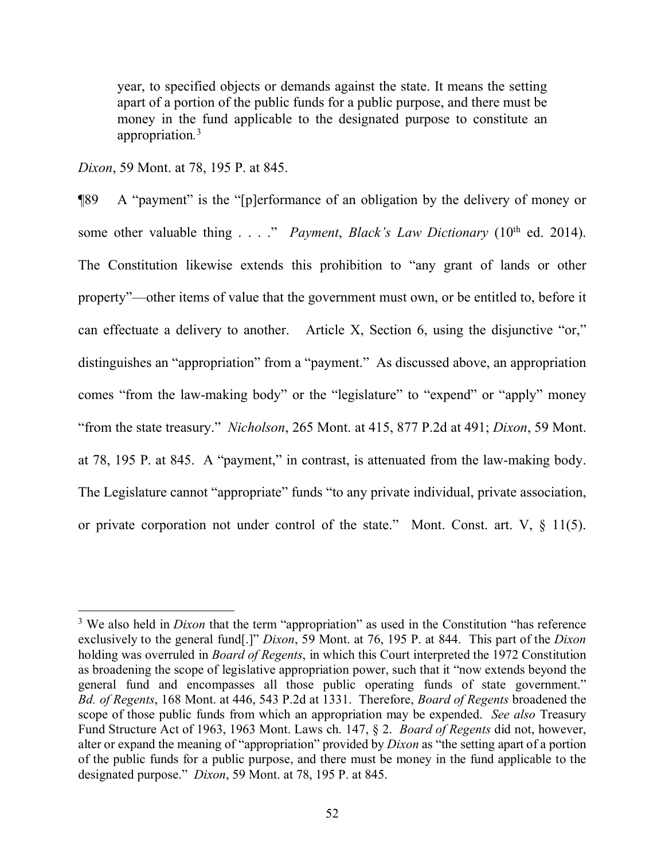year, to specified objects or demands against the state. It means the setting apart of a portion of the public funds for a public purpose, and there must be money in the fund applicable to the designated purpose to constitute an appropriation*.* [3](#page-51-0)

*Dixon*, 59 Mont. at 78, 195 P. at 845.

 $\overline{a}$ 

¶89 A "payment" is the "[p]erformance of an obligation by the delivery of money or some other valuable thing . . . ." *Payment*, *Black's Law Dictionary* (10<sup>th</sup> ed. 2014). The Constitution likewise extends this prohibition to "any grant of lands or other property"—other items of value that the government must own, or be entitled to, before it can effectuate a delivery to another. Article X, Section 6, using the disjunctive "or," distinguishes an "appropriation" from a "payment." As discussed above, an appropriation comes "from the law-making body" or the "legislature" to "expend" or "apply" money "from the state treasury." *Nicholson*, 265 Mont. at 415, 877 P.2d at 491; *Dixon*, 59 Mont. at 78, 195 P. at 845. A "payment," in contrast, is attenuated from the law-making body. The Legislature cannot "appropriate" funds "to any private individual, private association, or private corporation not under control of the state." Mont. Const. art. V, § 11(5).

<span id="page-51-0"></span><sup>&</sup>lt;sup>3</sup> We also held in *Dixon* that the term "appropriation" as used in the Constitution "has reference exclusively to the general fund[.]" *Dixon*, 59 Mont. at 76, 195 P. at 844. This part of the *Dixon* holding was overruled in *Board of Regents*, in which this Court interpreted the 1972 Constitution as broadening the scope of legislative appropriation power, such that it "now extends beyond the general fund and encompasses all those public operating funds of state government." *Bd. of Regents*, 168 Mont. at 446, 543 P.2d at 1331. Therefore, *Board of Regents* broadened the scope of those public funds from which an appropriation may be expended. *See also* Treasury Fund Structure Act of 1963, 1963 Mont. Laws ch. 147, § 2. *Board of Regents* did not, however, alter or expand the meaning of "appropriation" provided by *Dixon* as "the setting apart of a portion of the public funds for a public purpose, and there must be money in the fund applicable to the designated purpose." *Dixon*, 59 Mont. at 78, 195 P. at 845.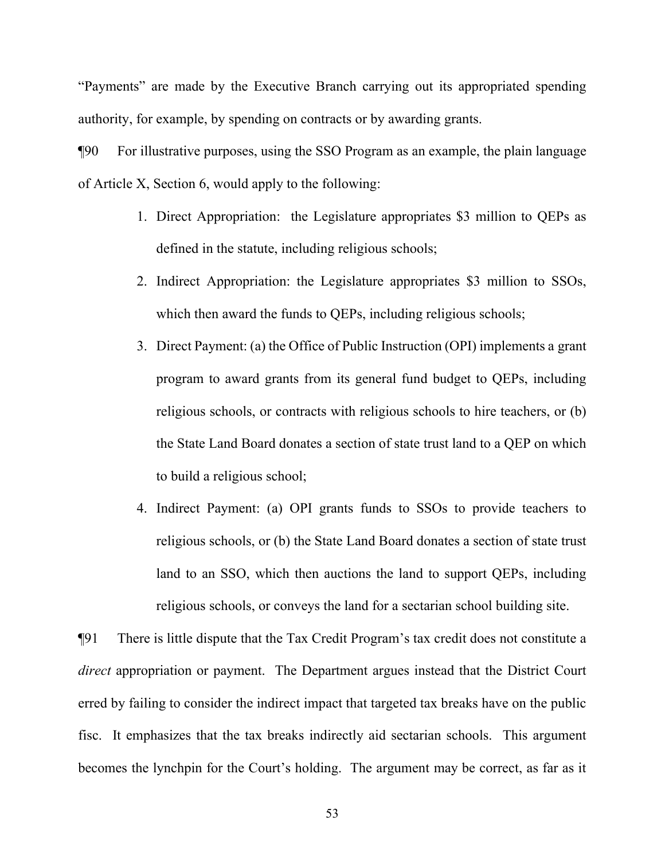"Payments" are made by the Executive Branch carrying out its appropriated spending authority, for example, by spending on contracts or by awarding grants.

¶90 For illustrative purposes, using the SSO Program as an example, the plain language of Article X, Section 6, would apply to the following:

- 1. Direct Appropriation: the Legislature appropriates \$3 million to QEPs as defined in the statute, including religious schools;
- 2. Indirect Appropriation: the Legislature appropriates \$3 million to SSOs, which then award the funds to QEPs, including religious schools;
- 3. Direct Payment: (a) the Office of Public Instruction (OPI) implements a grant program to award grants from its general fund budget to QEPs, including religious schools, or contracts with religious schools to hire teachers, or (b) the State Land Board donates a section of state trust land to a QEP on which to build a religious school;
- 4. Indirect Payment: (a) OPI grants funds to SSOs to provide teachers to religious schools, or (b) the State Land Board donates a section of state trust land to an SSO, which then auctions the land to support QEPs, including religious schools, or conveys the land for a sectarian school building site.

¶91 There is little dispute that the Tax Credit Program's tax credit does not constitute a *direct* appropriation or payment. The Department argues instead that the District Court erred by failing to consider the indirect impact that targeted tax breaks have on the public fisc. It emphasizes that the tax breaks indirectly aid sectarian schools. This argument becomes the lynchpin for the Court's holding. The argument may be correct, as far as it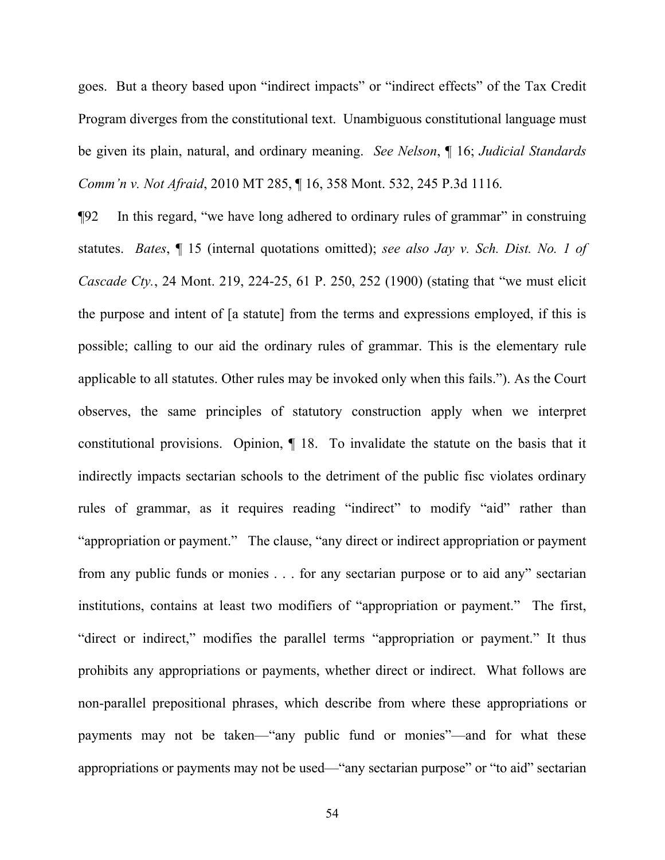goes. But a theory based upon "indirect impacts" or "indirect effects" of the Tax Credit Program diverges from the constitutional text. Unambiguous constitutional language must be given its plain, natural, and ordinary meaning. *See Nelson*, ¶ 16; *Judicial Standards Comm'n v. Not Afraid*, 2010 MT 285, ¶ 16, 358 Mont. 532, 245 P.3d 1116.

¶92 In this regard, "we have long adhered to ordinary rules of grammar" in construing statutes. *Bates*, ¶ 15 (internal quotations omitted); *see also Jay v. Sch. Dist. No. 1 of Cascade Cty.*, 24 Mont. 219, 224-25, 61 P. 250, 252 (1900) (stating that "we must elicit the purpose and intent of [a statute] from the terms and expressions employed, if this is possible; calling to our aid the ordinary rules of grammar. This is the elementary rule applicable to all statutes. Other rules may be invoked only when this fails."). As the Court observes, the same principles of statutory construction apply when we interpret constitutional provisions. Opinion, ¶ 18. To invalidate the statute on the basis that it indirectly impacts sectarian schools to the detriment of the public fisc violates ordinary rules of grammar, as it requires reading "indirect" to modify "aid" rather than "appropriation or payment." The clause, "any direct or indirect appropriation or payment from any public funds or monies . . . for any sectarian purpose or to aid any" sectarian institutions, contains at least two modifiers of "appropriation or payment." The first, "direct or indirect," modifies the parallel terms "appropriation or payment." It thus prohibits any appropriations or payments, whether direct or indirect. What follows are non-parallel prepositional phrases, which describe from where these appropriations or payments may not be taken—"any public fund or monies"—and for what these appropriations or payments may not be used—"any sectarian purpose" or "to aid" sectarian

54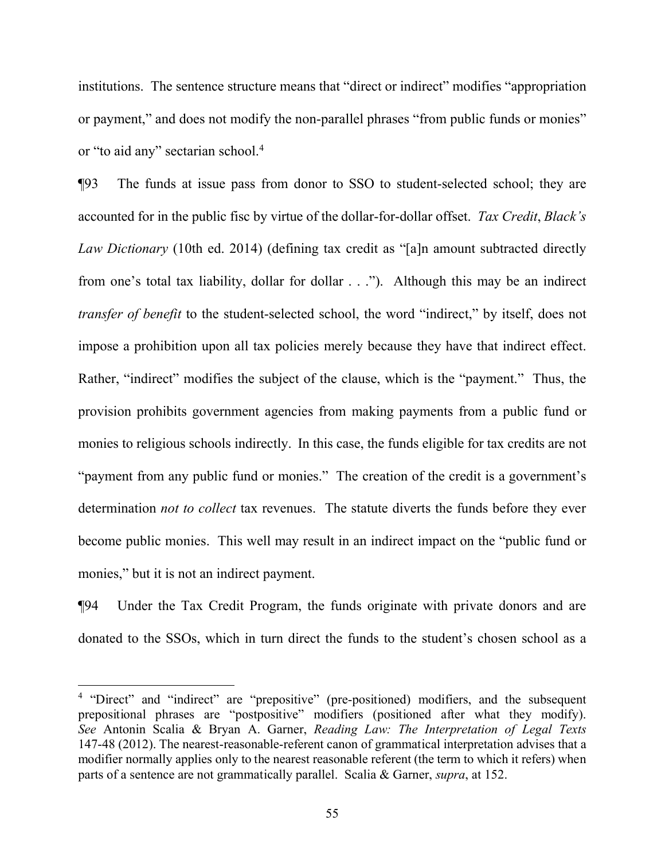institutions. The sentence structure means that "direct or indirect" modifies "appropriation or payment," and does not modify the non-parallel phrases "from public funds or monies" or "to aid any" sectarian school.[4](#page-54-0)

¶93 The funds at issue pass from donor to SSO to student-selected school; they are accounted for in the public fisc by virtue of the dollar-for-dollar offset. *Tax Credit*, *Black's Law Dictionary* (10th ed. 2014) (defining tax credit as "[a]n amount subtracted directly from one's total tax liability, dollar for dollar . . ."). Although this may be an indirect *transfer of benefit* to the student-selected school, the word "indirect," by itself, does not impose a prohibition upon all tax policies merely because they have that indirect effect. Rather, "indirect" modifies the subject of the clause, which is the "payment." Thus, the provision prohibits government agencies from making payments from a public fund or monies to religious schools indirectly. In this case, the funds eligible for tax credits are not "payment from any public fund or monies." The creation of the credit is a government's determination *not to collect* tax revenues. The statute diverts the funds before they ever become public monies. This well may result in an indirect impact on the "public fund or monies," but it is not an indirect payment.

¶94 Under the Tax Credit Program, the funds originate with private donors and are donated to the SSOs, which in turn direct the funds to the student's chosen school as a

<span id="page-54-0"></span><sup>&</sup>lt;sup>4</sup> "Direct" and "indirect" are "prepositive" (pre-positioned) modifiers, and the subsequent prepositional phrases are "postpositive" modifiers (positioned after what they modify). *See* Antonin Scalia & Bryan A. Garner, *Reading Law: The Interpretation of Legal Texts* 147-48 (2012). The nearest-reasonable-referent canon of grammatical interpretation advises that a modifier normally applies only to the nearest reasonable referent (the term to which it refers) when parts of a sentence are not grammatically parallel. Scalia & Garner, *supra*, at 152.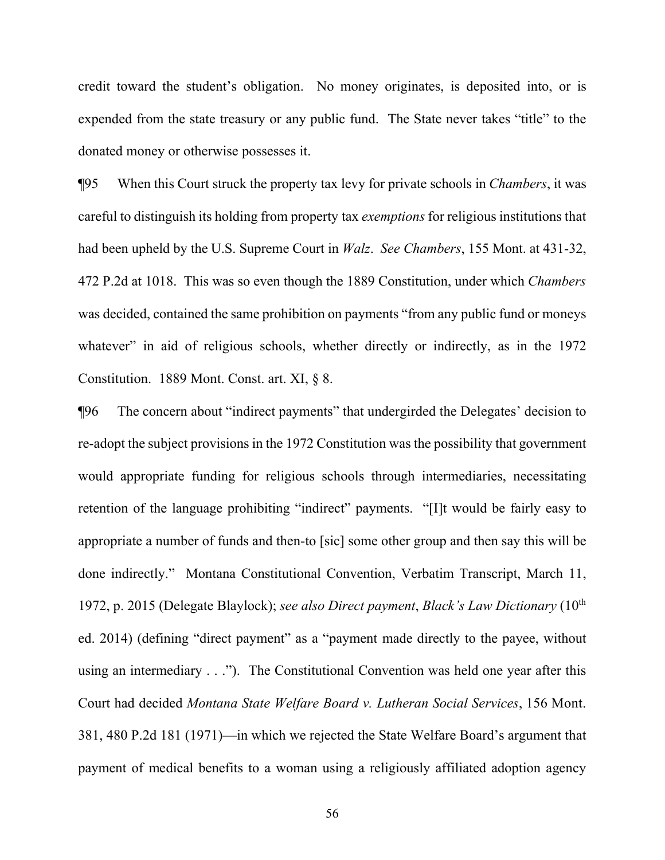credit toward the student's obligation. No money originates, is deposited into, or is expended from the state treasury or any public fund. The State never takes "title" to the donated money or otherwise possesses it.

¶95 When this Court struck the property tax levy for private schools in *Chambers*, it was careful to distinguish its holding from property tax *exemptions* for religious institutions that had been upheld by the U.S. Supreme Court in *Walz*. *See Chambers*, 155 Mont. at 431-32, 472 P.2d at 1018. This was so even though the 1889 Constitution, under which *Chambers* was decided, contained the same prohibition on payments "from any public fund or moneys whatever" in aid of religious schools, whether directly or indirectly, as in the 1972 Constitution. 1889 Mont. Const. art. XI, § 8.

¶96 The concern about "indirect payments" that undergirded the Delegates' decision to re-adopt the subject provisions in the 1972 Constitution was the possibility that government would appropriate funding for religious schools through intermediaries, necessitating retention of the language prohibiting "indirect" payments. "[I]t would be fairly easy to appropriate a number of funds and then-to [sic] some other group and then say this will be done indirectly." Montana Constitutional Convention, Verbatim Transcript, March 11, 1972, p. 2015 (Delegate Blaylock); *see also Direct payment*, *Black's Law Dictionary* (10th ed. 2014) (defining "direct payment" as a "payment made directly to the payee, without using an intermediary . . ."). The Constitutional Convention was held one year after this Court had decided *Montana State Welfare Board v. Lutheran Social Services*, 156 Mont. 381, 480 P.2d 181 (1971)—in which we rejected the State Welfare Board's argument that payment of medical benefits to a woman using a religiously affiliated adoption agency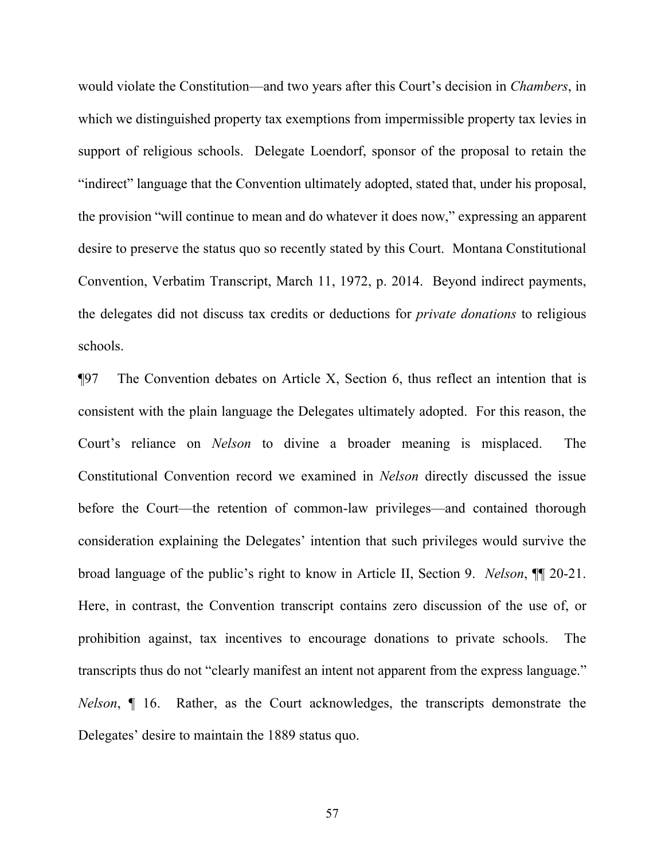would violate the Constitution—and two years after this Court's decision in *Chambers*, in which we distinguished property tax exemptions from impermissible property tax levies in support of religious schools. Delegate Loendorf, sponsor of the proposal to retain the "indirect" language that the Convention ultimately adopted, stated that, under his proposal, the provision "will continue to mean and do whatever it does now," expressing an apparent desire to preserve the status quo so recently stated by this Court. Montana Constitutional Convention, Verbatim Transcript, March 11, 1972, p. 2014. Beyond indirect payments, the delegates did not discuss tax credits or deductions for *private donations* to religious schools.

¶97 The Convention debates on Article X, Section 6, thus reflect an intention that is consistent with the plain language the Delegates ultimately adopted. For this reason, the Court's reliance on *Nelson* to divine a broader meaning is misplaced. The Constitutional Convention record we examined in *Nelson* directly discussed the issue before the Court—the retention of common-law privileges—and contained thorough consideration explaining the Delegates' intention that such privileges would survive the broad language of the public's right to know in Article II, Section 9. *Nelson*, ¶¶ 20-21. Here, in contrast, the Convention transcript contains zero discussion of the use of, or prohibition against, tax incentives to encourage donations to private schools. The transcripts thus do not "clearly manifest an intent not apparent from the express language." *Nelson*, ¶ 16. Rather, as the Court acknowledges, the transcripts demonstrate the Delegates' desire to maintain the 1889 status quo.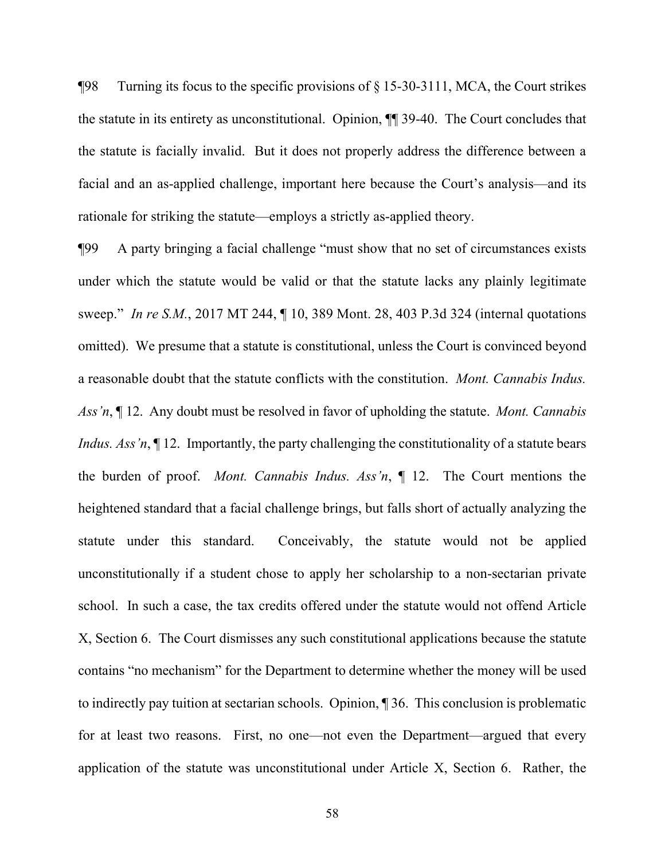$\P$ 98 Turning its focus to the specific provisions of § 15-30-3111, MCA, the Court strikes the statute in its entirety as unconstitutional. Opinion, ¶¶ 39-40. The Court concludes that the statute is facially invalid. But it does not properly address the difference between a facial and an as-applied challenge, important here because the Court's analysis—and its rationale for striking the statute—employs a strictly as-applied theory.

¶99 A party bringing a facial challenge "must show that no set of circumstances exists under which the statute would be valid or that the statute lacks any plainly legitimate sweep." *In re S.M.*, 2017 MT 244, ¶ 10, 389 Mont. 28, 403 P.3d 324 (internal quotations omitted). We presume that a statute is constitutional, unless the Court is convinced beyond a reasonable doubt that the statute conflicts with the constitution. *Mont. Cannabis Indus. Ass'n*, ¶ 12. Any doubt must be resolved in favor of upholding the statute. *Mont. Cannabis Indus. Ass'n*,  $\P$  12. Importantly, the party challenging the constitutionality of a statute bears the burden of proof. *Mont. Cannabis Indus. Ass'n*, ¶ 12.The Court mentions the heightened standard that a facial challenge brings, but falls short of actually analyzing the statute under this standard. Conceivably, the statute would not be applied unconstitutionally if a student chose to apply her scholarship to a non-sectarian private school. In such a case, the tax credits offered under the statute would not offend Article X, Section 6. The Court dismisses any such constitutional applications because the statute contains "no mechanism" for the Department to determine whether the money will be used to indirectly pay tuition at sectarian schools. Opinion, ¶ 36. This conclusion is problematic for at least two reasons. First, no one—not even the Department—argued that every application of the statute was unconstitutional under Article X, Section 6. Rather, the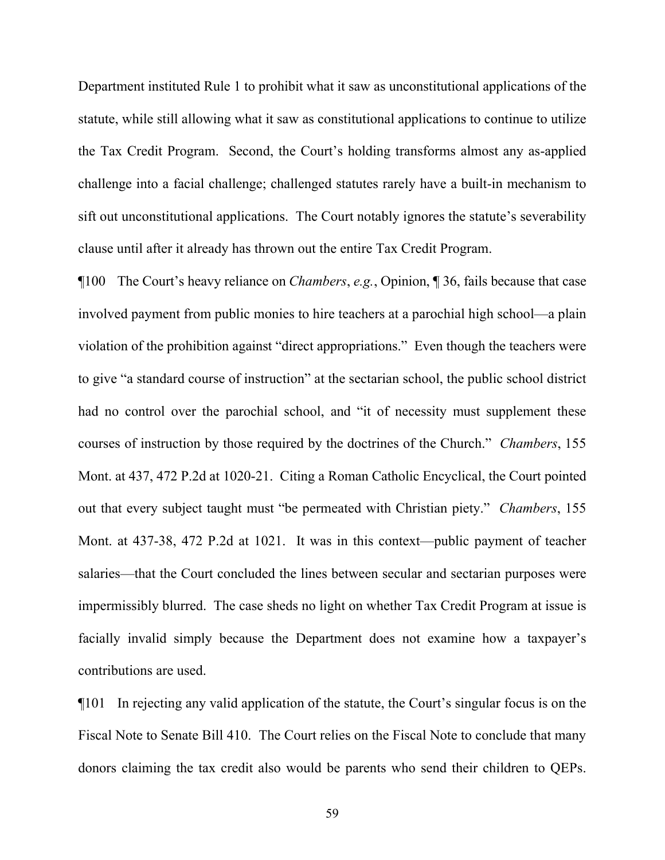Department instituted Rule 1 to prohibit what it saw as unconstitutional applications of the statute, while still allowing what it saw as constitutional applications to continue to utilize the Tax Credit Program. Second, the Court's holding transforms almost any as-applied challenge into a facial challenge; challenged statutes rarely have a built-in mechanism to sift out unconstitutional applications. The Court notably ignores the statute's severability clause until after it already has thrown out the entire Tax Credit Program.

¶100 The Court's heavy reliance on *Chambers*, *e.g.*, Opinion, ¶ 36, fails because that case involved payment from public monies to hire teachers at a parochial high school—a plain violation of the prohibition against "direct appropriations." Even though the teachers were to give "a standard course of instruction" at the sectarian school, the public school district had no control over the parochial school, and "it of necessity must supplement these courses of instruction by those required by the doctrines of the Church." *Chambers*, 155 Mont. at 437, 472 P.2d at 1020-21. Citing a Roman Catholic Encyclical, the Court pointed out that every subject taught must "be permeated with Christian piety." *Chambers*, 155 Mont. at 437-38, 472 P.2d at 1021. It was in this context—public payment of teacher salaries—that the Court concluded the lines between secular and sectarian purposes were impermissibly blurred. The case sheds no light on whether Tax Credit Program at issue is facially invalid simply because the Department does not examine how a taxpayer's contributions are used.

¶101 In rejecting any valid application of the statute, the Court's singular focus is on the Fiscal Note to Senate Bill 410. The Court relies on the Fiscal Note to conclude that many donors claiming the tax credit also would be parents who send their children to QEPs.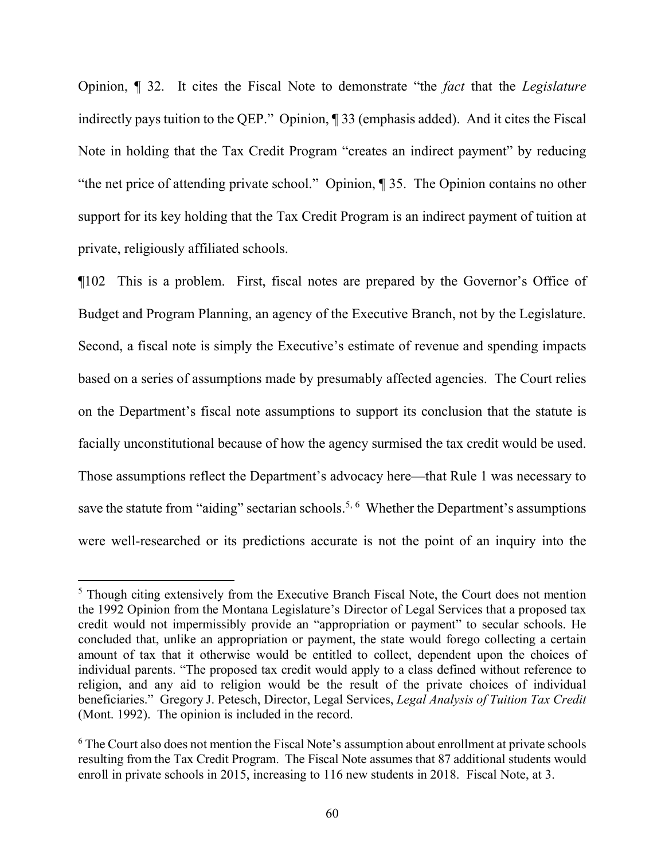Opinion, ¶ 32. It cites the Fiscal Note to demonstrate "the *fact* that the *Legislature* indirectly pays tuition to the QEP." Opinion, ¶ 33 (emphasis added). And it cites the Fiscal Note in holding that the Tax Credit Program "creates an indirect payment" by reducing "the net price of attending private school." Opinion, ¶ 35. The Opinion contains no other support for its key holding that the Tax Credit Program is an indirect payment of tuition at private, religiously affiliated schools.

¶102 This is a problem. First, fiscal notes are prepared by the Governor's Office of Budget and Program Planning, an agency of the Executive Branch, not by the Legislature. Second, a fiscal note is simply the Executive's estimate of revenue and spending impacts based on a series of assumptions made by presumably affected agencies. The Court relies on the Department's fiscal note assumptions to support its conclusion that the statute is facially unconstitutional because of how the agency surmised the tax credit would be used. Those assumptions reflect the Department's advocacy here—that Rule 1 was necessary to save the statute from "aiding" sectarian schools.<sup>[5,](#page-59-0) [6](#page-59-1)</sup> Whether the Department's assumptions were well-researched or its predictions accurate is not the point of an inquiry into the

<span id="page-59-0"></span><sup>&</sup>lt;sup>5</sup> Though citing extensively from the Executive Branch Fiscal Note, the Court does not mention the 1992 Opinion from the Montana Legislature's Director of Legal Services that a proposed tax credit would not impermissibly provide an "appropriation or payment" to secular schools. He concluded that, unlike an appropriation or payment, the state would forego collecting a certain amount of tax that it otherwise would be entitled to collect, dependent upon the choices of individual parents. "The proposed tax credit would apply to a class defined without reference to religion, and any aid to religion would be the result of the private choices of individual beneficiaries." Gregory J. Petesch, Director, Legal Services, *Legal Analysis of Tuition Tax Credit* (Mont. 1992). The opinion is included in the record.

<span id="page-59-1"></span><sup>&</sup>lt;sup>6</sup> The Court also does not mention the Fiscal Note's assumption about enrollment at private schools resulting from the Tax Credit Program. The Fiscal Note assumes that 87 additional students would enroll in private schools in 2015, increasing to 116 new students in 2018. Fiscal Note, at 3.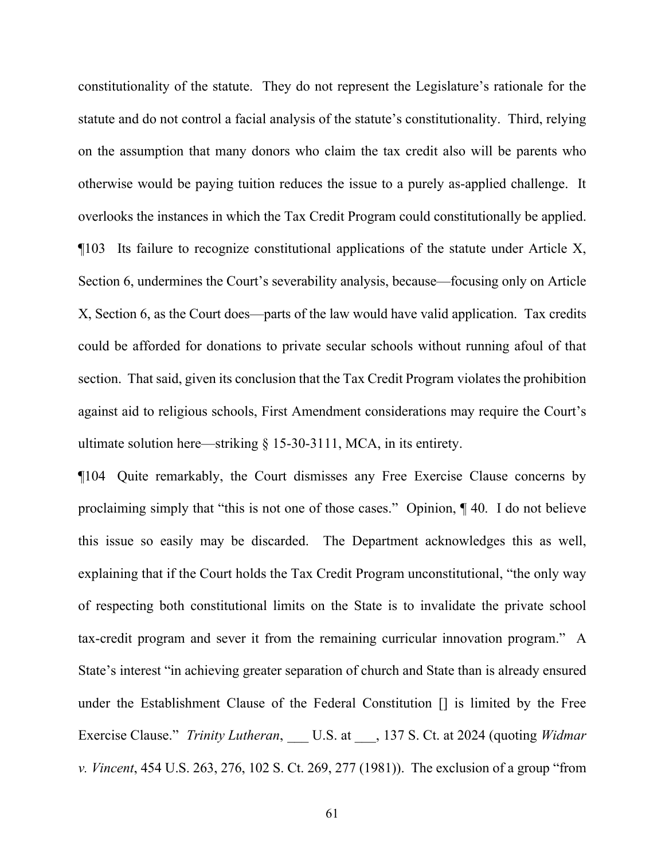constitutionality of the statute. They do not represent the Legislature's rationale for the statute and do not control a facial analysis of the statute's constitutionality. Third, relying on the assumption that many donors who claim the tax credit also will be parents who otherwise would be paying tuition reduces the issue to a purely as-applied challenge. It overlooks the instances in which the Tax Credit Program could constitutionally be applied. ¶103 Its failure to recognize constitutional applications of the statute under Article X, Section 6, undermines the Court's severability analysis, because—focusing only on Article X, Section 6, as the Court does—parts of the law would have valid application. Tax credits could be afforded for donations to private secular schools without running afoul of that section. That said, given its conclusion that the Tax Credit Program violates the prohibition against aid to religious schools, First Amendment considerations may require the Court's ultimate solution here—striking § 15-30-3111, MCA, in its entirety.

¶104 Quite remarkably, the Court dismisses any Free Exercise Clause concerns by proclaiming simply that "this is not one of those cases." Opinion, ¶ 40. I do not believe this issue so easily may be discarded. The Department acknowledges this as well, explaining that if the Court holds the Tax Credit Program unconstitutional, "the only way of respecting both constitutional limits on the State is to invalidate the private school tax-credit program and sever it from the remaining curricular innovation program." A State's interest "in achieving greater separation of church and State than is already ensured under the Establishment Clause of the Federal Constitution [] is limited by the Free Exercise Clause." *Trinity Lutheran*, U.S. at \_\_\_, 137 S. Ct. at 2024 (quoting *Widmar v. Vincent*, 454 U.S. 263, 276, 102 S. Ct. 269, 277 (1981)). The exclusion of a group "from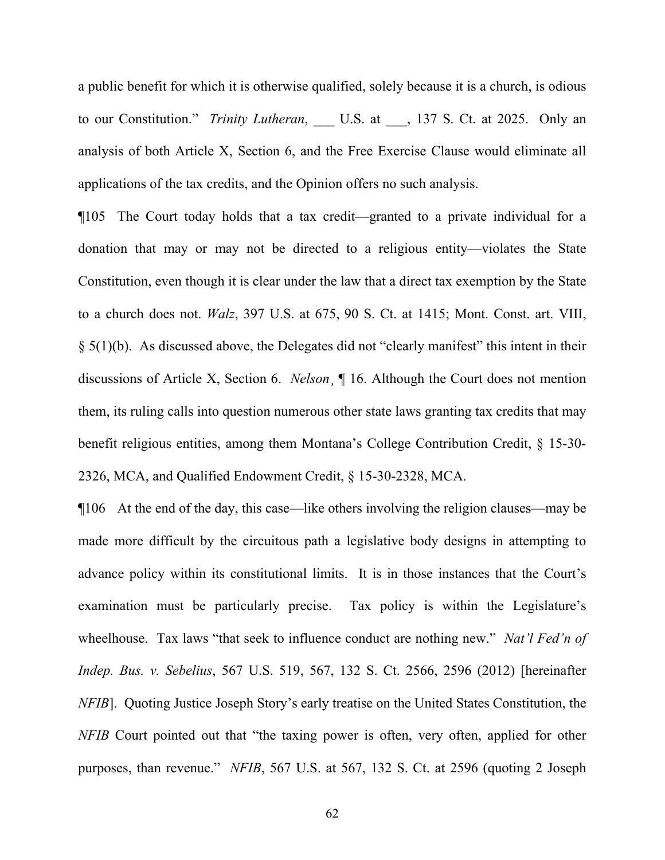a public benefit for which it is otherwise qualified, solely because it is a church, is odious to our Constitution." *Trinity Lutheran*, U.S. at 137 S. Ct. at 2025. Only an analysis of both Article X, Section 6, and the Free Exercise Clause would eliminate all applications of the tax credits, and the Opinion offers no such analysis.

¶105 The Court today holds that a tax credit—granted to a private individual for a donation that may or may not be directed to a religious entity—violates the State Constitution, even though it is clear under the law that a direct tax exemption by the State to a church does not. *Walz*, 397 U.S. at 675, 90 S. Ct. at 1415; Mont. Const. art. VIII, § 5(1)(b). As discussed above, the Delegates did not "clearly manifest" this intent in their discussions of Article X, Section 6. *Nelson*¸ ¶ 16. Although the Court does not mention them, its ruling calls into question numerous other state laws granting tax credits that may benefit religious entities, among them Montana's College Contribution Credit, § 15-30- 2326, MCA, and Qualified Endowment Credit, § 15-30-2328, MCA.

¶106 At the end of the day, this case—like others involving the religion clauses—may be made more difficult by the circuitous path a legislative body designs in attempting to advance policy within its constitutional limits. It is in those instances that the Court's examination must be particularly precise. Tax policy is within the Legislature's wheelhouse. Tax laws "that seek to influence conduct are nothing new." *Nat'l Fed'n of Indep. Bus. v. Sebelius*, 567 U.S. 519, 567, 132 S. Ct. 2566, 2596 (2012) [hereinafter *NFIB*]. Quoting Justice Joseph Story's early treatise on the United States Constitution, the *NFIB* Court pointed out that "the taxing power is often, very often, applied for other purposes, than revenue." *NFIB*, 567 U.S. at 567, 132 S. Ct. at 2596 (quoting 2 Joseph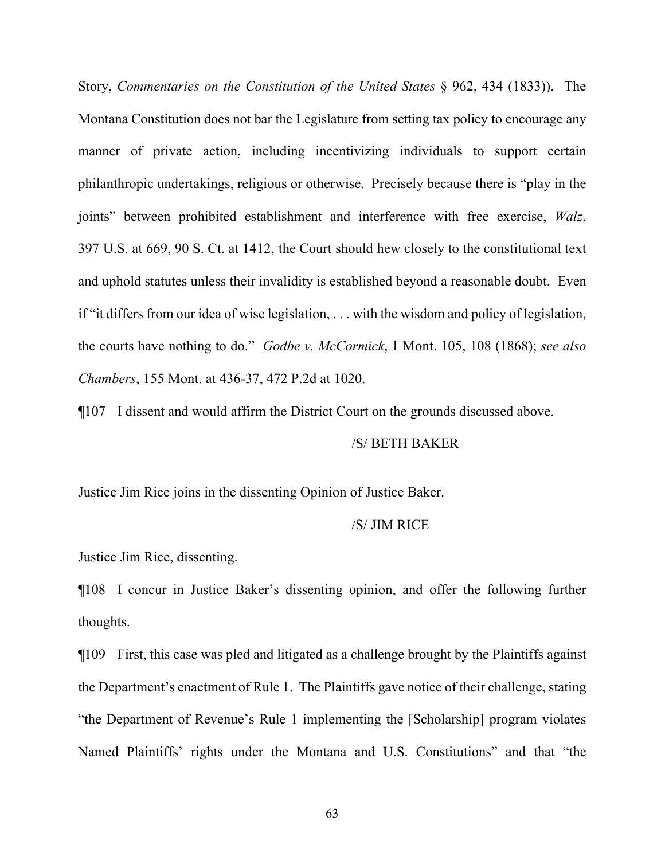Story, *Commentaries on the Constitution of the United States* § 962, 434 (1833)).The Montana Constitution does not bar the Legislature from setting tax policy to encourage any manner of private action, including incentivizing individuals to support certain philanthropic undertakings, religious or otherwise. Precisely because there is "play in the joints" between prohibited establishment and interference with free exercise, *Walz*, 397 U.S. at 669, 90 S. Ct. at 1412, the Court should hew closely to the constitutional text and uphold statutes unless their invalidity is established beyond a reasonable doubt. Even if "it differs from our idea of wise legislation, . . . with the wisdom and policy of legislation, the courts have nothing to do." *Godbe v. McCormick*, 1 Mont. 105, 108 (1868); *see also Chambers*, 155 Mont. at 436-37, 472 P.2d at 1020.

¶107 I dissent and would affirm the District Court on the grounds discussed above.

#### /S/ BETH BAKER

Justice Jim Rice joins in the dissenting Opinion of Justice Baker.

#### /S/ JIM RICE

Justice Jim Rice, dissenting.

¶108 I concur in Justice Baker's dissenting opinion, and offer the following further thoughts.

¶109 First, this case was pled and litigated as a challenge brought by the Plaintiffs against the Department's enactment of Rule 1. The Plaintiffs gave notice of their challenge, stating "the Department of Revenue's Rule 1 implementing the [Scholarship] program violates Named Plaintiffs' rights under the Montana and U.S. Constitutions" and that "the

63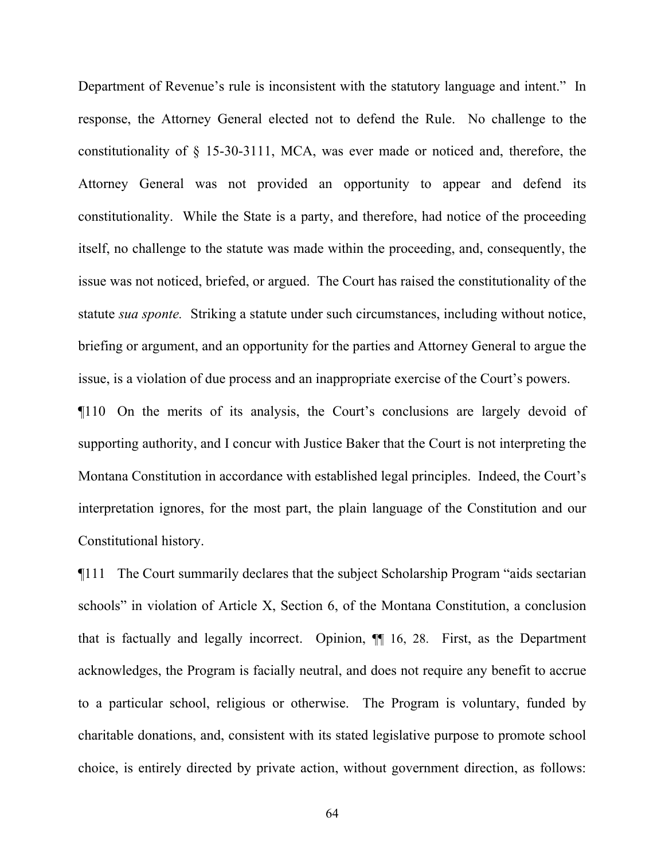Department of Revenue's rule is inconsistent with the statutory language and intent." In response, the Attorney General elected not to defend the Rule. No challenge to the constitutionality of § 15-30-3111, MCA, was ever made or noticed and, therefore, the Attorney General was not provided an opportunity to appear and defend its constitutionality. While the State is a party, and therefore, had notice of the proceeding itself, no challenge to the statute was made within the proceeding, and, consequently, the issue was not noticed, briefed, or argued. The Court has raised the constitutionality of the statute *sua sponte.* Striking a statute under such circumstances, including without notice, briefing or argument, and an opportunity for the parties and Attorney General to argue the issue, is a violation of due process and an inappropriate exercise of the Court's powers.

¶110 On the merits of its analysis, the Court's conclusions are largely devoid of supporting authority, and I concur with Justice Baker that the Court is not interpreting the Montana Constitution in accordance with established legal principles. Indeed, the Court's interpretation ignores, for the most part, the plain language of the Constitution and our Constitutional history.

¶111 The Court summarily declares that the subject Scholarship Program "aids sectarian schools" in violation of Article X, Section 6, of the Montana Constitution, a conclusion that is factually and legally incorrect. Opinion, ¶¶ 16, 28. First, as the Department acknowledges, the Program is facially neutral, and does not require any benefit to accrue to a particular school, religious or otherwise. The Program is voluntary, funded by charitable donations, and, consistent with its stated legislative purpose to promote school choice, is entirely directed by private action, without government direction, as follows: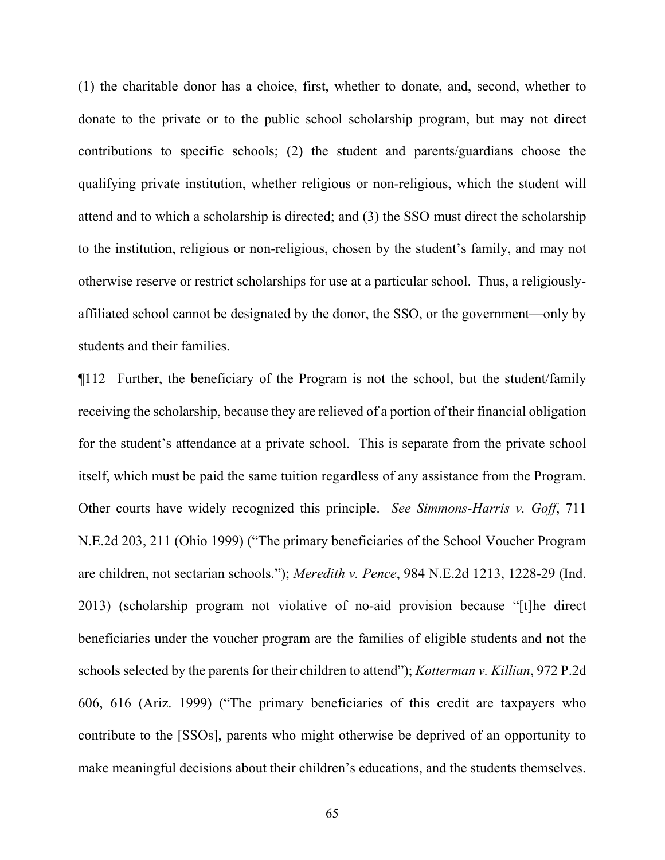(1) the charitable donor has a choice, first, whether to donate, and, second, whether to donate to the private or to the public school scholarship program, but may not direct contributions to specific schools; (2) the student and parents/guardians choose the qualifying private institution, whether religious or non-religious, which the student will attend and to which a scholarship is directed; and (3) the SSO must direct the scholarship to the institution, religious or non-religious, chosen by the student's family, and may not otherwise reserve or restrict scholarships for use at a particular school. Thus, a religiouslyaffiliated school cannot be designated by the donor, the SSO, or the government—only by students and their families.

¶112 Further, the beneficiary of the Program is not the school, but the student/family receiving the scholarship, because they are relieved of a portion of their financial obligation for the student's attendance at a private school. This is separate from the private school itself, which must be paid the same tuition regardless of any assistance from the Program. Other courts have widely recognized this principle. *See Simmons-Harris v. Goff*, 711 N.E.2d 203, 211 (Ohio 1999) ("The primary beneficiaries of the School Voucher Program are children, not sectarian schools."); *Meredith v. Pence*, 984 N.E.2d 1213, 1228-29 (Ind. 2013) (scholarship program not violative of no-aid provision because "[t]he direct beneficiaries under the voucher program are the families of eligible students and not the schools selected by the parents for their children to attend"); *Kotterman v. Killian*, 972 P.2d 606, 616 (Ariz. 1999) ("The primary beneficiaries of this credit are taxpayers who contribute to the [SSOs], parents who might otherwise be deprived of an opportunity to make meaningful decisions about their children's educations, and the students themselves.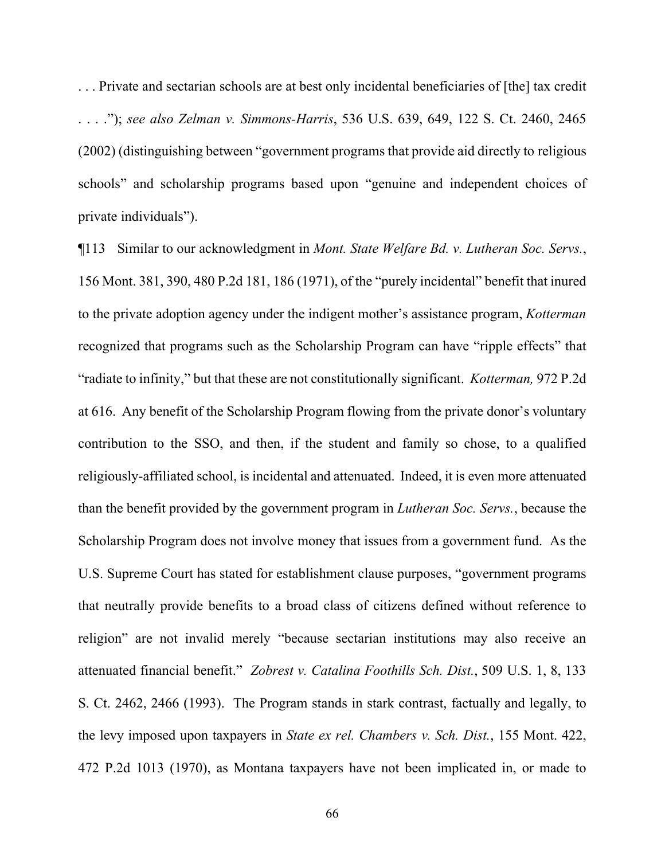. . . Private and sectarian schools are at best only incidental beneficiaries of [the] tax credit . . . ."); *see also Zelman v. Simmons-Harris*, 536 U.S. 639, 649, 122 S. Ct. 2460, 2465 (2002) (distinguishing between "government programs that provide aid directly to religious schools" and scholarship programs based upon "genuine and independent choices of private individuals").

¶113 Similar to our acknowledgment in *Mont. State Welfare Bd. v. Lutheran Soc. Servs.*, 156 Mont. 381, 390, 480 P.2d 181, 186 (1971), of the "purely incidental" benefit that inured to the private adoption agency under the indigent mother's assistance program, *Kotterman* recognized that programs such as the Scholarship Program can have "ripple effects" that "radiate to infinity," but that these are not constitutionally significant. *Kotterman,* 972 P.2d at 616. Any benefit of the Scholarship Program flowing from the private donor's voluntary contribution to the SSO, and then, if the student and family so chose, to a qualified religiously-affiliated school, is incidental and attenuated. Indeed, it is even more attenuated than the benefit provided by the government program in *Lutheran Soc. Servs.*, because the Scholarship Program does not involve money that issues from a government fund. As the U.S. Supreme Court has stated for establishment clause purposes, "government programs that neutrally provide benefits to a broad class of citizens defined without reference to religion" are not invalid merely "because sectarian institutions may also receive an attenuated financial benefit." *Zobrest v. Catalina Foothills Sch. Dist.*, 509 U.S. 1, 8, 133 S. Ct. 2462, 2466 (1993). The Program stands in stark contrast, factually and legally, to the levy imposed upon taxpayers in *State ex rel. Chambers v. Sch. Dist.*, 155 Mont. 422, 472 P.2d 1013 (1970), as Montana taxpayers have not been implicated in, or made to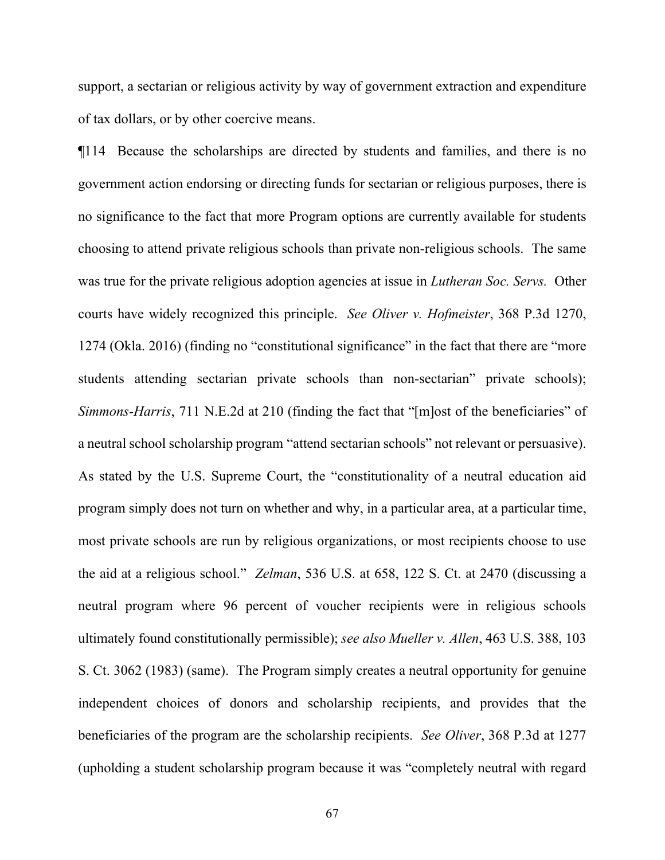support, a sectarian or religious activity by way of government extraction and expenditure of tax dollars, or by other coercive means.

¶114 Because the scholarships are directed by students and families, and there is no government action endorsing or directing funds for sectarian or religious purposes, there is no significance to the fact that more Program options are currently available for students choosing to attend private religious schools than private non-religious schools. The same was true for the private religious adoption agencies at issue in *Lutheran Soc. Servs.* Other courts have widely recognized this principle. *See Oliver v. Hofmeister*, 368 P.3d 1270, 1274 (Okla. 2016) (finding no "constitutional significance" in the fact that there are "more students attending sectarian private schools than non-sectarian" private schools); *Simmons-Harris*, 711 N.E.2d at 210 (finding the fact that "[m]ost of the beneficiaries" of a neutral school scholarship program "attend sectarian schools" not relevant or persuasive). As stated by the U.S. Supreme Court, the "constitutionality of a neutral education aid program simply does not turn on whether and why, in a particular area, at a particular time, most private schools are run by religious organizations, or most recipients choose to use the aid at a religious school." *Zelman*, 536 U.S. at 658, 122 S. Ct. at 2470 (discussing a neutral program where 96 percent of voucher recipients were in religious schools ultimately found constitutionally permissible); *see also Mueller v. Allen*, 463 U.S. 388, 103 S. Ct. 3062 (1983) (same). The Program simply creates a neutral opportunity for genuine independent choices of donors and scholarship recipients, and provides that the beneficiaries of the program are the scholarship recipients. *See Oliver*, 368 P.3d at 1277 (upholding a student scholarship program because it was "completely neutral with regard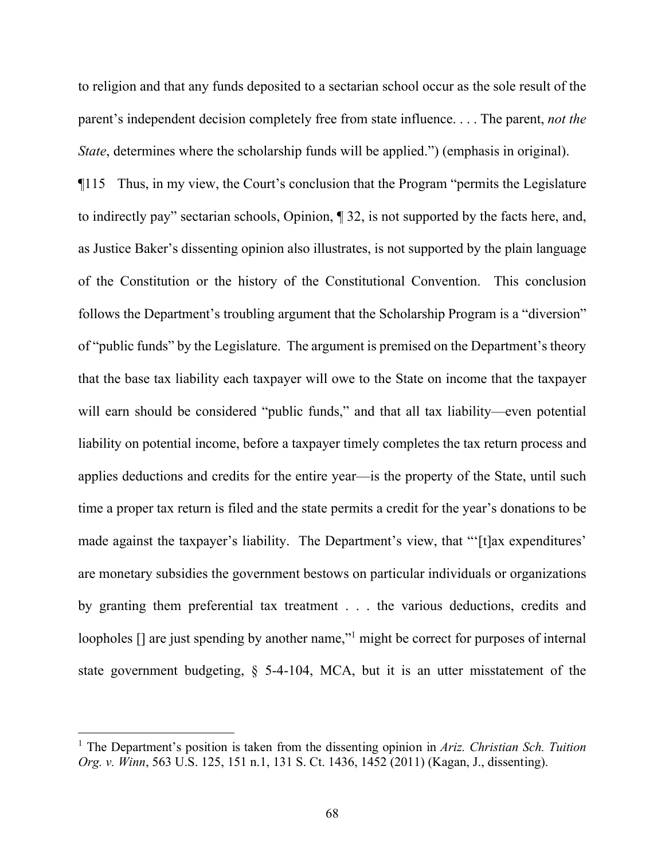to religion and that any funds deposited to a sectarian school occur as the sole result of the parent's independent decision completely free from state influence. . . . The parent, *not the State*, determines where the scholarship funds will be applied.") (emphasis in original).

¶115 Thus, in my view, the Court's conclusion that the Program "permits the Legislature to indirectly pay" sectarian schools, Opinion, ¶ 32, is not supported by the facts here, and, as Justice Baker's dissenting opinion also illustrates, is not supported by the plain language of the Constitution or the history of the Constitutional Convention. This conclusion follows the Department's troubling argument that the Scholarship Program is a "diversion" of "public funds" by the Legislature. The argument is premised on the Department's theory that the base tax liability each taxpayer will owe to the State on income that the taxpayer will earn should be considered "public funds," and that all tax liability—even potential liability on potential income, before a taxpayer timely completes the tax return process and applies deductions and credits for the entire year—is the property of the State, until such time a proper tax return is filed and the state permits a credit for the year's donations to be made against the taxpayer's liability. The Department's view, that "'[t]ax expenditures' are monetary subsidies the government bestows on particular individuals or organizations by granting them preferential tax treatment . . . the various deductions, credits and loopholes  $\lceil \rceil$  are just spending by another name,"<sup>[1](#page-67-0)</sup> might be correct for purposes of internal state government budgeting, § 5-4-104, MCA, but it is an utter misstatement of the

<span id="page-67-0"></span><sup>1</sup> The Department's position is taken from the dissenting opinion in *Ariz. Christian Sch. Tuition Org. v. Winn*, 563 U.S. 125, 151 n.1, 131 S. Ct. 1436, 1452 (2011) (Kagan, J., dissenting).